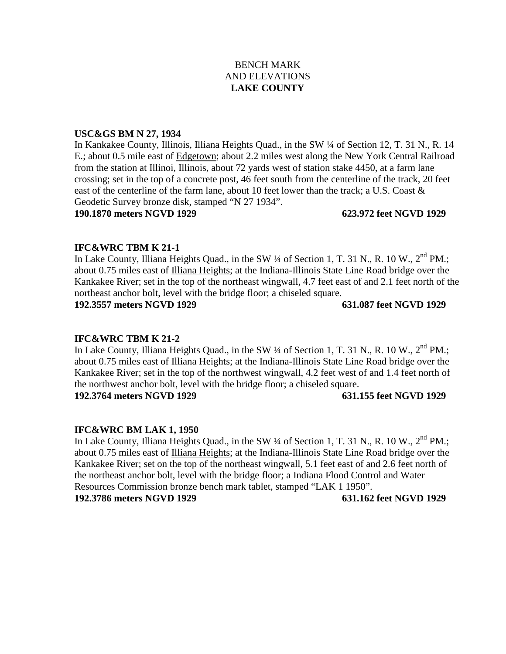# BENCH MARK AND ELEVATIONS **LAKE COUNTY**

## **USC&GS BM N 27, 1934**

In Kankakee County, Illinois, Illiana Heights Quad., in the SW ¼ of Section 12, T. 31 N., R. 14 E.; about 0.5 mile east of Edgetown; about 2.2 miles west along the New York Central Railroad from the station at Illinoi, Illinois, about 72 yards west of station stake 4450, at a farm lane crossing; set in the top of a concrete post, 46 feet south from the centerline of the track, 20 feet east of the centerline of the farm lane, about 10 feet lower than the track; a U.S. Coast & Geodetic Survey bronze disk, stamped "N 27 1934".

## **190.1870 meters NGVD 1929 623.972 feet NGVD 1929**

## **IFC&WRC TBM K 21-1**

In Lake County, Illiana Heights Quad., in the SW 1/4 of Section 1, T. 31 N., R. 10 W., 2<sup>nd</sup> PM.: about 0.75 miles east of Illiana Heights; at the Indiana-Illinois State Line Road bridge over the Kankakee River; set in the top of the northeast wingwall, 4.7 feet east of and 2.1 feet north of the northeast anchor bolt, level with the bridge floor; a chiseled square.

**192.3557 meters NGVD 1929 631.087 feet NGVD 1929**

## **IFC&WRC TBM K 21-2**

In Lake County, Illiana Heights Quad., in the SW 1/4 of Section 1, T. 31 N., R. 10 W., 2<sup>nd</sup> PM.; about 0.75 miles east of Illiana Heights; at the Indiana-Illinois State Line Road bridge over the Kankakee River; set in the top of the northwest wingwall, 4.2 feet west of and 1.4 feet north of the northwest anchor bolt, level with the bridge floor; a chiseled square.

**192.3764 meters NGVD 1929 631.155 feet NGVD 1929**

## **IFC&WRC BM LAK 1, 1950**

In Lake County, Illiana Heights Quad., in the SW 1/4 of Section 1, T. 31 N., R. 10 W., 2<sup>nd</sup> PM.; about 0.75 miles east of Illiana Heights; at the Indiana-Illinois State Line Road bridge over the Kankakee River; set on the top of the northeast wingwall, 5.1 feet east of and 2.6 feet north of the northeast anchor bolt, level with the bridge floor; a Indiana Flood Control and Water Resources Commission bronze bench mark tablet, stamped "LAK 1 1950". **192.3786 meters NGVD 1929 631.162 feet NGVD 1929**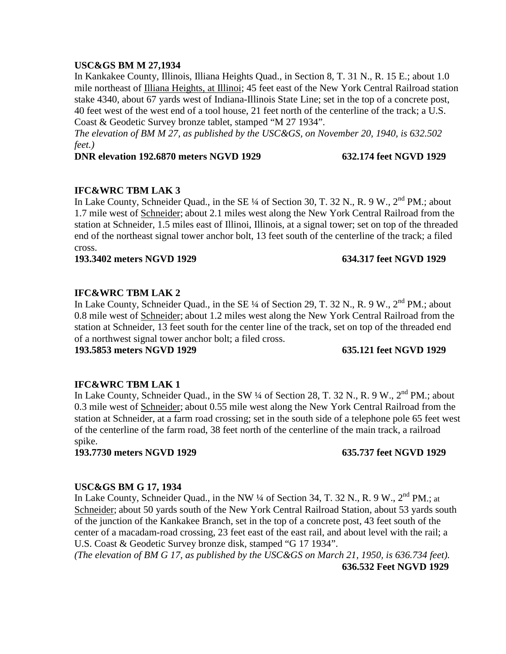## **USC&GS BM M 27,1934**

In Kankakee County, Illinois, Illiana Heights Quad., in Section 8, T. 31 N., R. 15 E.; about 1.0 mile northeast of Illiana Heights, at Illinoi; 45 feet east of the New York Central Railroad station stake 4340, about 67 yards west of Indiana-Illinois State Line; set in the top of a concrete post, 40 feet west of the west end of a tool house, 21 feet north of the centerline of the track; a U.S. Coast & Geodetic Survey bronze tablet, stamped "M 27 1934".

*The elevation of BM M 27, as published by the USC&GS, on November 20, 1940, is 632.502 feet.)*

## **DNR elevation 192.6870 meters NGVD 1929 632.174 feet NGVD 1929**

# **IFC&WRC TBM LAK 3**

In Lake County, Schneider Quad., in the SE ¼ of Section 30, T. 32 N., R. 9 W., 2<sup>nd</sup> PM.; about 1.7 mile west of Schneider; about 2.1 miles west along the New York Central Railroad from the station at Schneider, 1.5 miles east of Illinoi, Illinois, at a signal tower; set on top of the threaded end of the northeast signal tower anchor bolt, 13 feet south of the centerline of the track; a filed cross.

**193.3402 meters NGVD 1929 634.317 feet NGVD 1929**

# **IFC&WRC TBM LAK 2**

In Lake County, Schneider Quad., in the SE ¼ of Section 29, T. 32 N., R. 9 W., 2<sup>nd</sup> PM.; about 0.8 mile west of Schneider; about 1.2 miles west along the New York Central Railroad from the station at Schneider, 13 feet south for the center line of the track, set on top of the threaded end of a northwest signal tower anchor bolt; a filed cross.

## **193.5853 meters NGVD 1929 635.121 feet NGVD 1929**

## **IFC&WRC TBM LAK 1**

In Lake County, Schneider Quad., in the SW 1/4 of Section 28, T. 32 N., R. 9 W., 2<sup>nd</sup> PM.: about 0.3 mile west of Schneider; about 0.55 mile west along the New York Central Railroad from the station at Schneider, at a farm road crossing; set in the south side of a telephone pole 65 feet west of the centerline of the farm road, 38 feet north of the centerline of the main track, a railroad spike.

**193.7730 meters NGVD 1929 635.737 feet NGVD 1929**

## **USC&GS BM G 17, 1934**

In Lake County, Schneider Quad., in the NW  $\frac{1}{4}$  of Section 34, T. 32 N., R. 9 W.,  $2<sup>nd</sup>$  PM.; at Schneider; about 50 yards south of the New York Central Railroad Station, about 53 yards south of the junction of the Kankakee Branch, set in the top of a concrete post, 43 feet south of the center of a macadam-road crossing, 23 feet east of the east rail, and about level with the rail; a U.S. Coast & Geodetic Survey bronze disk, stamped "G 17 1934".

*(The elevation of BM G 17, as published by the USC&GS on March 21, 1950, is 636.734 feet).* **636.532 Feet NGVD 1929**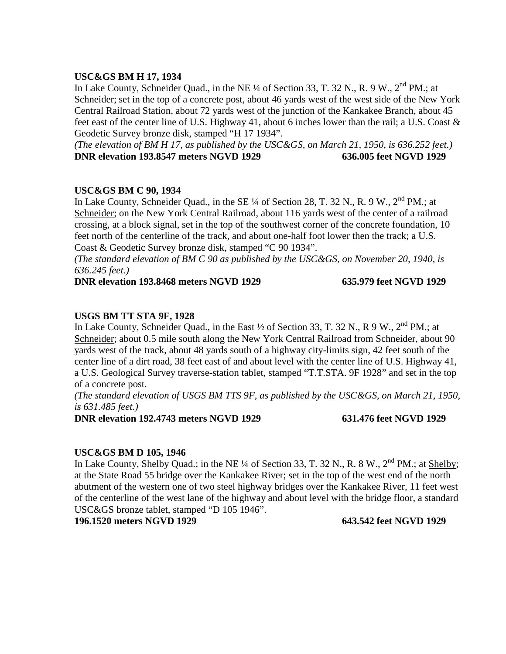## **USC&GS BM H 17, 1934**

In Lake County, Schneider Quad., in the NE  $\frac{1}{4}$  of Section 33, T. 32 N., R. 9 W.,  $2^{nd}$  PM.; at Schneider; set in the top of a concrete post, about 46 yards west of the west side of the New York Central Railroad Station, about 72 yards west of the junction of the Kankakee Branch, about 45 feet east of the center line of U.S. Highway 41, about 6 inches lower than the rail; a U.S. Coast & Geodetic Survey bronze disk, stamped "H 17 1934".

*(The elevation of BM H 17, as published by the USC&GS, on March 21, 1950, is 636.252 feet.)* **DNR elevation 193.8547 meters NGVD 1929 636.005 feet NGVD 1929**

# **USC&GS BM C 90, 1934**

In Lake County, Schneider Quad., in the SE  $\frac{1}{4}$  of Section 28, T. 32 N., R. 9 W.,  $2^{nd}$  PM.; at Schneider; on the New York Central Railroad, about 116 yards west of the center of a railroad crossing, at a block signal, set in the top of the southwest corner of the concrete foundation, 10 feet north of the centerline of the track, and about one-half foot lower then the track; a U.S. Coast & Geodetic Survey bronze disk, stamped "C 90 1934".

*(The standard elevation of BM C 90 as published by the USC&GS, on November 20, 1940, is 636.245 feet.)*

## **DNR elevation 193.8468 meters NGVD 1929 635.979 feet NGVD 1929**

## **USGS BM TT STA 9F, 1928**

In Lake County, Schneider Quad., in the East  $\frac{1}{2}$  of Section 33, T. 32 N., R 9 W.,  $2^{nd}$  PM.; at Schneider; about 0.5 mile south along the New York Central Railroad from Schneider, about 90 yards west of the track, about 48 yards south of a highway city-limits sign, 42 feet south of the center line of a dirt road, 38 feet east of and about level with the center line of U.S. Highway 41, a U.S. Geological Survey traverse-station tablet, stamped "T.T.STA. 9F 1928" and set in the top of a concrete post.

*(The standard elevation of USGS BM TTS 9F, as published by the USC&GS, on March 21, 1950, is 631.485 feet.)*

**DNR elevation 192.4743 meters NGVD 1929 631.476 feet NGVD 1929**

## **USC&GS BM D 105, 1946**

In Lake County, Shelby Quad.; in the NE  $\frac{1}{4}$  of Section 33, T. 32 N., R. 8 W.,  $2^{nd}$  PM.; at Shelby; at the State Road 55 bridge over the Kankakee River; set in the top of the west end of the north abutment of the western one of two steel highway bridges over the Kankakee River, 11 feet west of the centerline of the west lane of the highway and about level with the bridge floor, a standard USC&GS bronze tablet, stamped "D 105 1946".

**196.1520 meters NGVD 1929 643.542 feet NGVD 1929**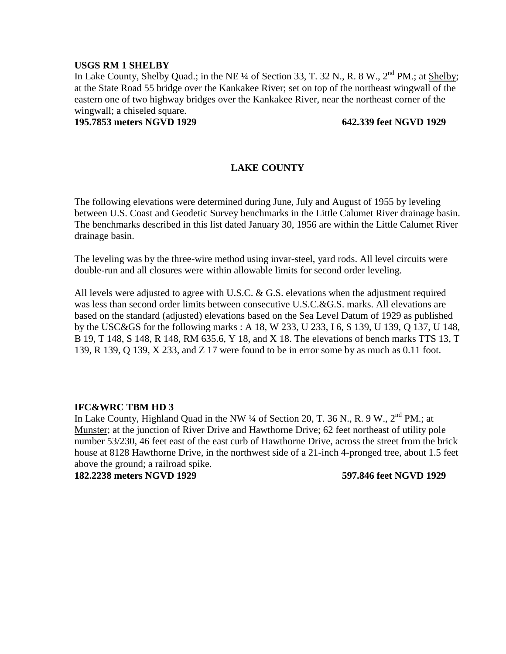## **USGS RM 1 SHELBY**

In Lake County, Shelby Quad.; in the NE ¼ of Section 33, T. 32 N., R. 8 W., 2<sup>nd</sup> PM.: at Shelby: at the State Road 55 bridge over the Kankakee River; set on top of the northeast wingwall of the eastern one of two highway bridges over the Kankakee River, near the northeast corner of the wingwall; a chiseled square.

**195.7853 meters NGVD 1929 642.339 feet NGVD 1929**

# **LAKE COUNTY**

The following elevations were determined during June, July and August of 1955 by leveling between U.S. Coast and Geodetic Survey benchmarks in the Little Calumet River drainage basin. The benchmarks described in this list dated January 30, 1956 are within the Little Calumet River drainage basin.

The leveling was by the three-wire method using invar-steel, yard rods. All level circuits were double-run and all closures were within allowable limits for second order leveling.

All levels were adjusted to agree with U.S.C. & G.S. elevations when the adjustment required was less than second order limits between consecutive U.S.C.&G.S. marks. All elevations are based on the standard (adjusted) elevations based on the Sea Level Datum of 1929 as published by the USC&GS for the following marks : A 18, W 233, U 233, I 6, S 139, U 139, Q 137, U 148, B 19, T 148, S 148, R 148, RM 635.6, Y 18, and X 18. The elevations of bench marks TTS 13, T 139, R 139, Q 139, X 233, and Z 17 were found to be in error some by as much as 0.11 foot.

## **IFC&WRC TBM HD 3**

In Lake County, Highland Quad in the NW  $\frac{1}{4}$  of Section 20, T. 36 N., R. 9 W.,  $2^{nd}$  PM.; at Munster; at the junction of River Drive and Hawthorne Drive; 62 feet northeast of utility pole number 53/230, 46 feet east of the east curb of Hawthorne Drive, across the street from the brick house at 8128 Hawthorne Drive, in the northwest side of a 21-inch 4-pronged tree, about 1.5 feet above the ground; a railroad spike.

**182.2238 meters NGVD 1929 597.846 feet NGVD 1929**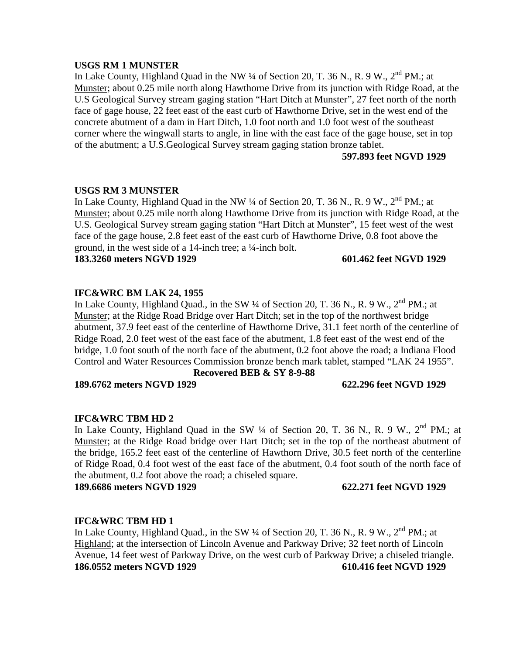## **USGS RM 1 MUNSTER**

In Lake County, Highland Quad in the NW  $\frac{1}{4}$  of Section 20, T. 36 N., R. 9 W.,  $2^{nd}$  PM.; at Munster; about 0.25 mile north along Hawthorne Drive from its junction with Ridge Road, at the U.S Geological Survey stream gaging station "Hart Ditch at Munster", 27 feet north of the north face of gage house, 22 feet east of the east curb of Hawthorne Drive, set in the west end of the concrete abutment of a dam in Hart Ditch, 1.0 foot north and 1.0 foot west of the southeast corner where the wingwall starts to angle, in line with the east face of the gage house, set in top of the abutment; a U.S.Geological Survey stream gaging station bronze tablet.

## **597.893 feet NGVD 1929**

## **USGS RM 3 MUNSTER**

In Lake County, Highland Quad in the NW  $\frac{1}{4}$  of Section 20, T. 36 N., R. 9 W.,  $2^{nd}$  PM.; at Munster; about 0.25 mile north along Hawthorne Drive from its junction with Ridge Road, at the U.S. Geological Survey stream gaging station "Hart Ditch at Munster", 15 feet west of the west face of the gage house, 2.8 feet east of the east curb of Hawthorne Drive, 0.8 foot above the ground, in the west side of a 14-inch tree; a ¼-inch bolt.

**183.3260 meters NGVD 1929 601.462 feet NGVD 1929**

## **IFC&WRC BM LAK 24, 1955**

In Lake County, Highland Quad., in the SW  $\frac{1}{4}$  of Section 20, T. 36 N., R. 9 W.,  $2^{nd}$  PM.; at Munster; at the Ridge Road Bridge over Hart Ditch; set in the top of the northwest bridge abutment, 37.9 feet east of the centerline of Hawthorne Drive, 31.1 feet north of the centerline of Ridge Road, 2.0 feet west of the east face of the abutment, 1.8 feet east of the west end of the bridge, 1.0 foot south of the north face of the abutment, 0.2 foot above the road; a Indiana Flood Control and Water Resources Commission bronze bench mark tablet, stamped "LAK 24 1955".

## **Recovered BEB & SY 8-9-88**

**189.6762 meters NGVD 1929 622.296 feet NGVD 1929**

## **IFC&WRC TBM HD 2**

In Lake County, Highland Quad in the SW  $\frac{1}{4}$  of Section 20, T. 36 N., R. 9 W.,  $2^{nd}$  PM.; at Munster; at the Ridge Road bridge over Hart Ditch; set in the top of the northeast abutment of the bridge, 165.2 feet east of the centerline of Hawthorn Drive, 30.5 feet north of the centerline of Ridge Road, 0.4 foot west of the east face of the abutment, 0.4 foot south of the north face of the abutment, 0.2 foot above the road; a chiseled square.

**189.6686 meters NGVD 1929 622.271 feet NGVD 1929**

## **IFC&WRC TBM HD 1**

In Lake County, Highland Quad., in the SW  $\frac{1}{4}$  of Section 20, T. 36 N., R. 9 W.,  $2^{nd}$  PM.; at Highland; at the intersection of Lincoln Avenue and Parkway Drive; 32 feet north of Lincoln Avenue, 14 feet west of Parkway Drive, on the west curb of Parkway Drive; a chiseled triangle. **186.0552 meters NGVD 1929 610.416 feet NGVD 1929**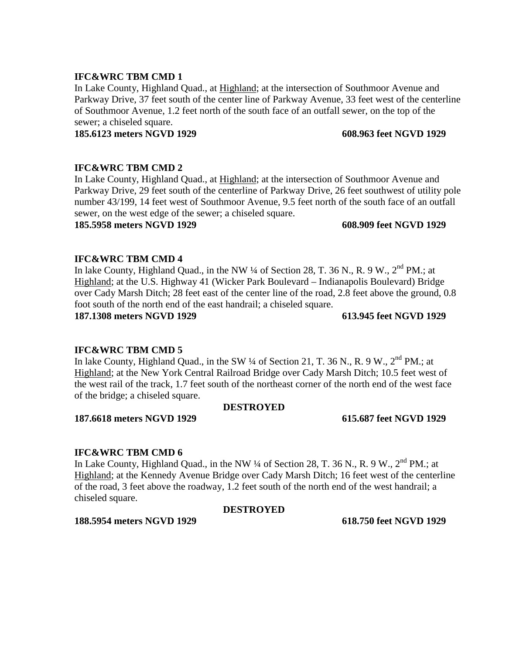In Lake County, Highland Quad., at Highland; at the intersection of Southmoor Avenue and Parkway Drive, 37 feet south of the center line of Parkway Avenue, 33 feet west of the centerline of Southmoor Avenue, 1.2 feet north of the south face of an outfall sewer, on the top of the sewer; a chiseled square.

## **185.6123 meters NGVD 1929 608.963 feet NGVD 1929**

## **IFC&WRC TBM CMD 2**

In Lake County, Highland Quad., at Highland; at the intersection of Southmoor Avenue and Parkway Drive, 29 feet south of the centerline of Parkway Drive, 26 feet southwest of utility pole number 43/199, 14 feet west of Southmoor Avenue, 9.5 feet north of the south face of an outfall sewer, on the west edge of the sewer; a chiseled square.

## **185.5958 meters NGVD 1929 608.909 feet NGVD 1929**

## **IFC&WRC TBM CMD 4**

In lake County, Highland Quad., in the NW  $\frac{1}{4}$  of Section 28, T. 36 N., R. 9 W.,  $2^{nd}$  PM.; at Highland; at the U.S. Highway 41 (Wicker Park Boulevard – Indianapolis Boulevard) Bridge over Cady Marsh Ditch; 28 feet east of the center line of the road, 2.8 feet above the ground, 0.8 foot south of the north end of the east handrail; a chiseled square.

**187.1308 meters NGVD 1929 613.945 feet NGVD 1929**

## **IFC&WRC TBM CMD 5**

In lake County, Highland Quad., in the SW  $\frac{1}{4}$  of Section 21, T. 36 N., R. 9 W.,  $2^{nd}$  PM.; at Highland; at the New York Central Railroad Bridge over Cady Marsh Ditch; 10.5 feet west of the west rail of the track, 1.7 feet south of the northeast corner of the north end of the west face of the bridge; a chiseled square.

## **DESTROYED**

**187.6618 meters NGVD 1929 615.687 feet NGVD 1929**

## **IFC&WRC TBM CMD 6**

In Lake County, Highland Quad., in the NW  $\frac{1}{4}$  of Section 28, T. 36 N., R. 9 W.,  $2^{nd}$  PM.: at Highland; at the Kennedy Avenue Bridge over Cady Marsh Ditch; 16 feet west of the centerline of the road, 3 feet above the roadway, 1.2 feet south of the north end of the west handrail; a chiseled square.

## **DESTROYED**

**188.5954 meters NGVD 1929 618.750 feet NGVD 1929**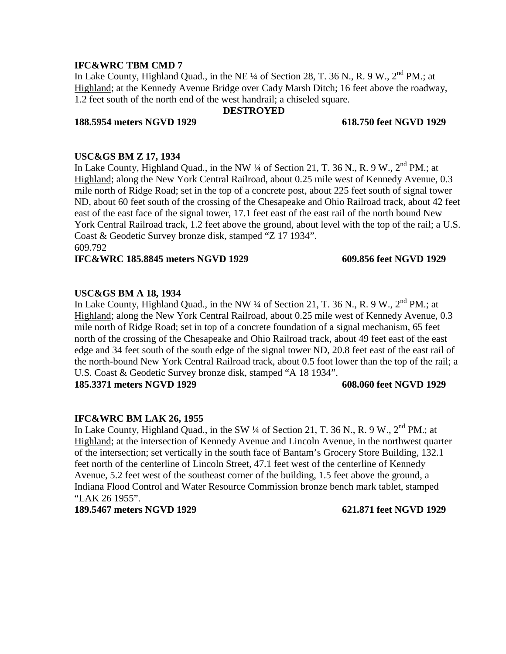In Lake County, Highland Quad., in the NE 1/4 of Section 28, T. 36 N., R. 9 W., 2<sup>nd</sup> PM.: at Highland; at the Kennedy Avenue Bridge over Cady Marsh Ditch; 16 feet above the roadway, 1.2 feet south of the north end of the west handrail; a chiseled square.

## **DESTROYED**

## **188.5954 meters NGVD 1929 618.750 feet NGVD 1929**

**USC&GS BM Z 17, 1934** In Lake County, Highland Quad., in the NW  $\frac{1}{4}$  of Section 21, T. 36 N., R. 9 W.,  $2^{nd}$  PM.; at Highland; along the New York Central Railroad, about 0.25 mile west of Kennedy Avenue, 0.3 mile north of Ridge Road; set in the top of a concrete post, about 225 feet south of signal tower ND, about 60 feet south of the crossing of the Chesapeake and Ohio Railroad track, about 42 feet east of the east face of the signal tower, 17.1 feet east of the east rail of the north bound New York Central Railroad track, 1.2 feet above the ground, about level with the top of the rail; a U.S. Coast & Geodetic Survey bronze disk, stamped "Z 17 1934". 609.792

## **IFC&WRC 185.8845 meters NGVD 1929 609.856 feet NGVD 1929**

## **USC&GS BM A 18, 1934**

In Lake County, Highland Quad., in the NW  $\frac{1}{4}$  of Section 21, T. 36 N., R. 9 W.,  $2^{nd}$  PM.; at Highland; along the New York Central Railroad, about 0.25 mile west of Kennedy Avenue, 0.3 mile north of Ridge Road; set in top of a concrete foundation of a signal mechanism, 65 feet north of the crossing of the Chesapeake and Ohio Railroad track, about 49 feet east of the east edge and 34 feet south of the south edge of the signal tower ND, 20.8 feet east of the east rail of the north-bound New York Central Railroad track, about 0.5 foot lower than the top of the rail; a U.S. Coast & Geodetic Survey bronze disk, stamped "A 18 1934".

**185.3371 meters NGVD 1929 608.060 feet NGVD 1929**

## **IFC&WRC BM LAK 26, 1955**

In Lake County, Highland Quad., in the SW 1/4 of Section 21, T. 36 N., R. 9 W., 2<sup>nd</sup> PM.: at Highland; at the intersection of Kennedy Avenue and Lincoln Avenue, in the northwest quarter of the intersection; set vertically in the south face of Bantam's Grocery Store Building, 132.1 feet north of the centerline of Lincoln Street, 47.1 feet west of the centerline of Kennedy Avenue, 5.2 feet west of the southeast corner of the building, 1.5 feet above the ground, a Indiana Flood Control and Water Resource Commission bronze bench mark tablet, stamped "LAK 26 1955".

**189.5467 meters NGVD 1929 621.871 feet NGVD 1929**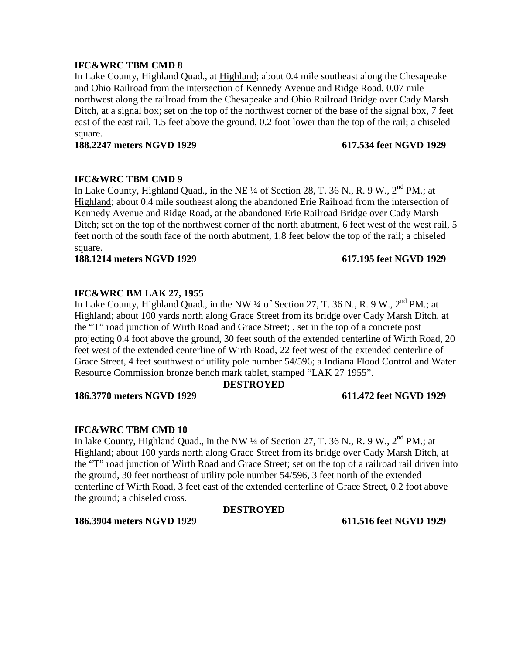In Lake County, Highland Quad., at Highland; about 0.4 mile southeast along the Chesapeake and Ohio Railroad from the intersection of Kennedy Avenue and Ridge Road, 0.07 mile northwest along the railroad from the Chesapeake and Ohio Railroad Bridge over Cady Marsh Ditch, at a signal box; set on the top of the northwest corner of the base of the signal box, 7 feet east of the east rail, 1.5 feet above the ground, 0.2 foot lower than the top of the rail; a chiseled square.

**188.2247 meters NGVD 1929 617.534 feet NGVD 1929**

## **IFC&WRC TBM CMD 9**

In Lake County, Highland Quad., in the NE 1/4 of Section 28, T. 36 N., R. 9 W., 2<sup>nd</sup> PM.; at Highland; about 0.4 mile southeast along the abandoned Erie Railroad from the intersection of Kennedy Avenue and Ridge Road, at the abandoned Erie Railroad Bridge over Cady Marsh Ditch; set on the top of the northwest corner of the north abutment, 6 feet west of the west rail, 5 feet north of the south face of the north abutment, 1.8 feet below the top of the rail; a chiseled square.

**188.1214 meters NGVD 1929 617.195 feet NGVD 1929**

# **IFC&WRC BM LAK 27, 1955**

In Lake County, Highland Quad., in the NW  $\frac{1}{4}$  of Section 27, T. 36 N., R. 9 W.,  $2^{nd}$  PM.; at Highland; about 100 yards north along Grace Street from its bridge over Cady Marsh Ditch, at the "T" road junction of Wirth Road and Grace Street; , set in the top of a concrete post projecting 0.4 foot above the ground, 30 feet south of the extended centerline of Wirth Road, 20 feet west of the extended centerline of Wirth Road, 22 feet west of the extended centerline of Grace Street, 4 feet southwest of utility pole number 54/596; a Indiana Flood Control and Water Resource Commission bronze bench mark tablet, stamped "LAK 27 1955".

## **DESTROYED**

## **186.3770 meters NGVD 1929 611.472 feet NGVD 1929**

## **IFC&WRC TBM CMD 10**

In lake County, Highland Quad., in the NW ¼ of Section 27, T. 36 N., R. 9 W., 2<sup>nd</sup> PM.; at Highland; about 100 yards north along Grace Street from its bridge over Cady Marsh Ditch, at the "T" road junction of Wirth Road and Grace Street; set on the top of a railroad rail driven into the ground, 30 feet northeast of utility pole number 54/596, 3 feet north of the extended centerline of Wirth Road, 3 feet east of the extended centerline of Grace Street, 0.2 foot above the ground; a chiseled cross.

## **DESTROYED**

**186.3904 meters NGVD 1929 611.516 feet NGVD 1929**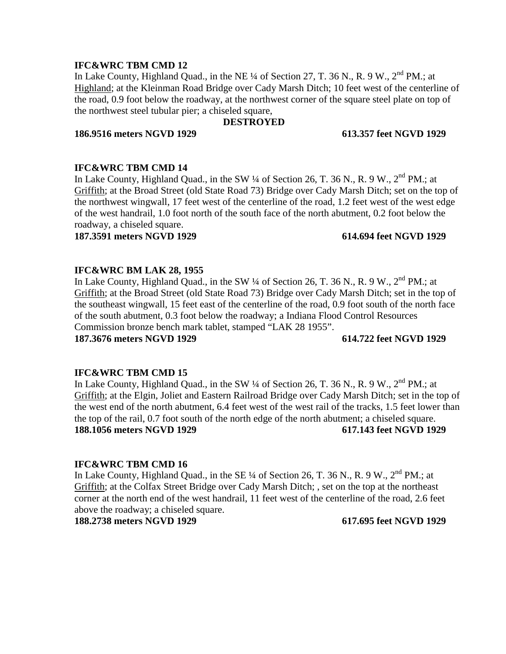In Lake County, Highland Quad., in the NE 1/4 of Section 27, T. 36 N., R. 9 W., 2<sup>nd</sup> PM.; at Highland; at the Kleinman Road Bridge over Cady Marsh Ditch; 10 feet west of the centerline of the road, 0.9 foot below the roadway, at the northwest corner of the square steel plate on top of the northwest steel tubular pier; a chiseled square,

# **DESTROYED**

## **186.9516 meters NGVD 1929 613.357 feet NGVD 1929**

## **IFC&WRC TBM CMD 14**

In Lake County, Highland Quad., in the SW  $\frac{1}{4}$  of Section 26, T. 36 N., R. 9 W.,  $2^{nd}$  PM.: at Griffith; at the Broad Street (old State Road 73) Bridge over Cady Marsh Ditch; set on the top of the northwest wingwall, 17 feet west of the centerline of the road, 1.2 feet west of the west edge of the west handrail, 1.0 foot north of the south face of the north abutment, 0.2 foot below the roadway, a chiseled square.

## **187.3591 meters NGVD 1929 614.694 feet NGVD 1929**

## **IFC&WRC BM LAK 28, 1955**

In Lake County, Highland Quad., in the SW  $\frac{1}{4}$  of Section 26, T. 36 N., R. 9 W.,  $2^{nd}$  PM.; at Griffith; at the Broad Street (old State Road 73) Bridge over Cady Marsh Ditch; set in the top of the southeast wingwall, 15 feet east of the centerline of the road, 0.9 foot south of the north face of the south abutment, 0.3 foot below the roadway; a Indiana Flood Control Resources Commission bronze bench mark tablet, stamped "LAK 28 1955". **187.3676 meters NGVD 1929 614.722 feet NGVD 1929**

## **IFC&WRC TBM CMD 15**

In Lake County, Highland Quad., in the SW  $\frac{1}{4}$  of Section 26, T. 36 N., R. 9 W.,  $2^{nd}$  PM.; at Griffith; at the Elgin, Joliet and Eastern Railroad Bridge over Cady Marsh Ditch; set in the top of the west end of the north abutment, 6.4 feet west of the west rail of the tracks, 1.5 feet lower than the top of the rail, 0.7 foot south of the north edge of the north abutment; a chiseled square. **188.1056 meters NGVD 1929 617.143 feet NGVD 1929**

## **IFC&WRC TBM CMD 16**

In Lake County, Highland Quad., in the SE  $\frac{1}{4}$  of Section 26, T. 36 N., R. 9 W.,  $2^{nd}$  PM.; at Griffith; at the Colfax Street Bridge over Cady Marsh Ditch; , set on the top at the northeast corner at the north end of the west handrail, 11 feet west of the centerline of the road, 2.6 feet above the roadway; a chiseled square.

**188.2738 meters NGVD 1929 617.695 feet NGVD 1929**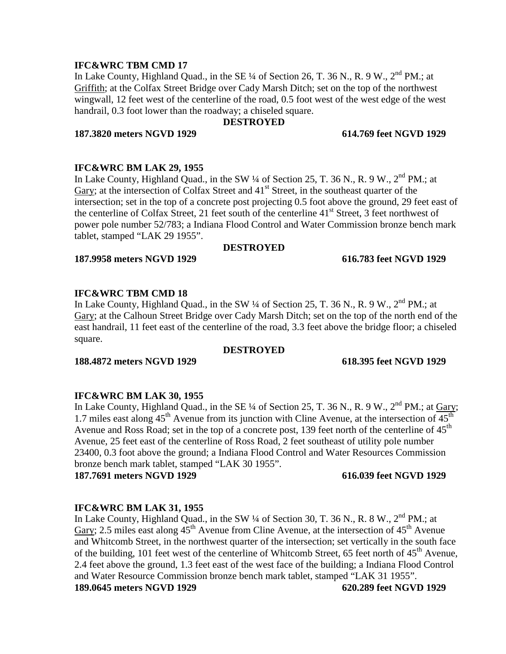In Lake County, Highland Quad., in the SE 1/4 of Section 26, T. 36 N., R. 9 W., 2<sup>nd</sup> PM.; at Griffith; at the Colfax Street Bridge over Cady Marsh Ditch; set on the top of the northwest wingwall, 12 feet west of the centerline of the road, 0.5 foot west of the west edge of the west handrail, 0.3 foot lower than the roadway; a chiseled square.

## **DESTROYED**

## **187.3820 meters NGVD 1929 614.769 feet NGVD 1929**

## **IFC&WRC BM LAK 29, 1955**

In Lake County, Highland Quad., in the SW  $\frac{1}{4}$  of Section 25, T. 36 N., R. 9 W.,  $2^{nd}$  PM.; at Gary; at the intersection of Colfax Street and  $41<sup>st</sup>$  Street, in the southeast quarter of the intersection; set in the top of a concrete post projecting 0.5 foot above the ground, 29 feet east of the centerline of Colfax Street, 21 feet south of the centerline 41<sup>st</sup> Street, 3 feet northwest of power pole number 52/783; a Indiana Flood Control and Water Commission bronze bench mark tablet, stamped "LAK 29 1955".

## **DESTROYED**

## **187.9958 meters NGVD 1929 616.783 feet NGVD 1929**

## **IFC&WRC TBM CMD 18**

In Lake County, Highland Quad., in the SW  $\frac{1}{4}$  of Section 25, T. 36 N., R. 9 W.,  $2^{nd}$  PM.: at Gary; at the Calhoun Street Bridge over Cady Marsh Ditch; set on the top of the north end of the east handrail, 11 feet east of the centerline of the road, 3.3 feet above the bridge floor; a chiseled square.

## **DESTROYED**

**188.4872 meters NGVD 1929 618.395 feet NGVD 1929**

## **IFC&WRC BM LAK 30, 1955**

In Lake County, Highland Quad., in the SE  $\frac{1}{4}$  of Section 25, T. 36 N., R. 9 W.,  $2^{nd}$  PM.; at Gary; 1.7 miles east along  $45<sup>th</sup>$  Avenue from its junction with Cline Avenue, at the intersection of  $45<sup>th</sup>$ Avenue and Ross Road; set in the top of a concrete post, 139 feet north of the centerline of  $45<sup>th</sup>$ Avenue, 25 feet east of the centerline of Ross Road, 2 feet southeast of utility pole number 23400, 0.3 foot above the ground; a Indiana Flood Control and Water Resources Commission bronze bench mark tablet, stamped "LAK 30 1955".

**187.7691 meters NGVD 1929 616.039 feet NGVD 1929**

## **IFC&WRC BM LAK 31, 1955**

In Lake County, Highland Quad., in the SW 1/4 of Section 30, T. 36 N., R. 8 W., 2<sup>nd</sup> PM.; at Gary; 2.5 miles east along  $45<sup>th</sup>$  Avenue from Cline Avenue, at the intersection of  $45<sup>th</sup>$  Avenue and Whitcomb Street, in the northwest quarter of the intersection; set vertically in the south face of the building, 101 feet west of the centerline of Whitcomb Street, 65 feet north of  $45<sup>th</sup>$  Avenue, 2.4 feet above the ground, 1.3 feet east of the west face of the building; a Indiana Flood Control and Water Resource Commission bronze bench mark tablet, stamped "LAK 31 1955". **189.0645 meters NGVD 1929 620.289 feet NGVD 1929**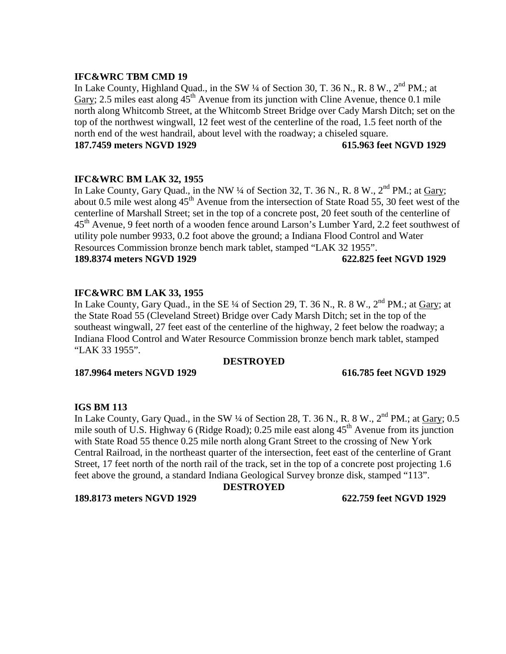In Lake County, Highland Quad., in the SW 1/4 of Section 30, T. 36 N., R. 8 W., 2<sup>nd</sup> PM.; at Gary; 2.5 miles east along  $45<sup>th</sup>$  Avenue from its junction with Cline Avenue, thence 0.1 mile north along Whitcomb Street, at the Whitcomb Street Bridge over Cady Marsh Ditch; set on the top of the northwest wingwall, 12 feet west of the centerline of the road, 1.5 feet north of the north end of the west handrail, about level with the roadway; a chiseled square. **187.7459 meters NGVD 1929 615.963 feet NGVD 1929**

# **IFC&WRC BM LAK 32, 1955**

In Lake County, Gary Quad., in the NW  $\frac{1}{4}$  of Section 32, T. 36 N., R. 8 W.,  $2^{nd}$  PM.; at Gary; about 0.5 mile west along  $45<sup>th</sup>$  Avenue from the intersection of State Road 55, 30 feet west of the centerline of Marshall Street; set in the top of a concrete post, 20 feet south of the centerline of 45<sup>th</sup> Avenue, 9 feet north of a wooden fence around Larson's Lumber Yard, 2.2 feet southwest of utility pole number 9933, 0.2 foot above the ground; a Indiana Flood Control and Water Resources Commission bronze bench mark tablet, stamped "LAK 32 1955". **189.8374 meters NGVD 1929 622.825 feet NGVD 1929**

# **IFC&WRC BM LAK 33, 1955**

In Lake County, Gary Quad., in the SE  $\frac{1}{4}$  of Section 29, T. 36 N., R. 8 W.,  $2^{nd}$  PM.; at Gary; at the State Road 55 (Cleveland Street) Bridge over Cady Marsh Ditch; set in the top of the southeast wingwall, 27 feet east of the centerline of the highway, 2 feet below the roadway; a Indiana Flood Control and Water Resource Commission bronze bench mark tablet, stamped "LAK 33 1955".

## **DESTROYED**

**187.9964 meters NGVD 1929 616.785 feet NGVD 1929**

## **IGS BM 113**

In Lake County, Gary Quad., in the SW  $\frac{1}{4}$  of Section 28, T. 36 N., R. 8 W.,  $2^{nd}$  PM.; at Gary; 0.5 mile south of U.S. Highway 6 (Ridge Road); 0.25 mile east along  $45<sup>th</sup>$  Avenue from its junction with State Road 55 thence 0.25 mile north along Grant Street to the crossing of New York Central Railroad, in the northeast quarter of the intersection, feet east of the centerline of Grant Street, 17 feet north of the north rail of the track, set in the top of a concrete post projecting 1.6 feet above the ground, a standard Indiana Geological Survey bronze disk, stamped "113".

## **DESTROYED**

**189.8173 meters NGVD 1929 622.759 feet NGVD 1929**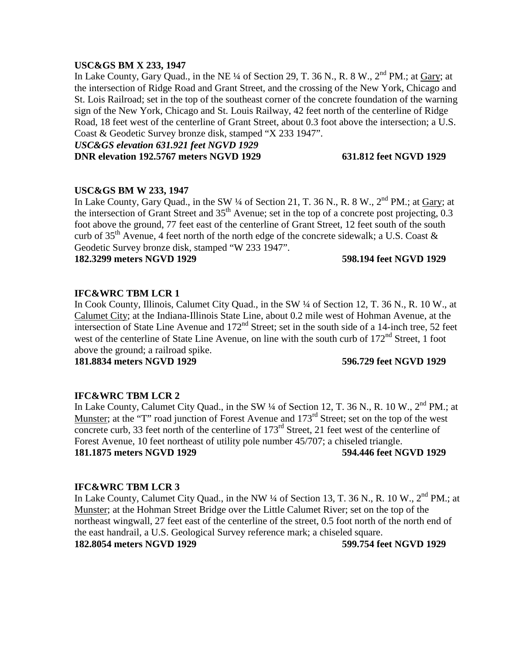## **USC&GS BM X 233, 1947**

In Lake County, Gary Quad., in the NE  $\frac{1}{4}$  of Section 29, T. 36 N., R. 8 W.,  $2^{nd}$  PM.; at Gary; at the intersection of Ridge Road and Grant Street, and the crossing of the New York, Chicago and St. Lois Railroad; set in the top of the southeast corner of the concrete foundation of the warning sign of the New York, Chicago and St. Louis Railway, 42 feet north of the centerline of Ridge Road, 18 feet west of the centerline of Grant Street, about 0.3 foot above the intersection; a U.S. Coast & Geodetic Survey bronze disk, stamped "X 233 1947".

*USC&GS elevation 631.921 feet NGVD 1929* **DNR elevation 192.5767 meters NGVD 1929 631.812 feet NGVD 1929**

## **USC&GS BM W 233, 1947**

In Lake County, Gary Quad., in the SW 1/4 of Section 21, T. 36 N., R. 8 W., 2<sup>nd</sup> PM.; at Gary; at the intersection of Grant Street and 35<sup>th</sup> Avenue; set in the top of a concrete post projecting, 0.3 foot above the ground, 77 feet east of the centerline of Grant Street, 12 feet south of the south curb of 35<sup>th</sup> Avenue, 4 feet north of the north edge of the concrete sidewalk; a U.S. Coast  $\&$ Geodetic Survey bronze disk, stamped "W 233 1947".

**182.3299 meters NGVD 1929 598.194 feet NGVD 1929**

## **IFC&WRC TBM LCR 1**

In Cook County, Illinois, Calumet City Quad., in the SW ¼ of Section 12, T. 36 N., R. 10 W., at Calumet City; at the Indiana-Illinois State Line, about 0.2 mile west of Hohman Avenue, at the intersection of State Line Avenue and 172<sup>nd</sup> Street; set in the south side of a 14-inch tree, 52 feet west of the centerline of State Line Avenue, on line with the south curb of  $172<sup>nd</sup>$  Street, 1 foot above the ground; a railroad spike.

**181.8834 meters NGVD 1929 596.729 feet NGVD 1929**

## **IFC&WRC TBM LCR 2**

In Lake County, Calumet City Quad., in the SW  $\frac{1}{4}$  of Section 12, T. 36 N., R. 10 W.,  $2^{nd}$  PM.; at Munster; at the "T" road junction of Forest Avenue and 173<sup>rd</sup> Street; set on the top of the west concrete curb, 33 feet north of the centerline of  $173<sup>rd</sup>$  Street, 21 feet west of the centerline of Forest Avenue, 10 feet northeast of utility pole number 45/707; a chiseled triangle. **181.1875 meters NGVD 1929 594.446 feet NGVD 1929**

## **IFC&WRC TBM LCR 3**

In Lake County, Calumet City Quad., in the NW  $\frac{1}{4}$  of Section 13, T. 36 N., R. 10 W.,  $2^{nd}$  PM.; at Munster; at the Hohman Street Bridge over the Little Calumet River; set on the top of the northeast wingwall, 27 feet east of the centerline of the street, 0.5 foot north of the north end of the east handrail, a U.S. Geological Survey reference mark; a chiseled square. **182.8054 meters NGVD 1929 599.754 feet NGVD 1929**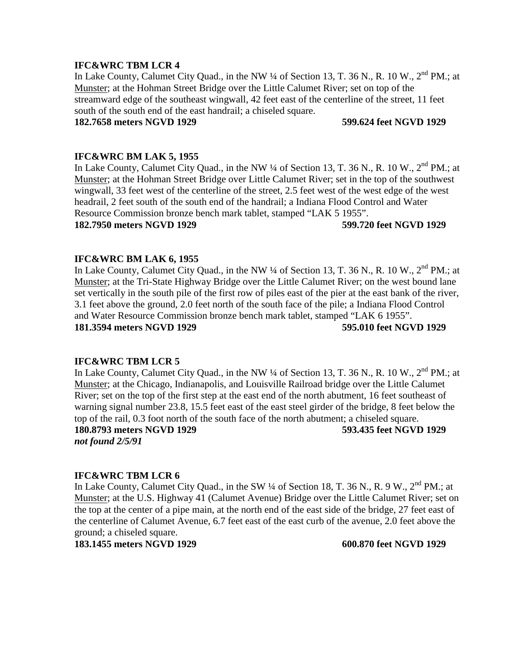In Lake County, Calumet City Quad., in the NW ¼ of Section 13, T. 36 N., R. 10 W., 2<sup>nd</sup> PM.; at Munster; at the Hohman Street Bridge over the Little Calumet River; set on top of the streamward edge of the southeast wingwall, 42 feet east of the centerline of the street, 11 feet south of the south end of the east handrail; a chiseled square.

## **182.7658 meters NGVD 1929 599.624 feet NGVD 1929**

## **IFC&WRC BM LAK 5, 1955**

In Lake County, Calumet City Quad., in the NW  $\frac{1}{4}$  of Section 13, T. 36 N., R. 10 W.,  $2^{nd}$  PM.; at Munster; at the Hohman Street Bridge over Little Calumet River; set in the top of the southwest wingwall, 33 feet west of the centerline of the street, 2.5 feet west of the west edge of the west headrail, 2 feet south of the south end of the handrail; a Indiana Flood Control and Water Resource Commission bronze bench mark tablet, stamped "LAK 5 1955".

## **182.7950 meters NGVD 1929 599.720 feet NGVD 1929**

## **IFC&WRC BM LAK 6, 1955**

In Lake County, Calumet City Quad., in the NW ¼ of Section 13, T. 36 N., R. 10 W., 2<sup>nd</sup> PM.; at Munster; at the Tri-State Highway Bridge over the Little Calumet River; on the west bound lane set vertically in the south pile of the first row of piles east of the pier at the east bank of the river, 3.1 feet above the ground, 2.0 feet north of the south face of the pile; a Indiana Flood Control and Water Resource Commission bronze bench mark tablet, stamped "LAK 6 1955". **181.3594 meters NGVD 1929 595.010 feet NGVD 1929**

## **IFC&WRC TBM LCR 5**

In Lake County, Calumet City Quad., in the NW  $\frac{1}{4}$  of Section 13, T. 36 N., R. 10 W.,  $2^{nd}$  PM.; at Munster; at the Chicago, Indianapolis, and Louisville Railroad bridge over the Little Calumet River; set on the top of the first step at the east end of the north abutment, 16 feet southeast of warning signal number 23.8, 15.5 feet east of the east steel girder of the bridge, 8 feet below the top of the rail, 0.3 foot north of the south face of the north abutment; a chiseled square.

*not found 2/5/91*

**180.8793 meters NGVD 1929 593.435 feet NGVD 1929**

## **IFC&WRC TBM LCR 6**

In Lake County, Calumet City Quad., in the SW 1/4 of Section 18, T. 36 N., R. 9 W., 2<sup>nd</sup> PM.; at Munster; at the U.S. Highway 41 (Calumet Avenue) Bridge over the Little Calumet River; set on the top at the center of a pipe main, at the north end of the east side of the bridge, 27 feet east of the centerline of Calumet Avenue, 6.7 feet east of the east curb of the avenue, 2.0 feet above the ground; a chiseled square.

**183.1455 meters NGVD 1929 600.870 feet NGVD 1929**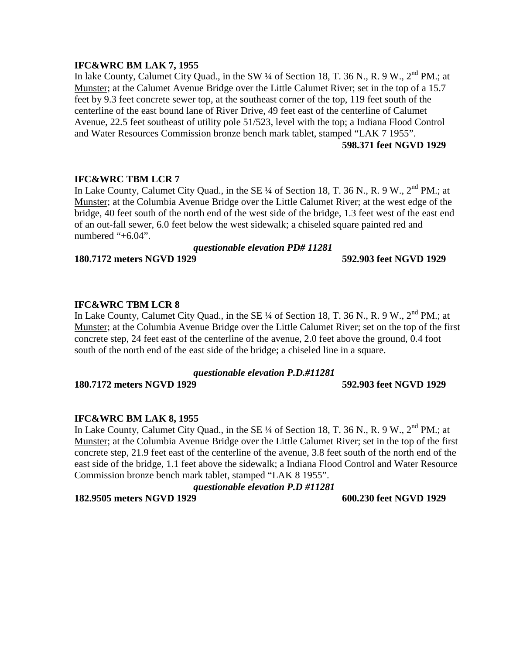## **IFC&WRC BM LAK 7, 1955**

In lake County, Calumet City Quad., in the SW 1/4 of Section 18, T. 36 N., R. 9 W., 2<sup>nd</sup> PM.: at Munster; at the Calumet Avenue Bridge over the Little Calumet River; set in the top of a 15.7 feet by 9.3 feet concrete sewer top, at the southeast corner of the top, 119 feet south of the centerline of the east bound lane of River Drive, 49 feet east of the centerline of Calumet Avenue, 22.5 feet southeast of utility pole 51/523, level with the top; a Indiana Flood Control and Water Resources Commission bronze bench mark tablet, stamped "LAK 7 1955". **598.371 feet NGVD 1929**

## **IFC&WRC TBM LCR 7**

In Lake County, Calumet City Quad., in the SE ¼ of Section 18, T. 36 N., R. 9 W., 2<sup>nd</sup> PM.; at Munster; at the Columbia Avenue Bridge over the Little Calumet River; at the west edge of the bridge, 40 feet south of the north end of the west side of the bridge, 1.3 feet west of the east end of an out-fall sewer, 6.0 feet below the west sidewalk; a chiseled square painted red and numbered "+6.04".

## *questionable elevation PD# 11281*

**180.7172 meters NGVD 1929 592.903 feet NGVD 1929**

## **IFC&WRC TBM LCR 8**

In Lake County, Calumet City Quad., in the SE  $\frac{1}{4}$  of Section 18, T. 36 N., R. 9 W.,  $2^{nd}$  PM.; at Munster; at the Columbia Avenue Bridge over the Little Calumet River; set on the top of the first concrete step, 24 feet east of the centerline of the avenue, 2.0 feet above the ground, 0.4 foot south of the north end of the east side of the bridge; a chiseled line in a square.

## *questionable elevation P.D.#11281*

**180.7172 meters NGVD 1929 592.903 feet NGVD 1929**

## **IFC&WRC BM LAK 8, 1955**

In Lake County, Calumet City Quad., in the SE ¼ of Section 18, T. 36 N., R. 9 W., 2<sup>nd</sup> PM.: at Munster; at the Columbia Avenue Bridge over the Little Calumet River; set in the top of the first concrete step, 21.9 feet east of the centerline of the avenue, 3.8 feet south of the north end of the east side of the bridge, 1.1 feet above the sidewalk; a Indiana Flood Control and Water Resource Commission bronze bench mark tablet, stamped "LAK 8 1955".

## *questionable elevation P.D #11281*

**182.9505 meters NGVD 1929 600.230 feet NGVD 1929**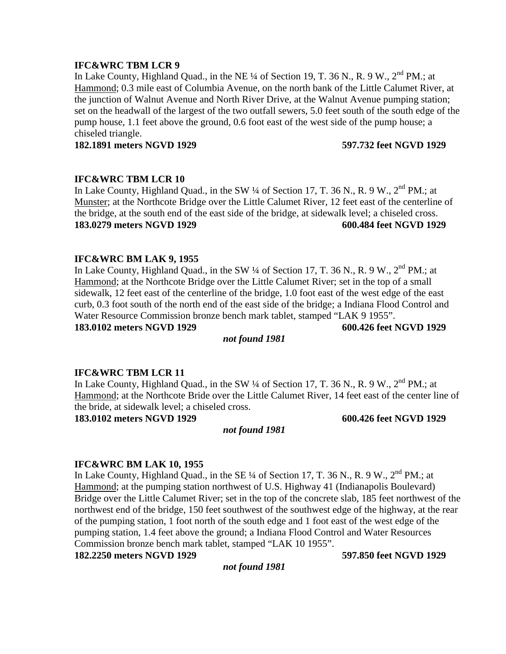In Lake County, Highland Quad., in the NE  $\frac{1}{4}$  of Section 19, T. 36 N., R. 9 W.,  $2^{nd}$  PM.: at Hammond; 0.3 mile east of Columbia Avenue, on the north bank of the Little Calumet River, at the junction of Walnut Avenue and North River Drive, at the Walnut Avenue pumping station; set on the headwall of the largest of the two outfall sewers, 5.0 feet south of the south edge of the pump house, 1.1 feet above the ground, 0.6 foot east of the west side of the pump house; a chiseled triangle.

**182.1891 meters NGVD 1929 597.732 feet NGVD 1929**

## **IFC&WRC TBM LCR 10**

In Lake County, Highland Quad., in the SW 1/4 of Section 17, T. 36 N., R. 9 W., 2<sup>nd</sup> PM.: at Munster; at the Northcote Bridge over the Little Calumet River, 12 feet east of the centerline of the bridge, at the south end of the east side of the bridge, at sidewalk level; a chiseled cross. **183.0279 meters NGVD 1929 600.484 feet NGVD 1929**

## **IFC&WRC BM LAK 9, 1955**

In Lake County, Highland Quad., in the SW  $\frac{1}{4}$  of Section 17, T. 36 N., R. 9 W.,  $2^{nd}$  PM.; at Hammond; at the Northcote Bridge over the Little Calumet River; set in the top of a small sidewalk, 12 feet east of the centerline of the bridge, 1.0 foot east of the west edge of the east curb, 0.3 foot south of the north end of the east side of the bridge; a Indiana Flood Control and Water Resource Commission bronze bench mark tablet, stamped "LAK 9 1955". **183.0102 meters NGVD 1929 600.426 feet NGVD 1929**

## *not found 1981*

## **IFC&WRC TBM LCR 11**

In Lake County, Highland Quad., in the SW 1/4 of Section 17, T. 36 N., R. 9 W., 2<sup>nd</sup> PM.; at Hammond; at the Northcote Bride over the Little Calumet River, 14 feet east of the center line of the bride, at sidewalk level; a chiseled cross.

**183.0102 meters NGVD 1929 600.426 feet NGVD 1929**

## *not found 1981*

## **IFC&WRC BM LAK 10, 1955**

In Lake County, Highland Quad., in the SE  $\frac{1}{4}$  of Section 17, T. 36 N., R. 9 W.,  $2^{nd}$  PM.; at Hammond; at the pumping station northwest of U.S. Highway 41 (Indianapolis Boulevard) Bridge over the Little Calumet River; set in the top of the concrete slab, 185 feet northwest of the northwest end of the bridge, 150 feet southwest of the southwest edge of the highway, at the rear of the pumping station, 1 foot north of the south edge and 1 foot east of the west edge of the pumping station, 1.4 feet above the ground; a Indiana Flood Control and Water Resources Commission bronze bench mark tablet, stamped "LAK 10 1955".

**182.2250 meters NGVD 1929 597.850 feet NGVD 1929**

*not found 1981*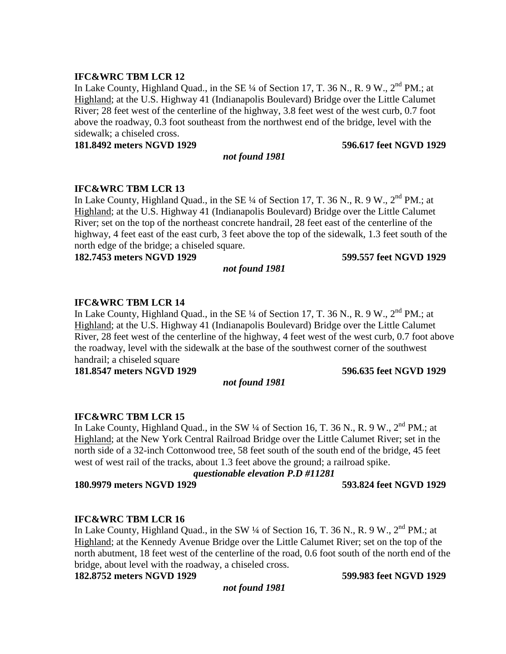In Lake County, Highland Quad., in the SE  $\frac{1}{4}$  of Section 17, T. 36 N., R. 9 W.,  $2^{nd}$  PM.; at Highland; at the U.S. Highway 41 (Indianapolis Boulevard) Bridge over the Little Calumet River; 28 feet west of the centerline of the highway, 3.8 feet west of the west curb, 0.7 foot above the roadway, 0.3 foot southeast from the northwest end of the bridge, level with the sidewalk; a chiseled cross.

**181.8492 meters NGVD 1929 596.617 feet NGVD 1929**

# **IFC&WRC TBM LCR 13**

In Lake County, Highland Quad., in the SE  $\frac{1}{4}$  of Section 17, T. 36 N., R. 9 W.,  $2^{nd}$  PM.; at Highland; at the U.S. Highway 41 (Indianapolis Boulevard) Bridge over the Little Calumet River; set on the top of the northeast concrete handrail, 28 feet east of the centerline of the highway, 4 feet east of the east curb, 3 feet above the top of the sidewalk, 1.3 feet south of the north edge of the bridge; a chiseled square.

**182.7453 meters NGVD 1929 599.557 feet NGVD 1929**

## *not found 1981*

## **IFC&WRC TBM LCR 14**

In Lake County, Highland Quad., in the SE  $\frac{1}{4}$  of Section 17, T. 36 N., R. 9 W.,  $2^{nd}$  PM.; at Highland; at the U.S. Highway 41 (Indianapolis Boulevard) Bridge over the Little Calumet River, 28 feet west of the centerline of the highway, 4 feet west of the west curb, 0.7 foot above the roadway, level with the sidewalk at the base of the southwest corner of the southwest handrail: a chiseled square

**181.8547 meters NGVD 1929 596.635 feet NGVD 1929**

## *not found 1981*

## **IFC&WRC TBM LCR 15**

In Lake County, Highland Quad., in the SW  $\frac{1}{4}$  of Section 16, T. 36 N., R. 9 W.,  $2^{nd}$  PM.; at Highland; at the New York Central Railroad Bridge over the Little Calumet River; set in the north side of a 32-inch Cottonwood tree, 58 feet south of the south end of the bridge, 45 feet west of west rail of the tracks, about 1.3 feet above the ground; a railroad spike.

*questionable elevation P.D #11281*

**180.9979 meters NGVD 1929 593.824 feet NGVD 1929**

# **IFC&WRC TBM LCR 16**

In Lake County, Highland Quad., in the SW 1/4 of Section 16, T. 36 N., R. 9 W., 2<sup>nd</sup> PM.; at Highland; at the Kennedy Avenue Bridge over the Little Calumet River; set on the top of the north abutment, 18 feet west of the centerline of the road, 0.6 foot south of the north end of the bridge, about level with the roadway, a chiseled cross.

**182.8752 meters NGVD 1929 599.983 feet NGVD 1929**

*not found 1981*

*not found 1981*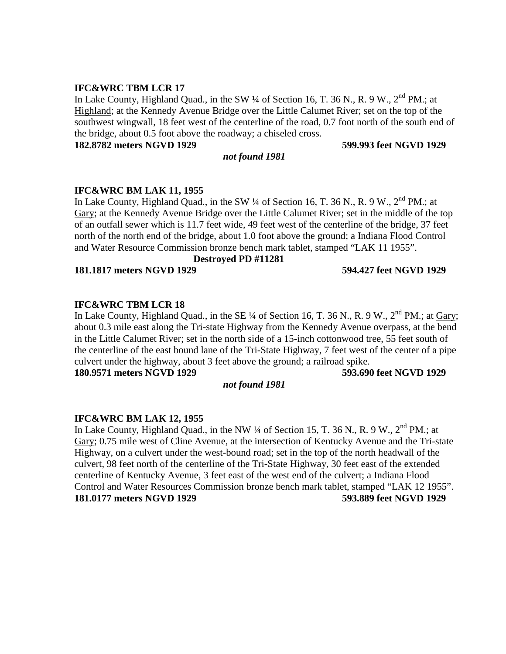In Lake County, Highland Quad., in the SW  $\frac{1}{4}$  of Section 16, T. 36 N., R. 9 W.,  $2^{nd}$  PM.; at Highland; at the Kennedy Avenue Bridge over the Little Calumet River; set on the top of the southwest wingwall, 18 feet west of the centerline of the road, 0.7 foot north of the south end of the bridge, about 0.5 foot above the roadway; a chiseled cross.

**182.8782 meters NGVD 1929 599.993 feet NGVD 1929**

## *not found 1981*

## **IFC&WRC BM LAK 11, 1955**

In Lake County, Highland Quad., in the SW  $\frac{1}{4}$  of Section 16, T. 36 N., R. 9 W.,  $2^{nd}$  PM.; at Gary; at the Kennedy Avenue Bridge over the Little Calumet River; set in the middle of the top of an outfall sewer which is 11.7 feet wide, 49 feet west of the centerline of the bridge, 37 feet north of the north end of the bridge, about 1.0 foot above the ground; a Indiana Flood Control and Water Resource Commission bronze bench mark tablet, stamped "LAK 11 1955".

## **Destroyed PD #11281**

**181.1817 meters NGVD 1929 594.427 feet NGVD 1929**

# **IFC&WRC TBM LCR 18**

In Lake County, Highland Quad., in the SE  $\frac{1}{4}$  of Section 16, T. 36 N., R. 9 W.,  $2<sup>nd</sup>$  PM.; at Gary; about 0.3 mile east along the Tri-state Highway from the Kennedy Avenue overpass, at the bend in the Little Calumet River; set in the north side of a 15-inch cottonwood tree, 55 feet south of the centerline of the east bound lane of the Tri-State Highway, 7 feet west of the center of a pipe culvert under the highway, about 3 feet above the ground; a railroad spike.

**180.9571 meters NGVD 1929 593.690 feet NGVD 1929**

## *not found 1981*

# **IFC&WRC BM LAK 12, 1955**

In Lake County, Highland Quad., in the NW ¼ of Section 15, T. 36 N., R. 9 W., 2<sup>nd</sup> PM.: at Gary; 0.75 mile west of Cline Avenue, at the intersection of Kentucky Avenue and the Tri-state Highway, on a culvert under the west-bound road; set in the top of the north headwall of the culvert, 98 feet north of the centerline of the Tri-State Highway, 30 feet east of the extended centerline of Kentucky Avenue, 3 feet east of the west end of the culvert; a Indiana Flood Control and Water Resources Commission bronze bench mark tablet, stamped "LAK 12 1955". **181.0177 meters NGVD 1929 593.889 feet NGVD 1929**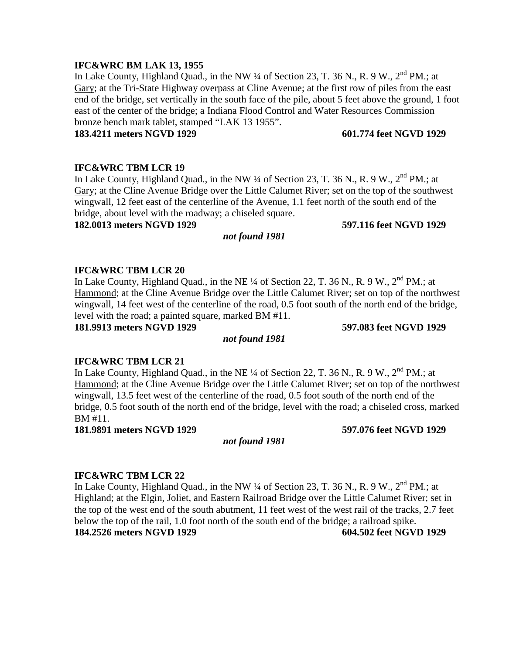## **IFC&WRC BM LAK 13, 1955**

In Lake County, Highland Quad., in the NW  $\frac{1}{4}$  of Section 23, T. 36 N., R. 9 W.,  $2^{nd}$  PM.; at Gary; at the Tri-State Highway overpass at Cline Avenue; at the first row of piles from the east end of the bridge, set vertically in the south face of the pile, about 5 feet above the ground, 1 foot east of the center of the bridge; a Indiana Flood Control and Water Resources Commission bronze bench mark tablet, stamped "LAK 13 1955".

## **183.4211 meters NGVD 1929 601.774 feet NGVD 1929**

## **IFC&WRC TBM LCR 19**

In Lake County, Highland Quad., in the NW  $\frac{1}{4}$  of Section 23, T. 36 N., R. 9 W.,  $2^{nd}$  PM.: at Gary; at the Cline Avenue Bridge over the Little Calumet River; set on the top of the southwest wingwall, 12 feet east of the centerline of the Avenue, 1.1 feet north of the south end of the bridge, about level with the roadway; a chiseled square.

## **182.0013 meters NGVD 1929 597.116 feet NGVD 1929**

## **IFC&WRC TBM LCR 20**

In Lake County, Highland Quad., in the NE ¼ of Section 22, T. 36 N., R. 9 W.,  $2^{nd}$  PM.; at Hammond; at the Cline Avenue Bridge over the Little Calumet River; set on top of the northwest wingwall, 14 feet west of the centerline of the road, 0.5 foot south of the north end of the bridge, level with the road; a painted square, marked BM #11.

**181.9913 meters NGVD 1929 597.083 feet NGVD 1929**

## *not found 1981*

## **IFC&WRC TBM LCR 21**

In Lake County, Highland Quad., in the NE  $\frac{1}{4}$  of Section 22, T. 36 N., R. 9 W.,  $2^{nd}$  PM.; at Hammond; at the Cline Avenue Bridge over the Little Calumet River; set on top of the northwest wingwall, 13.5 feet west of the centerline of the road, 0.5 foot south of the north end of the bridge, 0.5 foot south of the north end of the bridge, level with the road; a chiseled cross, marked BM #11.

**181.9891 meters NGVD 1929 597.076 feet NGVD 1929**

## *not found 1981*

## **IFC&WRC TBM LCR 22**

In Lake County, Highland Quad., in the NW  $\frac{1}{4}$  of Section 23, T. 36 N., R. 9 W.,  $2^{nd}$  PM.; at Highland; at the Elgin, Joliet, and Eastern Railroad Bridge over the Little Calumet River; set in the top of the west end of the south abutment, 11 feet west of the west rail of the tracks, 2.7 feet below the top of the rail, 1.0 foot north of the south end of the bridge; a railroad spike. **184.2526 meters NGVD 1929 604.502 feet NGVD 1929**

# *not found 1981*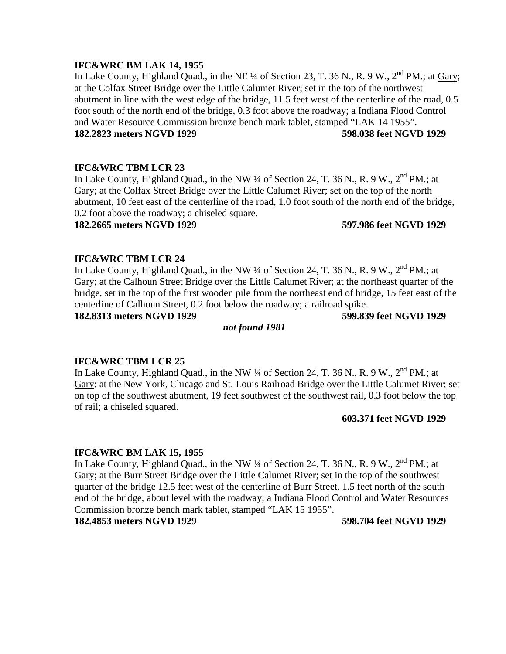## **IFC&WRC BM LAK 14, 1955**

In Lake County, Highland Quad., in the NE  $\frac{1}{4}$  of Section 23, T. 36 N., R. 9 W.,  $2^{nd}$  PM.; at Gary; at the Colfax Street Bridge over the Little Calumet River; set in the top of the northwest abutment in line with the west edge of the bridge, 11.5 feet west of the centerline of the road, 0.5 foot south of the north end of the bridge, 0.3 foot above the roadway; a Indiana Flood Control and Water Resource Commission bronze bench mark tablet, stamped "LAK 14 1955". **182.2823 meters NGVD 1929 598.038 feet NGVD 1929**

## **IFC&WRC TBM LCR 23**

In Lake County, Highland Quad., in the NW  $\frac{1}{4}$  of Section 24, T. 36 N., R. 9 W.,  $2^{nd}$  PM.: at Gary; at the Colfax Street Bridge over the Little Calumet River; set on the top of the north abutment, 10 feet east of the centerline of the road, 1.0 foot south of the north end of the bridge, 0.2 foot above the roadway; a chiseled square.

## **182.2665 meters NGVD 1929 597.986 feet NGVD 1929**

## **IFC&WRC TBM LCR 24**

In Lake County, Highland Quad., in the NW  $\frac{1}{4}$  of Section 24, T. 36 N., R. 9 W.,  $2^{nd}$  PM.; at Gary; at the Calhoun Street Bridge over the Little Calumet River; at the northeast quarter of the bridge, set in the top of the first wooden pile from the northeast end of bridge, 15 feet east of the centerline of Calhoun Street, 0.2 foot below the roadway; a railroad spike.

**182.8313 meters NGVD 1929 599.839 feet NGVD 1929**

## *not found 1981*

## **IFC&WRC TBM LCR 25**

In Lake County, Highland Quad., in the NW  $\frac{1}{4}$  of Section 24, T. 36 N., R. 9 W.,  $2^{nd}$  PM.; at Gary; at the New York, Chicago and St. Louis Railroad Bridge over the Little Calumet River; set on top of the southwest abutment, 19 feet southwest of the southwest rail, 0.3 foot below the top of rail; a chiseled squared.

## **603.371 feet NGVD 1929**

## **IFC&WRC BM LAK 15, 1955**

In Lake County, Highland Quad., in the NW  $\frac{1}{4}$  of Section 24, T. 36 N., R. 9 W.,  $2^{nd}$  PM.; at Gary; at the Burr Street Bridge over the Little Calumet River; set in the top of the southwest quarter of the bridge 12.5 feet west of the centerline of Burr Street, 1.5 feet north of the south end of the bridge, about level with the roadway; a Indiana Flood Control and Water Resources Commission bronze bench mark tablet, stamped "LAK 15 1955".

## **182.4853 meters NGVD 1929 598.704 feet NGVD 1929**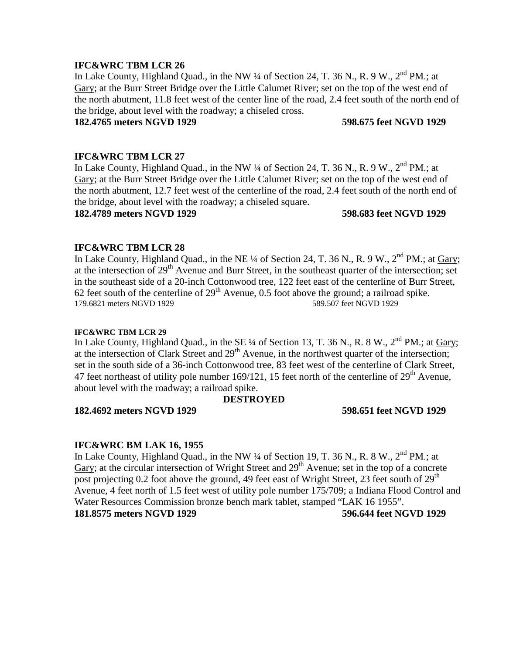In Lake County, Highland Quad., in the NW 1/4 of Section 24, T. 36 N., R. 9 W., 2<sup>nd</sup> PM.; at Gary; at the Burr Street Bridge over the Little Calumet River; set on the top of the west end of the north abutment, 11.8 feet west of the center line of the road, 2.4 feet south of the north end of the bridge, about level with the roadway; a chiseled cross.

## **182.4765 meters NGVD 1929 598.675 feet NGVD 1929**

## **IFC&WRC TBM LCR 27**

In Lake County, Highland Quad., in the NW  $\frac{1}{4}$  of Section 24, T. 36 N., R. 9 W.,  $2^{nd}$  PM.; at Gary; at the Burr Street Bridge over the Little Calumet River; set on the top of the west end of the north abutment, 12.7 feet west of the centerline of the road, 2.4 feet south of the north end of the bridge, about level with the roadway; a chiseled square.

## **182.4789 meters NGVD 1929 598.683 feet NGVD 1929**

## **IFC&WRC TBM LCR 28**

In Lake County, Highland Quad., in the NE  $\frac{1}{4}$  of Section 24, T. 36 N., R. 9 W.,  $2^{nd}$  PM.; at Gary; at the intersection of 29<sup>th</sup> Avenue and Burr Street, in the southeast quarter of the intersection; set in the southeast side of a 20-inch Cottonwood tree, 122 feet east of the centerline of Burr Street, 62 feet south of the centerline of  $29<sup>th</sup>$  Avenue, 0.5 foot above the ground; a railroad spike. 179.6821 meters NGVD 1929 589.507 feet NGVD 1929

## **IFC&WRC TBM LCR 29**

In Lake County, Highland Quad., in the SE 1/4 of Section 13, T. 36 N., R. 8 W., 2<sup>nd</sup> PM.; at *Gary*; at the intersection of Clark Street and  $29<sup>th</sup>$  Avenue, in the northwest quarter of the intersection; set in the south side of a 36-inch Cottonwood tree, 83 feet west of the centerline of Clark Street, 47 feet northeast of utility pole number 169/121, 15 feet north of the centerline of  $29<sup>th</sup>$  Avenue, about level with the roadway; a railroad spike.

## **DESTROYED**

**182.4692 meters NGVD 1929 598.651 feet NGVD 1929**

## **IFC&WRC BM LAK 16, 1955**

In Lake County, Highland Quad., in the NW  $\frac{1}{4}$  of Section 19, T. 36 N., R. 8 W.,  $2^{nd}$  PM.; at Gary; at the circular intersection of Wright Street and 29<sup>th</sup> Avenue; set in the top of a concrete post projecting 0.2 foot above the ground, 49 feet east of Wright Street, 23 feet south of  $29<sup>th</sup>$ Avenue, 4 feet north of 1.5 feet west of utility pole number 175/709; a Indiana Flood Control and Water Resources Commission bronze bench mark tablet, stamped "LAK 16 1955". **181.8575 meters NGVD 1929 596.644 feet NGVD 1929**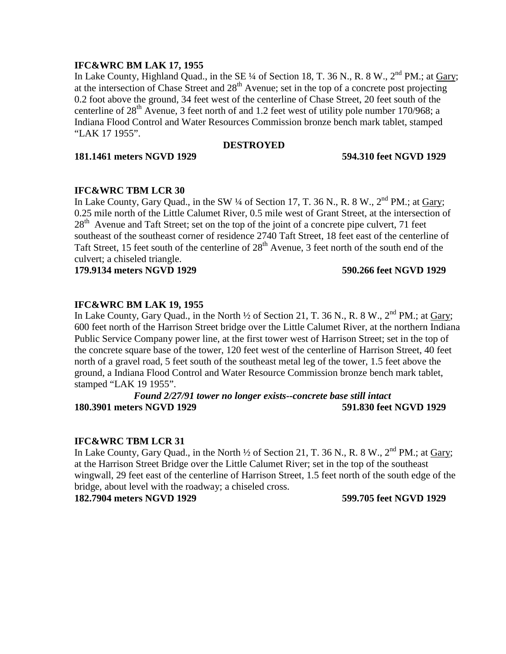## **IFC&WRC BM LAK 17, 1955**

In Lake County, Highland Quad., in the SE  $\frac{1}{4}$  of Section 18, T. 36 N., R. 8 W.,  $2^{nd}$  PM.; at Gary; at the intersection of Chase Street and  $28<sup>th</sup>$  Avenue; set in the top of a concrete post projecting 0.2 foot above the ground, 34 feet west of the centerline of Chase Street, 20 feet south of the centerline of  $28<sup>th</sup>$  Avenue, 3 feet north of and 1.2 feet west of utility pole number 170/968; a Indiana Flood Control and Water Resources Commission bronze bench mark tablet, stamped "LAK 17 1955".

## **DESTROYED**

**181.1461 meters NGVD 1929 594.310 feet NGVD 1929**

# **IFC&WRC TBM LCR 30**

In Lake County, Gary Quad., in the SW  $\frac{1}{4}$  of Section 17, T. 36 N., R. 8 W.,  $2^{nd}$  PM.; at Gary; 0.25 mile north of the Little Calumet River, 0.5 mile west of Grant Street, at the intersection of  $28<sup>th</sup>$  Avenue and Taft Street; set on the top of the joint of a concrete pipe culvert, 71 feet southeast of the southeast corner of residence 2740 Taft Street, 18 feet east of the centerline of Taft Street, 15 feet south of the centerline of  $28<sup>th</sup>$  Avenue, 3 feet north of the south end of the culvert; a chiseled triangle.

**179.9134 meters NGVD 1929 590.266 feet NGVD 1929**

# **IFC&WRC BM LAK 19, 1955**

In Lake County, Gary Quad., in the North  $\frac{1}{2}$  of Section 21, T. 36 N., R. 8 W.,  $2^{nd}$  PM.; at Gary; 600 feet north of the Harrison Street bridge over the Little Calumet River, at the northern Indiana Public Service Company power line, at the first tower west of Harrison Street; set in the top of the concrete square base of the tower, 120 feet west of the centerline of Harrison Street, 40 feet north of a gravel road, 5 feet south of the southeast metal leg of the tower, 1.5 feet above the ground, a Indiana Flood Control and Water Resource Commission bronze bench mark tablet, stamped "LAK 19 1955".

# *Found 2/27/91 tower no longer exists--concrete base still intact* **180.3901 meters NGVD 1929 591.830 feet NGVD 1929**

## **IFC&WRC TBM LCR 31**

In Lake County, Gary Quad., in the North  $\frac{1}{2}$  of Section 21, T. 36 N., R. 8 W.,  $2^{nd}$  PM.; at Gary; at the Harrison Street Bridge over the Little Calumet River; set in the top of the southeast wingwall, 29 feet east of the centerline of Harrison Street, 1.5 feet north of the south edge of the bridge, about level with the roadway; a chiseled cross.

**182.7904 meters NGVD 1929 599.705 feet NGVD 1929**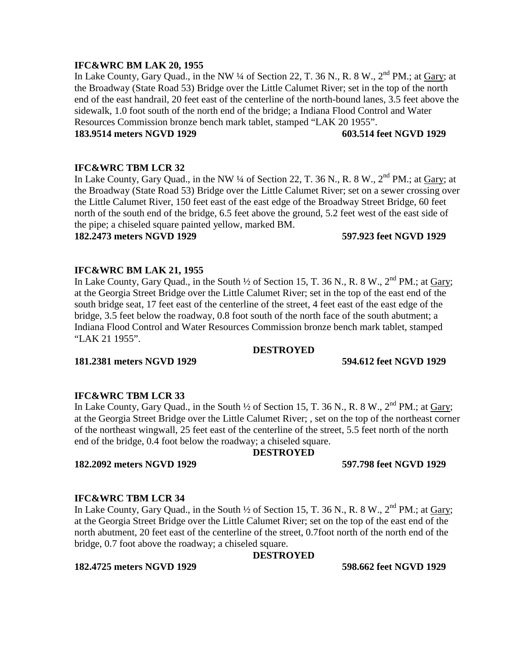## **IFC&WRC BM LAK 20, 1955**

In Lake County, Gary Quad., in the NW  $\frac{1}{4}$  of Section 22, T. 36 N., R. 8 W.,  $2^{nd}$  PM.; at Gary; at the Broadway (State Road 53) Bridge over the Little Calumet River; set in the top of the north end of the east handrail, 20 feet east of the centerline of the north-bound lanes, 3.5 feet above the sidewalk, 1.0 foot south of the north end of the bridge; a Indiana Flood Control and Water Resources Commission bronze bench mark tablet, stamped "LAK 20 1955".

## **183.9514 meters NGVD 1929 603.514 feet NGVD 1929**

## **IFC&WRC TBM LCR 32**

In Lake County, Gary Quad., in the NW ¼ of Section 22, T. 36 N., R. 8 W., 2<sup>nd</sup> PM.; at Gary; at the Broadway (State Road 53) Bridge over the Little Calumet River; set on a sewer crossing over the Little Calumet River, 150 feet east of the east edge of the Broadway Street Bridge, 60 feet north of the south end of the bridge, 6.5 feet above the ground, 5.2 feet west of the east side of the pipe; a chiseled square painted yellow, marked BM.

## **182.2473 meters NGVD 1929 597.923 feet NGVD 1929**

## **IFC&WRC BM LAK 21, 1955**

In Lake County, Gary Quad., in the South  $\frac{1}{2}$  of Section 15, T. 36 N., R. 8 W.,  $2^{nd}$  PM.; at Gary; at the Georgia Street Bridge over the Little Calumet River; set in the top of the east end of the south bridge seat, 17 feet east of the centerline of the street, 4 feet east of the east edge of the bridge, 3.5 feet below the roadway, 0.8 foot south of the north face of the south abutment; a Indiana Flood Control and Water Resources Commission bronze bench mark tablet, stamped "LAK 21 1955".

## **DESTROYED**

**181.2381 meters NGVD 1929 594.612 feet NGVD 1929**

## **IFC&WRC TBM LCR 33**

In Lake County, Gary Quad., in the South  $\frac{1}{2}$  of Section 15, T. 36 N., R. 8 W.,  $2^{nd}$  PM.; at Gary; at the Georgia Street Bridge over the Little Calumet River; , set on the top of the northeast corner of the northeast wingwall, 25 feet east of the centerline of the street, 5.5 feet north of the north end of the bridge, 0.4 foot below the roadway; a chiseled square.

## **DESTROYED**

**182.2092 meters NGVD 1929 597.798 feet NGVD 1929**

## **IFC&WRC TBM LCR 34**

In Lake County, Gary Quad., in the South  $\frac{1}{2}$  of Section 15, T. 36 N., R. 8 W.,  $2^{nd}$  PM.; at Gary; at the Georgia Street Bridge over the Little Calumet River; set on the top of the east end of the north abutment, 20 feet east of the centerline of the street, 0.7foot north of the north end of the bridge, 0.7 foot above the roadway; a chiseled square.

**DESTROYED**

## **182.4725 meters NGVD 1929 598.662 feet NGVD 1929**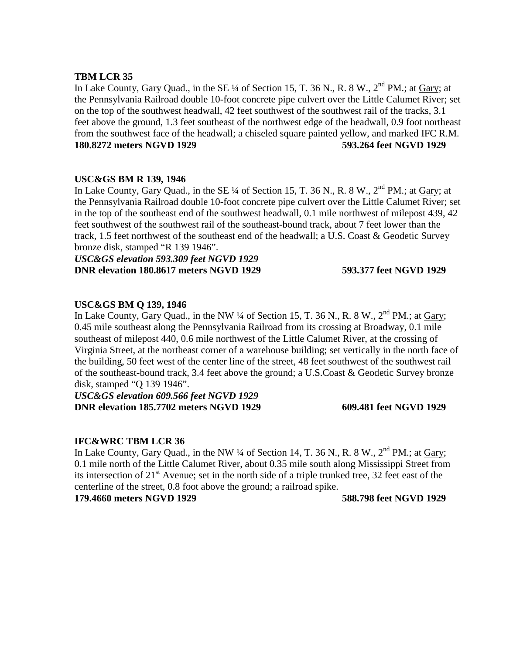## **TBM LCR 35**

In Lake County, Gary Quad., in the SE  $\frac{1}{4}$  of Section 15, T. 36 N., R. 8 W.,  $2^{nd}$  PM.; at Gary; at the Pennsylvania Railroad double 10-foot concrete pipe culvert over the Little Calumet River; set on the top of the southwest headwall, 42 feet southwest of the southwest rail of the tracks, 3.1 feet above the ground, 1.3 feet southeast of the northwest edge of the headwall, 0.9 foot northeast from the southwest face of the headwall; a chiseled square painted yellow, and marked IFC R.M. **180.8272 meters NGVD 1929 593.264 feet NGVD 1929**

## **USC&GS BM R 139, 1946**

In Lake County, Gary Quad., in the SE  $\frac{1}{4}$  of Section 15, T. 36 N., R. 8 W.,  $2^{nd}$  PM.; at Gary; at the Pennsylvania Railroad double 10-foot concrete pipe culvert over the Little Calumet River; set in the top of the southeast end of the southwest headwall, 0.1 mile northwest of milepost 439, 42 feet southwest of the southwest rail of the southeast-bound track, about 7 feet lower than the track, 1.5 feet northwest of the southeast end of the headwall; a U.S. Coast & Geodetic Survey bronze disk, stamped "R 139 1946".

*USC&GS elevation 593.309 feet NGVD 1929* **DNR elevation 180.8617 meters NGVD 1929 593.377 feet NGVD 1929**

## **USC&GS BM Q 139, 1946**

In Lake County, Gary Quad., in the NW  $\frac{1}{4}$  of Section 15, T. 36 N., R. 8 W.,  $2^{nd}$  PM.; at Gary; 0.45 mile southeast along the Pennsylvania Railroad from its crossing at Broadway, 0.1 mile southeast of milepost 440, 0.6 mile northwest of the Little Calumet River, at the crossing of Virginia Street, at the northeast corner of a warehouse building; set vertically in the north face of the building, 50 feet west of the center line of the street, 48 feet southwest of the southwest rail of the southeast-bound track, 3.4 feet above the ground; a U.S.Coast & Geodetic Survey bronze disk, stamped "Q 139 1946".

*USC&GS elevation 609.566 feet NGVD 1929* **DNR elevation 185.7702 meters NGVD 1929 609.481 feet NGVD 1929**

## **IFC&WRC TBM LCR 36**

In Lake County, Gary Quad., in the NW  $\frac{1}{4}$  of Section 14, T. 36 N., R. 8 W.,  $2^{nd}$  PM.; at Gary; 0.1 mile north of the Little Calumet River, about 0.35 mile south along Mississippi Street from its intersection of  $21<sup>st</sup>$  Avenue; set in the north side of a triple trunked tree, 32 feet east of the centerline of the street, 0.8 foot above the ground; a railroad spike.

**179.4660 meters NGVD 1929 588.798 feet NGVD 1929**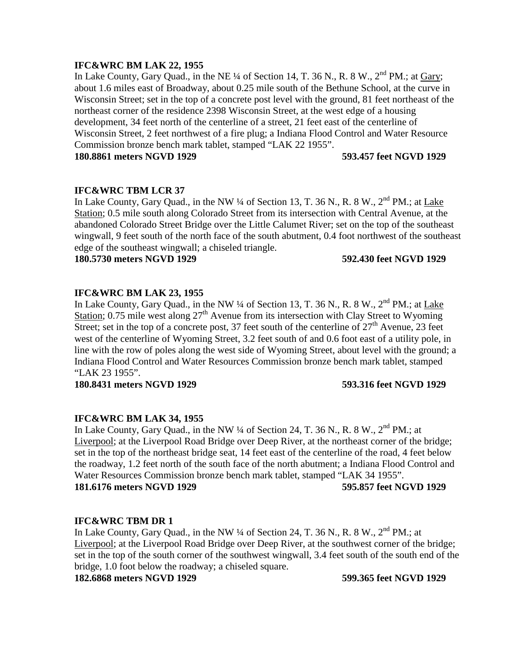## **IFC&WRC BM LAK 22, 1955**

In Lake County, Gary Quad., in the NE  $\frac{1}{4}$  of Section 14, T. 36 N., R. 8 W.,  $2^{nd}$  PM.; at Gary; about 1.6 miles east of Broadway, about 0.25 mile south of the Bethune School, at the curve in Wisconsin Street; set in the top of a concrete post level with the ground, 81 feet northeast of the northeast corner of the residence 2398 Wisconsin Street, at the west edge of a housing development, 34 feet north of the centerline of a street, 21 feet east of the centerline of Wisconsin Street, 2 feet northwest of a fire plug; a Indiana Flood Control and Water Resource Commission bronze bench mark tablet, stamped "LAK 22 1955".

**180.8861 meters NGVD 1929 593.457 feet NGVD 1929**

## **IFC&WRC TBM LCR 37**

In Lake County, Gary Quad., in the NW  $\frac{1}{4}$  of Section 13, T. 36 N., R. 8 W.,  $2^{nd}$  PM.; at Lake Station; 0.5 mile south along Colorado Street from its intersection with Central Avenue, at the abandoned Colorado Street Bridge over the Little Calumet River; set on the top of the southeast wingwall, 9 feet south of the north face of the south abutment, 0.4 foot northwest of the southeast edge of the southeast wingwall; a chiseled triangle.

**180.5730 meters NGVD 1929 592.430 feet NGVD 1929**

## **IFC&WRC BM LAK 23, 1955**

In Lake County, Gary Quad., in the NW  $\frac{1}{4}$  of Section 13, T. 36 N., R. 8 W.,  $2^{nd}$  PM.; at Lake Station; 0.75 mile west along  $27<sup>th</sup>$  Avenue from its intersection with Clay Street to Wyoming Street; set in the top of a concrete post, 37 feet south of the centerline of  $27<sup>th</sup>$  Avenue, 23 feet west of the centerline of Wyoming Street, 3.2 feet south of and 0.6 foot east of a utility pole, in line with the row of poles along the west side of Wyoming Street, about level with the ground; a Indiana Flood Control and Water Resources Commission bronze bench mark tablet, stamped "LAK 23 1955".

**180.8431 meters NGVD 1929 593.316 feet NGVD 1929**

## **IFC&WRC BM LAK 34, 1955**

In Lake County, Gary Quad., in the NW ¼ of Section 24, T. 36 N., R. 8 W., 2<sup>nd</sup> PM.; at Liverpool; at the Liverpool Road Bridge over Deep River, at the northeast corner of the bridge; set in the top of the northeast bridge seat, 14 feet east of the centerline of the road, 4 feet below the roadway, 1.2 feet north of the south face of the north abutment; a Indiana Flood Control and Water Resources Commission bronze bench mark tablet, stamped "LAK 34 1955". **181.6176 meters NGVD 1929 595.857 feet NGVD 1929**

## **IFC&WRC TBM DR 1**

In Lake County, Gary Quad., in the NW 1/4 of Section 24, T. 36 N., R. 8 W., 2<sup>nd</sup> PM.; at Liverpool; at the Liverpool Road Bridge over Deep River, at the southwest corner of the bridge; set in the top of the south corner of the southwest wingwall, 3.4 feet south of the south end of the bridge, 1.0 foot below the roadway; a chiseled square.

**182.6868 meters NGVD 1929 599.365 feet NGVD 1929**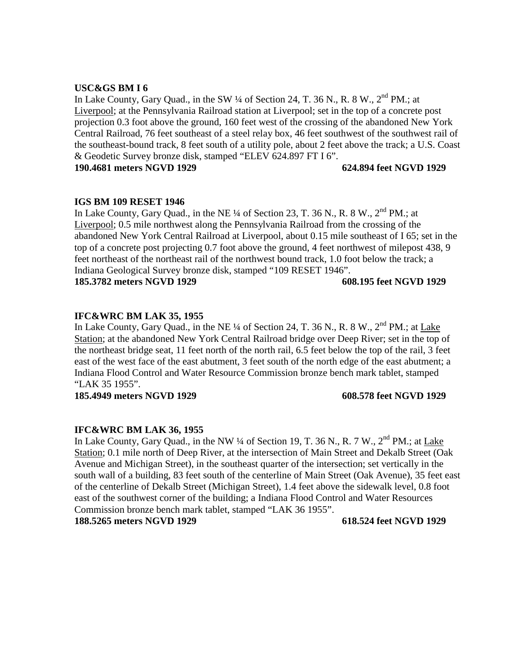## **USC&GS BM I 6**

In Lake County, Gary Quad., in the SW  $\frac{1}{4}$  of Section 24, T. 36 N., R. 8 W.,  $2^{nd}$  PM.; at Liverpool; at the Pennsylvania Railroad station at Liverpool; set in the top of a concrete post projection 0.3 foot above the ground, 160 feet west of the crossing of the abandoned New York Central Railroad, 76 feet southeast of a steel relay box, 46 feet southwest of the southwest rail of the southeast-bound track, 8 feet south of a utility pole, about 2 feet above the track; a U.S. Coast & Geodetic Survey bronze disk, stamped "ELEV 624.897 FT I 6".

**190.4681 meters NGVD 1929 624.894 feet NGVD 1929**

## **IGS BM 109 RESET 1946**

In Lake County, Gary Quad., in the NE  $\frac{1}{4}$  of Section 23, T. 36 N., R. 8 W.,  $2^{nd}$  PM.; at Liverpool; 0.5 mile northwest along the Pennsylvania Railroad from the crossing of the abandoned New York Central Railroad at Liverpool, about 0.15 mile southeast of I 65; set in the top of a concrete post projecting 0.7 foot above the ground, 4 feet northwest of milepost 438, 9 feet northeast of the northeast rail of the northwest bound track, 1.0 foot below the track; a Indiana Geological Survey bronze disk, stamped "109 RESET 1946". **185.3782 meters NGVD 1929 608.195 feet NGVD 1929**

## **IFC&WRC BM LAK 35, 1955**

In Lake County, Gary Quad., in the NE ¼ of Section 24, T. 36 N., R. 8 W., 2<sup>nd</sup> PM.; at Lake Station; at the abandoned New York Central Railroad bridge over Deep River; set in the top of the northeast bridge seat, 11 feet north of the north rail, 6.5 feet below the top of the rail, 3 feet east of the west face of the east abutment, 3 feet south of the north edge of the east abutment; a Indiana Flood Control and Water Resource Commission bronze bench mark tablet, stamped "LAK 35 1955".

**185.4949 meters NGVD 1929 608.578 feet NGVD 1929**

## **IFC&WRC BM LAK 36, 1955**

In Lake County, Gary Quad., in the NW  $\frac{1}{4}$  of Section 19, T. 36 N., R. 7 W.,  $2^{nd}$  PM.; at Lake Station; 0.1 mile north of Deep River, at the intersection of Main Street and Dekalb Street (Oak Avenue and Michigan Street), in the southeast quarter of the intersection; set vertically in the south wall of a building, 83 feet south of the centerline of Main Street (Oak Avenue), 35 feet east of the centerline of Dekalb Street (Michigan Street), 1.4 feet above the sidewalk level, 0.8 foot east of the southwest corner of the building; a Indiana Flood Control and Water Resources Commission bronze bench mark tablet, stamped "LAK 36 1955".

**188.5265 meters NGVD 1929 618.524 feet NGVD 1929**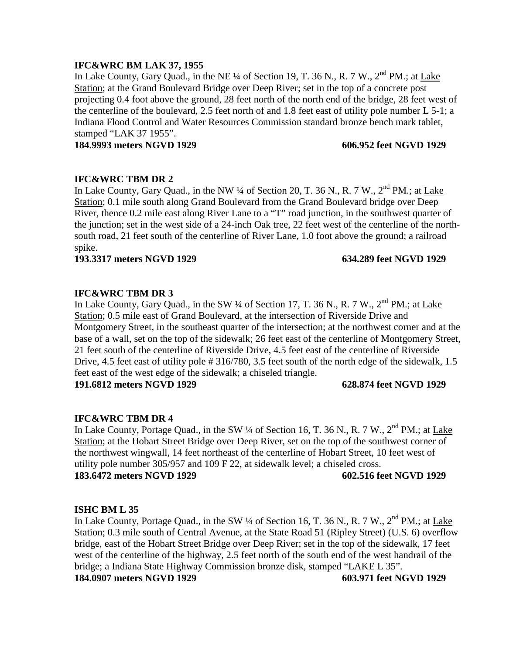## **IFC&WRC BM LAK 37, 1955**

In Lake County, Gary Quad., in the NE  $\frac{1}{4}$  of Section 19, T. 36 N., R. 7 W.,  $2^{nd}$  PM.; at Lake Station; at the Grand Boulevard Bridge over Deep River; set in the top of a concrete post projecting 0.4 foot above the ground, 28 feet north of the north end of the bridge, 28 feet west of the centerline of the boulevard, 2.5 feet north of and 1.8 feet east of utility pole number L 5-1; a Indiana Flood Control and Water Resources Commission standard bronze bench mark tablet, stamped "LAK 37 1955".

**184.9993 meters NGVD 1929 606.952 feet NGVD 1929**

## **IFC&WRC TBM DR 2**

In Lake County, Gary Quad., in the NW ¼ of Section 20, T. 36 N., R. 7 W., 2<sup>nd</sup> PM.; at Lake Station; 0.1 mile south along Grand Boulevard from the Grand Boulevard bridge over Deep River, thence 0.2 mile east along River Lane to a "T" road junction, in the southwest quarter of the junction; set in the west side of a 24-inch Oak tree, 22 feet west of the centerline of the northsouth road, 21 feet south of the centerline of River Lane, 1.0 foot above the ground; a railroad spike.

**193.3317 meters NGVD 1929 634.289 feet NGVD 1929**

# **IFC&WRC TBM DR 3**

In Lake County, Gary Quad., in the SW  $\frac{1}{4}$  of Section 17, T. 36 N., R. 7 W.,  $2^{nd}$  PM.; at Lake Station; 0.5 mile east of Grand Boulevard, at the intersection of Riverside Drive and Montgomery Street, in the southeast quarter of the intersection; at the northwest corner and at the base of a wall, set on the top of the sidewalk; 26 feet east of the centerline of Montgomery Street, 21 feet south of the centerline of Riverside Drive, 4.5 feet east of the centerline of Riverside Drive, 4.5 feet east of utility pole # 316/780, 3.5 feet south of the north edge of the sidewalk, 1.5 feet east of the west edge of the sidewalk; a chiseled triangle.

**191.6812 meters NGVD 1929 628.874 feet NGVD 1929**

## **IFC&WRC TBM DR 4**

In Lake County, Portage Quad., in the SW  $\frac{1}{4}$  of Section 16, T. 36 N., R. 7 W.,  $2^{nd}$  PM.; at Lake Station; at the Hobart Street Bridge over Deep River, set on the top of the southwest corner of the northwest wingwall, 14 feet northeast of the centerline of Hobart Street, 10 feet west of utility pole number 305/957 and 109 F 22, at sidewalk level; a chiseled cross. **183.6472 meters NGVD 1929 602.516 feet NGVD 1929**

## **ISHC BM L 35**

In Lake County, Portage Quad., in the SW  $\frac{1}{4}$  of Section 16, T. 36 N., R. 7 W.,  $2^{nd}$  PM.; at Lake Station; 0.3 mile south of Central Avenue, at the State Road 51 (Ripley Street) (U.S. 6) overflow bridge, east of the Hobart Street Bridge over Deep River; set in the top of the sidewalk, 17 feet west of the centerline of the highway, 2.5 feet north of the south end of the west handrail of the bridge; a Indiana State Highway Commission bronze disk, stamped "LAKE L 35". **184.0907 meters NGVD 1929 603.971 feet NGVD 1929**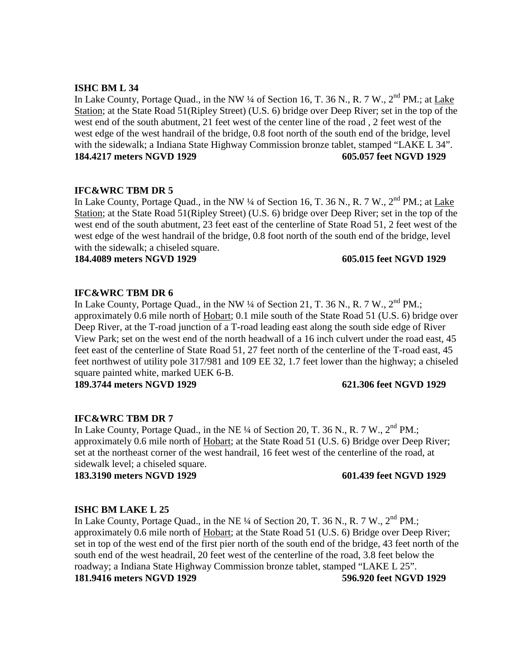# **ISHC BM L 34**

In Lake County, Portage Quad., in the NW 1/4 of Section 16, T. 36 N., R. 7 W., 2<sup>nd</sup> PM.; at Lake Station; at the State Road 51(Ripley Street) (U.S. 6) bridge over Deep River; set in the top of the west end of the south abutment, 21 feet west of the center line of the road , 2 feet west of the west edge of the west handrail of the bridge, 0.8 foot north of the south end of the bridge, level with the sidewalk; a Indiana State Highway Commission bronze tablet, stamped "LAKE L 34". **184.4217 meters NGVD 1929 605.057 feet NGVD 1929**

## **IFC&WRC TBM DR 5**

In Lake County, Portage Quad., in the NW  $\frac{1}{4}$  of Section 16, T. 36 N., R. 7 W.,  $2^{nd}$  PM.; at Lake Station; at the State Road 51(Ripley Street) (U.S. 6) bridge over Deep River; set in the top of the west end of the south abutment, 23 feet east of the centerline of State Road 51, 2 feet west of the west edge of the west handrail of the bridge, 0.8 foot north of the south end of the bridge, level with the sidewalk; a chiseled square.

**184.4089 meters NGVD 1929 605.015 feet NGVD 1929**

## **IFC&WRC TBM DR 6**

In Lake County, Portage Quad., in the NW  $\frac{1}{4}$  of Section 21, T. 36 N., R. 7 W.,  $2^{nd}$  PM.; approximately 0.6 mile north of Hobart; 0.1 mile south of the State Road 51 (U.S. 6) bridge over Deep River, at the T-road junction of a T-road leading east along the south side edge of River View Park; set on the west end of the north headwall of a 16 inch culvert under the road east, 45 feet east of the centerline of State Road 51, 27 feet north of the centerline of the T-road east, 45 feet northwest of utility pole 317/981 and 109 EE 32, 1.7 feet lower than the highway; a chiseled square painted white, marked UEK 6-B.

**189.3744 meters NGVD 1929 621.306 feet NGVD 1929**

## **IFC&WRC TBM DR 7**

In Lake County, Portage Quad., in the NE  $\frac{1}{4}$  of Section 20, T. 36 N., R. 7 W.,  $2<sup>nd</sup>$  PM.; approximately 0.6 mile north of Hobart; at the State Road 51 (U.S. 6) Bridge over Deep River; set at the northeast corner of the west handrail, 16 feet west of the centerline of the road, at sidewalk level; a chiseled square.

**183.3190 meters NGVD 1929 601.439 feet NGVD 1929**

## **ISHC BM LAKE L 25**

In Lake County, Portage Quad., in the NE  $\frac{1}{4}$  of Section 20, T. 36 N., R. 7 W.,  $2^{nd}$  PM.; approximately 0.6 mile north of Hobart; at the State Road 51 (U.S. 6) Bridge over Deep River; set in top of the west end of the first pier north of the south end of the bridge, 43 feet north of the south end of the west headrail, 20 feet west of the centerline of the road, 3.8 feet below the roadway; a Indiana State Highway Commission bronze tablet, stamped "LAKE L 25". **181.9416 meters NGVD 1929 596.920 feet NGVD 1929**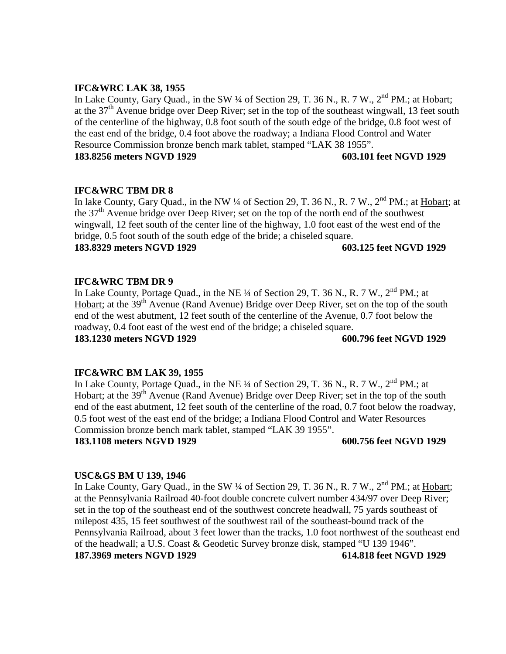## **IFC&WRC LAK 38, 1955**

In Lake County, Gary Quad., in the SW  $\frac{1}{4}$  of Section 29, T. 36 N., R. 7 W., 2<sup>nd</sup> PM.; at Hobart; at the  $37<sup>th</sup>$  Avenue bridge over Deep River; set in the top of the southeast wingwall, 13 feet south of the centerline of the highway, 0.8 foot south of the south edge of the bridge, 0.8 foot west of the east end of the bridge, 0.4 foot above the roadway; a Indiana Flood Control and Water Resource Commission bronze bench mark tablet, stamped "LAK 38 1955".

## **183.8256 meters NGVD 1929 603.101 feet NGVD 1929**

## **IFC&WRC TBM DR 8**

In lake County, Gary Quad., in the NW ¼ of Section 29, T. 36 N., R. 7 W., 2<sup>nd</sup> PM.; at Hobart; at the  $37<sup>th</sup>$  Avenue bridge over Deep River; set on the top of the north end of the southwest wingwall, 12 feet south of the center line of the highway, 1.0 foot east of the west end of the bridge, 0.5 foot south of the south edge of the bride; a chiseled square. **183.8329 meters NGVD 1929 603.125 feet NGVD 1929**

## **IFC&WRC TBM DR 9**

In Lake County, Portage Quad., in the NE 1/4 of Section 29, T. 36 N., R. 7 W., 2<sup>nd</sup> PM.; at Hobart; at the  $39<sup>th</sup>$  Avenue (Rand Avenue) Bridge over Deep River, set on the top of the south end of the west abutment, 12 feet south of the centerline of the Avenue, 0.7 foot below the roadway, 0.4 foot east of the west end of the bridge; a chiseled square. **183.1230 meters NGVD 1929 600.796 feet NGVD 1929**

## **IFC&WRC BM LAK 39, 1955**

In Lake County, Portage Quad., in the NE  $\frac{1}{4}$  of Section 29, T. 36 N., R. 7 W.,  $2^{nd}$  PM.; at Hobart; at the 39<sup>th</sup> Avenue (Rand Avenue) Bridge over Deep River; set in the top of the south end of the east abutment, 12 feet south of the centerline of the road, 0.7 foot below the roadway, 0.5 foot west of the east end of the bridge; a Indiana Flood Control and Water Resources Commission bronze bench mark tablet, stamped "LAK 39 1955".

**183.1108 meters NGVD 1929 600.756 feet NGVD 1929**

## **USC&GS BM U 139, 1946**

In Lake County, Gary Quad., in the SW ¼ of Section 29, T. 36 N., R. 7 W., 2<sup>nd</sup> PM.; at Hobart; at the Pennsylvania Railroad 40-foot double concrete culvert number 434/97 over Deep River; set in the top of the southeast end of the southwest concrete headwall, 75 yards southeast of milepost 435, 15 feet southwest of the southwest rail of the southeast-bound track of the Pennsylvania Railroad, about 3 feet lower than the tracks, 1.0 foot northwest of the southeast end of the headwall; a U.S. Coast & Geodetic Survey bronze disk, stamped "U 139 1946". **187.3969 meters NGVD 1929 614.818 feet NGVD 1929**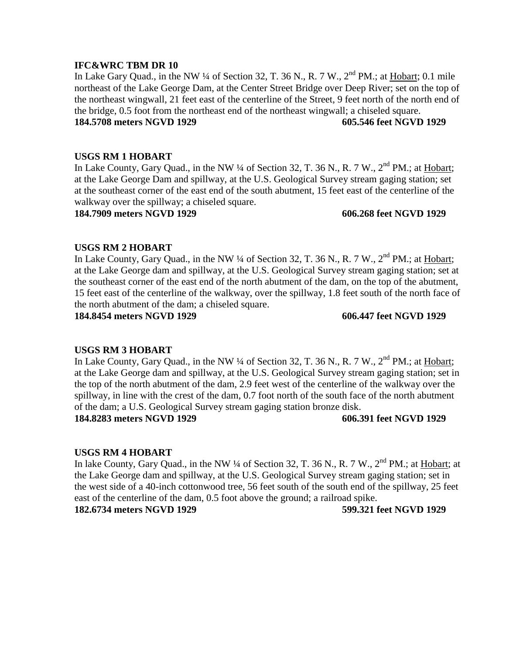## **IFC&WRC TBM DR 10**

In Lake Gary Quad., in the NW  $\frac{1}{4}$  of Section 32, T. 36 N., R. 7 W.,  $2^{nd}$  PM.; at Hobart; 0.1 mile northeast of the Lake George Dam, at the Center Street Bridge over Deep River; set on the top of the northeast wingwall, 21 feet east of the centerline of the Street, 9 feet north of the north end of the bridge, 0.5 foot from the northeast end of the northeast wingwall; a chiseled square. **184.5708 meters NGVD 1929 605.546 feet NGVD 1929**

## **USGS RM 1 HOBART**

In Lake County, Gary Quad., in the NW  $\frac{1}{4}$  of Section 32, T. 36 N., R. 7 W.,  $2^{nd}$  PM.; at Hobart; at the Lake George Dam and spillway, at the U.S. Geological Survey stream gaging station; set at the southeast corner of the east end of the south abutment, 15 feet east of the centerline of the walkway over the spillway; a chiseled square.

## **184.7909 meters NGVD 1929 606.268 feet NGVD 1929**

## **USGS RM 2 HOBART**

In Lake County, Gary Quad., in the NW ¼ of Section 32, T. 36 N., R. 7 W., 2<sup>nd</sup> PM.; at Hobart; at the Lake George dam and spillway, at the U.S. Geological Survey stream gaging station; set at the southeast corner of the east end of the north abutment of the dam, on the top of the abutment, 15 feet east of the centerline of the walkway, over the spillway, 1.8 feet south of the north face of the north abutment of the dam; a chiseled square.

**184.8454 meters NGVD 1929 606.447 feet NGVD 1929**

## **USGS RM 3 HOBART**

In Lake County, Gary Quad., in the NW  $\frac{1}{4}$  of Section 32, T. 36 N., R. 7 W.,  $2^{nd}$  PM.; at Hobart; at the Lake George dam and spillway, at the U.S. Geological Survey stream gaging station; set in the top of the north abutment of the dam, 2.9 feet west of the centerline of the walkway over the spillway, in line with the crest of the dam, 0.7 foot north of the south face of the north abutment of the dam; a U.S. Geological Survey stream gaging station bronze disk. **184.8283 meters NGVD 1929 606.391 feet NGVD 1929**

## **USGS RM 4 HOBART**

In lake County, Gary Quad., in the NW  $\frac{1}{4}$  of Section 32, T. 36 N., R. 7 W.,  $2^{nd}$  PM.; at Hobart; at the Lake George dam and spillway, at the U.S. Geological Survey stream gaging station; set in the west side of a 40-inch cottonwood tree, 56 feet south of the south end of the spillway, 25 feet east of the centerline of the dam, 0.5 foot above the ground; a railroad spike.

**182.6734 meters NGVD 1929 599.321 feet NGVD 1929**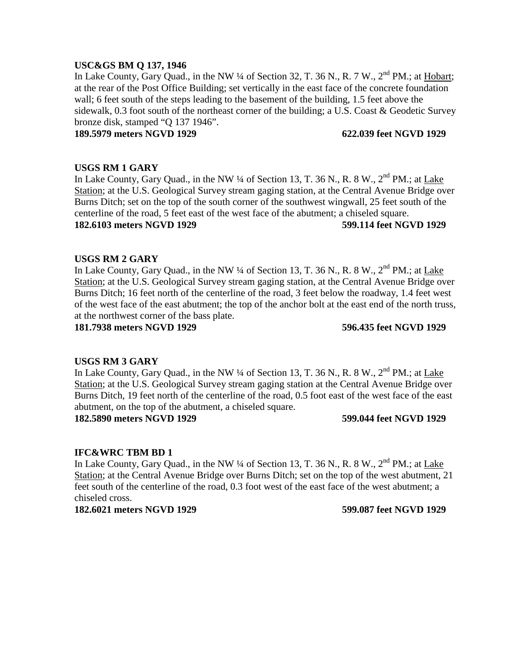## **USC&GS BM Q 137, 1946**

In Lake County, Gary Quad., in the NW  $\frac{1}{4}$  of Section 32, T. 36 N., R. 7 W.,  $2^{nd}$  PM.; at Hobart; at the rear of the Post Office Building; set vertically in the east face of the concrete foundation wall; 6 feet south of the steps leading to the basement of the building, 1.5 feet above the sidewalk, 0.3 foot south of the northeast corner of the building; a U.S. Coast & Geodetic Survey bronze disk, stamped "Q 137 1946".

## **189.5979 meters NGVD 1929 622.039 feet NGVD 1929**

## **USGS RM 1 GARY**

In Lake County, Gary Quad., in the NW  $\frac{1}{4}$  of Section 13, T. 36 N., R. 8 W.,  $2^{nd}$  PM.; at Lake Station; at the U.S. Geological Survey stream gaging station, at the Central Avenue Bridge over Burns Ditch; set on the top of the south corner of the southwest wingwall, 25 feet south of the centerline of the road, 5 feet east of the west face of the abutment; a chiseled square. **182.6103 meters NGVD 1929 599.114 feet NGVD 1929**

## **USGS RM 2 GARY**

In Lake County, Gary Quad., in the NW  $\frac{1}{4}$  of Section 13, T. 36 N., R. 8 W.,  $2^{nd}$  PM.; at Lake Station; at the U.S. Geological Survey stream gaging station, at the Central Avenue Bridge over Burns Ditch; 16 feet north of the centerline of the road, 3 feet below the roadway, 1.4 feet west of the west face of the east abutment; the top of the anchor bolt at the east end of the north truss, at the northwest corner of the bass plate.

**181.7938 meters NGVD 1929 596.435 feet NGVD 1929**

## **USGS RM 3 GARY**

In Lake County, Gary Quad., in the NW  $\frac{1}{4}$  of Section 13, T. 36 N., R. 8 W.,  $2^{nd}$  PM.; at Lake Station; at the U.S. Geological Survey stream gaging station at the Central Avenue Bridge over Burns Ditch, 19 feet north of the centerline of the road, 0.5 foot east of the west face of the east abutment, on the top of the abutment, a chiseled square.

## **182.5890 meters NGVD 1929 599.044 feet NGVD 1929**

## **IFC&WRC TBM BD 1**

In Lake County, Gary Quad., in the NW  $\frac{1}{4}$  of Section 13, T. 36 N., R. 8 W.,  $2^{nd}$  PM.; at Lake Station; at the Central Avenue Bridge over Burns Ditch; set on the top of the west abutment, 21 feet south of the centerline of the road, 0.3 foot west of the east face of the west abutment; a chiseled cross.

**182.6021 meters NGVD 1929 599.087 feet NGVD 1929**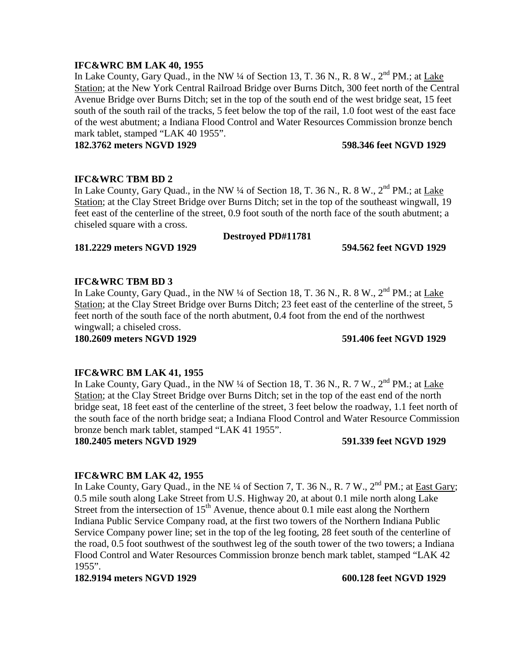## **IFC&WRC BM LAK 40, 1955**

In Lake County, Gary Quad., in the NW  $\frac{1}{4}$  of Section 13, T. 36 N., R. 8 W.,  $2^{nd}$  PM.; at Lake Station; at the New York Central Railroad Bridge over Burns Ditch, 300 feet north of the Central Avenue Bridge over Burns Ditch; set in the top of the south end of the west bridge seat, 15 feet south of the south rail of the tracks, 5 feet below the top of the rail, 1.0 foot west of the east face of the west abutment; a Indiana Flood Control and Water Resources Commission bronze bench mark tablet, stamped "LAK 40 1955".

**182.3762 meters NGVD 1929 598.346 feet NGVD 1929**

## **IFC&WRC TBM BD 2**

In Lake County, Gary Quad., in the NW  $\frac{1}{4}$  of Section 18, T. 36 N., R. 8 W.,  $2^{nd}$  PM.; at Lake Station; at the Clay Street Bridge over Burns Ditch; set in the top of the southeast wingwall, 19 feet east of the centerline of the street, 0.9 foot south of the north face of the south abutment; a chiseled square with a cross.

## **Destroyed PD#11781**

**181.2229 meters NGVD 1929 594.562 feet NGVD 1929**

# **IFC&WRC TBM BD 3**

In Lake County, Gary Quad., in the NW  $\frac{1}{4}$  of Section 18, T. 36 N., R. 8 W.,  $2^{nd}$  PM.; at Lake Station; at the Clay Street Bridge over Burns Ditch; 23 feet east of the centerline of the street, 5 feet north of the south face of the north abutment, 0.4 foot from the end of the northwest wingwall; a chiseled cross.

**180.2609 meters NGVD 1929 591.406 feet NGVD 1929**

## **IFC&WRC BM LAK 41, 1955**

In Lake County, Gary Quad., in the NW  $\frac{1}{4}$  of Section 18, T. 36 N., R. 7 W.,  $2^{nd}$  PM.; at Lake Station; at the Clay Street Bridge over Burns Ditch; set in the top of the east end of the north bridge seat, 18 feet east of the centerline of the street, 3 feet below the roadway, 1.1 feet north of the south face of the north bridge seat; a Indiana Flood Control and Water Resource Commission bronze bench mark tablet, stamped "LAK 41 1955".

**180.2405 meters NGVD 1929 591.339 feet NGVD 1929**

## **IFC&WRC BM LAK 42, 1955**

In Lake County, Gary Quad., in the NE  $\frac{1}{4}$  of Section 7, T. 36 N., R. 7 W.,  $2^{nd}$  PM.; at East Gary; 0.5 mile south along Lake Street from U.S. Highway 20, at about 0.1 mile north along Lake Street from the intersection of  $15<sup>th</sup>$  Avenue, thence about 0.1 mile east along the Northern Indiana Public Service Company road, at the first two towers of the Northern Indiana Public Service Company power line; set in the top of the leg footing, 28 feet south of the centerline of the road, 0.5 foot southwest of the southwest leg of the south tower of the two towers; a Indiana Flood Control and Water Resources Commission bronze bench mark tablet, stamped "LAK 42 1955".

**182.9194 meters NGVD 1929 600.128 feet NGVD 1929**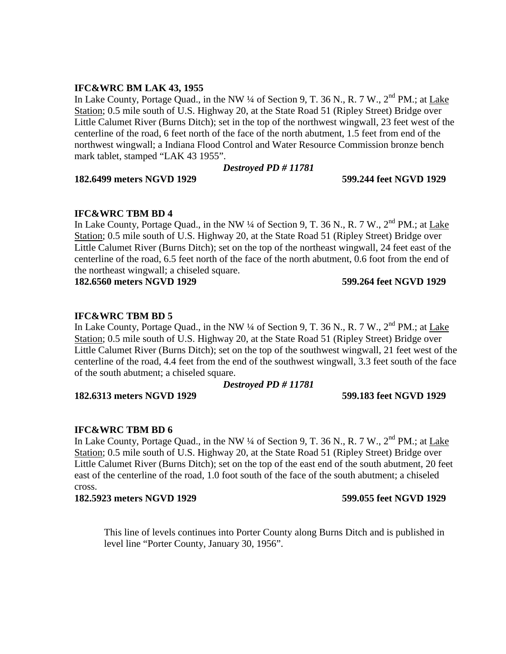## **IFC&WRC BM LAK 43, 1955**

In Lake County, Portage Quad., in the NW  $\frac{1}{4}$  of Section 9, T. 36 N., R. 7 W.,  $2^{nd}$  PM.; at Lake Station; 0.5 mile south of U.S. Highway 20, at the State Road 51 (Ripley Street) Bridge over Little Calumet River (Burns Ditch); set in the top of the northwest wingwall, 23 feet west of the centerline of the road, 6 feet north of the face of the north abutment, 1.5 feet from end of the northwest wingwall; a Indiana Flood Control and Water Resource Commission bronze bench mark tablet, stamped "LAK 43 1955".

## *Destroyed PD # 11781*

**182.6499 meters NGVD 1929 599.244 feet NGVD 1929**

## **IFC&WRC TBM BD 4**

In Lake County, Portage Quad., in the NW  $\frac{1}{4}$  of Section 9, T. 36 N., R. 7 W.,  $2^{nd}$  PM.; at Lake Station; 0.5 mile south of U.S. Highway 20, at the State Road 51 (Ripley Street) Bridge over Little Calumet River (Burns Ditch); set on the top of the northeast wingwall, 24 feet east of the centerline of the road, 6.5 feet north of the face of the north abutment, 0.6 foot from the end of the northeast wingwall; a chiseled square.

**182.6560 meters NGVD 1929 599.264 feet NGVD 1929**

## **IFC&WRC TBM BD 5**

In Lake County, Portage Quad., in the NW ¼ of Section 9, T. 36 N., R. 7 W., 2<sup>nd</sup> PM.; at Lake Station; 0.5 mile south of U.S. Highway 20, at the State Road 51 (Ripley Street) Bridge over Little Calumet River (Burns Ditch); set on the top of the southwest wingwall, 21 feet west of the centerline of the road, 4.4 feet from the end of the southwest wingwall, 3.3 feet south of the face of the south abutment; a chiseled square.

## *Destroyed PD # 11781*

## **182.6313 meters NGVD 1929 599.183 feet NGVD 1929**

## **IFC&WRC TBM BD 6**

In Lake County, Portage Quad., in the NW ¼ of Section 9, T. 36 N., R. 7 W., 2<sup>nd</sup> PM.; at Lake Station; 0.5 mile south of U.S. Highway 20, at the State Road 51 (Ripley Street) Bridge over Little Calumet River (Burns Ditch); set on the top of the east end of the south abutment, 20 feet east of the centerline of the road, 1.0 foot south of the face of the south abutment; a chiseled cross.

## **182.5923 meters NGVD 1929 599.055 feet NGVD 1929**

This line of levels continues into Porter County along Burns Ditch and is published in level line "Porter County, January 30, 1956".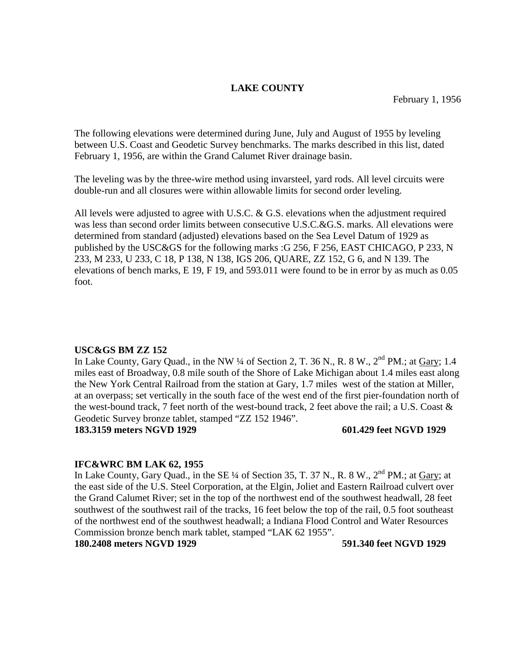## **LAKE COUNTY**

The following elevations were determined during June, July and August of 1955 by leveling between U.S. Coast and Geodetic Survey benchmarks. The marks described in this list, dated February 1, 1956, are within the Grand Calumet River drainage basin.

The leveling was by the three-wire method using invarsteel, yard rods. All level circuits were double-run and all closures were within allowable limits for second order leveling.

All levels were adjusted to agree with U.S.C. & G.S. elevations when the adjustment required was less than second order limits between consecutive U.S.C.&G.S. marks. All elevations were determined from standard (adjusted) elevations based on the Sea Level Datum of 1929 as published by the USC&GS for the following marks :G 256, F 256, EAST CHICAGO, P 233, N 233, M 233, U 233, C 18, P 138, N 138, IGS 206, QUARE, ZZ 152, G 6, and N 139. The elevations of bench marks, E 19, F 19, and 593.011 were found to be in error by as much as 0.05 foot.

## **USC&GS BM ZZ 152**

In Lake County, Gary Quad., in the NW  $\frac{1}{4}$  of Section 2, T. 36 N., R. 8 W.,  $2^{nd}$  PM.; at Gary; 1.4 miles east of Broadway, 0.8 mile south of the Shore of Lake Michigan about 1.4 miles east along the New York Central Railroad from the station at Gary, 1.7 miles west of the station at Miller, at an overpass; set vertically in the south face of the west end of the first pier-foundation north of the west-bound track, 7 feet north of the west-bound track, 2 feet above the rail; a U.S. Coast & Geodetic Survey bronze tablet, stamped "ZZ 152 1946".

**183.3159 meters NGVD 1929** 601.429 feet NGVD 1929

## **IFC&WRC BM LAK 62, 1955**

In Lake County, Gary Quad., in the SE  $\frac{1}{4}$  of Section 35, T. 37 N., R. 8 W.,  $2^{nd}$  PM.; at Gary; at the east side of the U.S. Steel Corporation, at the Elgin, Joliet and Eastern Railroad culvert over the Grand Calumet River; set in the top of the northwest end of the southwest headwall, 28 feet southwest of the southwest rail of the tracks, 16 feet below the top of the rail, 0.5 foot southeast of the northwest end of the southwest headwall; a Indiana Flood Control and Water Resources Commission bronze bench mark tablet, stamped "LAK 62 1955".

**180.2408 meters NGVD 1929 591.340 feet NGVD 1929**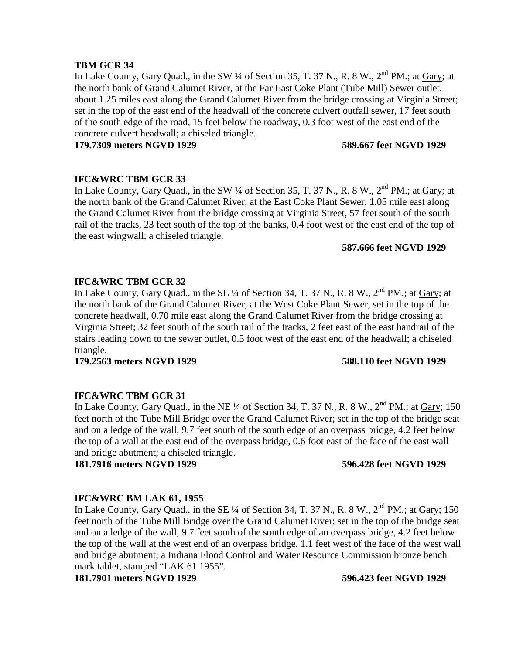## **TBM GCR 34**

In Lake County, Gary Quad., in the SW  $\frac{1}{4}$  of Section 35, T. 37 N., R. 8 W., 2<sup>nd</sup> PM.; at Gary; at the north bank of Grand Calumet River, at the Far East Coke Plant (Tube Mill) Sewer outlet, about 1.25 miles east along the Grand Calumet River from the bridge crossing at Virginia Street; set in the top of the east end of the headwall of the concrete culvert outfall sewer, 17 feet south of the south edge of the road, 15 feet below the roadway, 0.3 foot west of the east end of the concrete culvert headwall; a chiseled triangle.

**179.7309 meters NGVD 1929 589.667 feet NGVD 1929**

## **IFC&WRC TBM GCR 33**

In Lake County, Gary Quad., in the SW ¼ of Section 35, T. 37 N., R. 8 W., 2<sup>nd</sup> PM.; at Gary; at the north bank of the Grand Calumet River, at the East Coke Plant Sewer, 1.05 mile east along the Grand Calumet River from the bridge crossing at Virginia Street, 57 feet south of the south rail of the tracks, 23 feet south of the top of the banks, 0.4 foot west of the east end of the top of the east wingwall; a chiseled triangle.

## **587.666 feet NGVD 1929**

## **IFC&WRC TBM GCR 32**

In Lake County, Gary Quad., in the SE  $\frac{1}{4}$  of Section 34, T. 37 N., R. 8 W.,  $2^{nd}$  PM.; at Gary; at the north bank of the Grand Calumet River, at the West Coke Plant Sewer, set in the top of the concrete headwall, 0.70 mile east along the Grand Calumet River from the bridge crossing at Virginia Street; 32 feet south of the south rail of the tracks, 2 feet east of the east handrail of the stairs leading down to the sewer outlet, 0.5 foot west of the east end of the headwall; a chiseled triangle.

**179.2563 meters NGVD 1929 588.110 feet NGVD 1929**

## **IFC&WRC TBM GCR 31**

In Lake County, Gary Quad., in the NE  $\frac{1}{4}$  of Section 34, T. 37 N., R. 8 W.,  $2^{nd}$  PM.; at Gary; 150 feet north of the Tube Mill Bridge over the Grand Calumet River; set in the top of the bridge seat and on a ledge of the wall, 9.7 feet south of the south edge of an overpass bridge, 4.2 feet below the top of a wall at the east end of the overpass bridge, 0.6 foot east of the face of the east wall and bridge abutment; a chiseled triangle.

**181.7916 meters NGVD 1929 596.428 feet NGVD 1929**

## **IFC&WRC BM LAK 61, 1955**

In Lake County, Gary Quad., in the SE  $\frac{1}{4}$  of Section 34, T. 37 N., R. 8 W.,  $2^{nd}$  PM.; at Gary; 150 feet north of the Tube Mill Bridge over the Grand Calumet River; set in the top of the bridge seat and on a ledge of the wall, 9.7 feet south of the south edge of an overpass bridge, 4.2 feet below the top of the wall at the west end of an overpass bridge, 1.1 feet west of the face of the west wall and bridge abutment; a Indiana Flood Control and Water Resource Commission bronze bench mark tablet, stamped "LAK 61 1955".

**181.7901 meters NGVD 1929 596.423 feet NGVD 1929**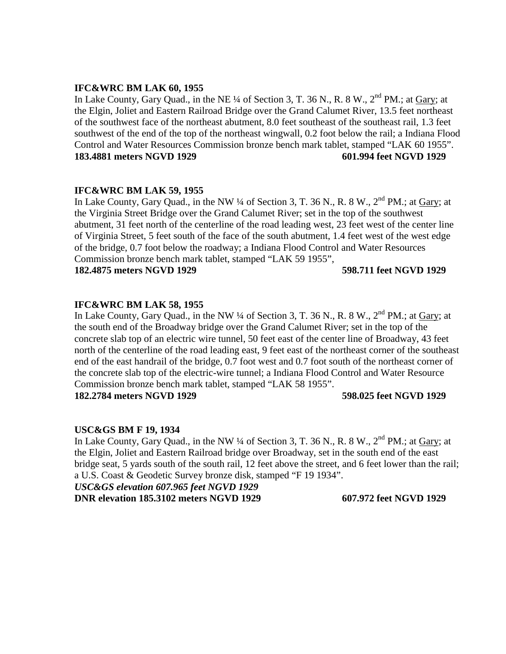## **IFC&WRC BM LAK 60, 1955**

In Lake County, Gary Quad., in the NE ¼ of Section 3, T. 36 N., R. 8 W., 2<sup>nd</sup> PM.; at Gary; at the Elgin, Joliet and Eastern Railroad Bridge over the Grand Calumet River, 13.5 feet northeast of the southwest face of the northeast abutment, 8.0 feet southeast of the southeast rail, 1.3 feet southwest of the end of the top of the northeast wingwall, 0.2 foot below the rail; a Indiana Flood Control and Water Resources Commission bronze bench mark tablet, stamped "LAK 60 1955". **183.4881 meters NGVD 1929 601.994 feet NGVD 1929**

## **IFC&WRC BM LAK 59, 1955**

In Lake County, Gary Quad., in the NW  $\frac{1}{4}$  of Section 3, T. 36 N., R. 8 W.,  $2^{nd}$  PM.; at Gary; at the Virginia Street Bridge over the Grand Calumet River; set in the top of the southwest abutment, 31 feet north of the centerline of the road leading west, 23 feet west of the center line of Virginia Street, 5 feet south of the face of the south abutment, 1.4 feet west of the west edge of the bridge, 0.7 foot below the roadway; a Indiana Flood Control and Water Resources Commission bronze bench mark tablet, stamped "LAK 59 1955",

**182.4875 meters NGVD 1929 598.711 feet NGVD 1929**

## **IFC&WRC BM LAK 58, 1955**

In Lake County, Gary Quad., in the NW  $\frac{1}{4}$  of Section 3, T. 36 N., R. 8 W.,  $2^{nd}$  PM.; at Gary; at the south end of the Broadway bridge over the Grand Calumet River; set in the top of the concrete slab top of an electric wire tunnel, 50 feet east of the center line of Broadway, 43 feet north of the centerline of the road leading east, 9 feet east of the northeast corner of the southeast end of the east handrail of the bridge, 0.7 foot west and 0.7 foot south of the northeast corner of the concrete slab top of the electric-wire tunnel; a Indiana Flood Control and Water Resource Commission bronze bench mark tablet, stamped "LAK 58 1955". **182.2784 meters NGVD 1929 598.025 feet NGVD 1929**

## **USC&GS BM F 19, 1934**

In Lake County, Gary Quad., in the NW  $\frac{1}{4}$  of Section 3, T. 36 N., R. 8 W.,  $2^{nd}$  PM.; at Gary; at the Elgin, Joliet and Eastern Railroad bridge over Broadway, set in the south end of the east bridge seat, 5 yards south of the south rail, 12 feet above the street, and 6 feet lower than the rail; a U.S. Coast & Geodetic Survey bronze disk, stamped "F 19 1934".

*USC&GS elevation 607.965 feet NGVD 1929*

**DNR elevation 185.3102 meters NGVD 1929 607.972 feet NGVD 1929**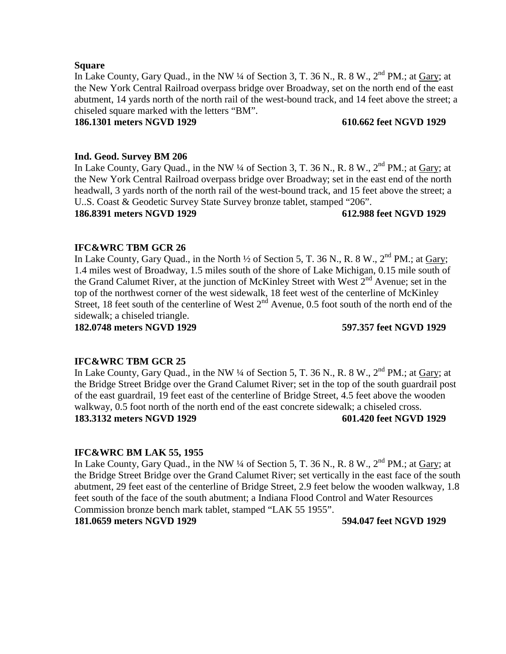## **Square**

In Lake County, Gary Quad., in the NW  $\frac{1}{4}$  of Section 3, T. 36 N., R. 8 W.,  $2^{nd}$  PM.; at Gary; at the New York Central Railroad overpass bridge over Broadway, set on the north end of the east abutment, 14 yards north of the north rail of the west-bound track, and 14 feet above the street; a chiseled square marked with the letters "BM".

## **186.1301 meters NGVD 1929 610.662 feet NGVD 1929**

## **Ind. Geod. Survey BM 206**

In Lake County, Gary Quad., in the NW  $\frac{1}{4}$  of Section 3, T. 36 N., R. 8 W.,  $2^{nd}$  PM.; at Gary; at the New York Central Railroad overpass bridge over Broadway; set in the east end of the north headwall, 3 yards north of the north rail of the west-bound track, and 15 feet above the street; a U..S. Coast & Geodetic Survey State Survey bronze tablet, stamped "206".

## **186.8391 meters NGVD 1929 612.988 feet NGVD 1929**

## **IFC&WRC TBM GCR 26**

In Lake County, Gary Quad., in the North  $\frac{1}{2}$  of Section 5, T. 36 N., R. 8 W.,  $2^{nd}$  PM.; at Gary; 1.4 miles west of Broadway, 1.5 miles south of the shore of Lake Michigan, 0.15 mile south of the Grand Calumet River, at the junction of McKinley Street with West  $2^{nd}$  Avenue; set in the top of the northwest corner of the west sidewalk, 18 feet west of the centerline of McKinley Street, 18 feet south of the centerline of West  $2<sup>nd</sup>$  Avenue, 0.5 foot south of the north end of the sidewalk; a chiseled triangle.

**182.0748 meters NGVD 1929 597.357 feet NGVD 1929**

## **IFC&WRC TBM GCR 25**

In Lake County, Gary Quad., in the NW  $\frac{1}{4}$  of Section 5, T. 36 N., R. 8 W.,  $2^{nd}$  PM.; at Gary; at the Bridge Street Bridge over the Grand Calumet River; set in the top of the south guardrail post of the east guardrail, 19 feet east of the centerline of Bridge Street, 4.5 feet above the wooden walkway, 0.5 foot north of the north end of the east concrete sidewalk; a chiseled cross. **183.3132 meters NGVD 1929 601.420 feet NGVD 1929**

## **IFC&WRC BM LAK 55, 1955**

In Lake County, Gary Quad., in the NW  $\frac{1}{4}$  of Section 5, T. 36 N., R. 8 W.,  $2^{nd}$  PM.; at Gary; at the Bridge Street Bridge over the Grand Calumet River; set vertically in the east face of the south abutment, 29 feet east of the centerline of Bridge Street, 2.9 feet below the wooden walkway, 1.8 feet south of the face of the south abutment; a Indiana Flood Control and Water Resources Commission bronze bench mark tablet, stamped "LAK 55 1955".

## **181.0659 meters NGVD 1929 594.047 feet NGVD 1929**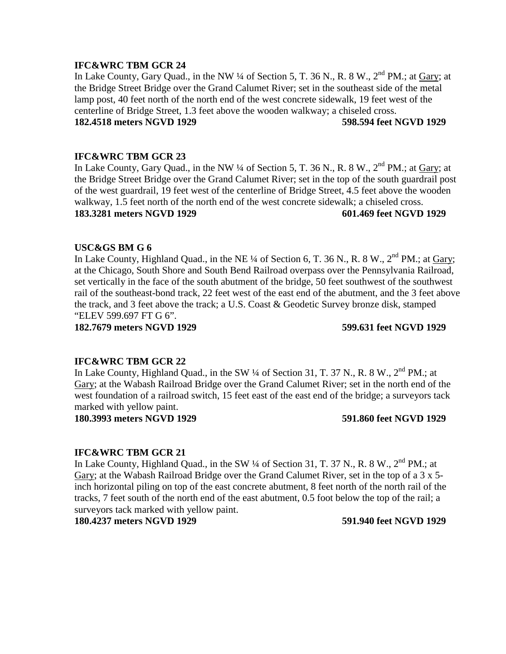In Lake County, Gary Quad., in the NW  $\frac{1}{4}$  of Section 5, T. 36 N., R. 8 W.,  $2^{nd}$  PM.; at Gary; at the Bridge Street Bridge over the Grand Calumet River; set in the southeast side of the metal lamp post, 40 feet north of the north end of the west concrete sidewalk, 19 feet west of the centerline of Bridge Street, 1.3 feet above the wooden walkway; a chiseled cross. **182.4518 meters NGVD 1929 598.594 feet NGVD 1929**

## **IFC&WRC TBM GCR 23**

In Lake County, Gary Quad., in the NW  $\frac{1}{4}$  of Section 5, T. 36 N., R. 8 W.,  $2^{nd}$  PM.; at Gary; at the Bridge Street Bridge over the Grand Calumet River; set in the top of the south guardrail post of the west guardrail, 19 feet west of the centerline of Bridge Street, 4.5 feet above the wooden walkway, 1.5 feet north of the north end of the west concrete sidewalk; a chiseled cross. **183.3281 meters NGVD 1929 601.469 feet NGVD 1929**

### **USC&GS BM G 6**

In Lake County, Highland Quad., in the NE ¼ of Section 6, T. 36 N., R. 8 W.,  $2<sup>nd</sup> PM$ .; at Gary; at the Chicago, South Shore and South Bend Railroad overpass over the Pennsylvania Railroad, set vertically in the face of the south abutment of the bridge, 50 feet southwest of the southwest rail of the southeast-bond track, 22 feet west of the east end of the abutment, and the 3 feet above the track, and 3 feet above the track; a U.S. Coast & Geodetic Survey bronze disk, stamped "ELEV 599.697 FT G 6".

**182.7679 meters NGVD 1929 599.631 feet NGVD 1929**

### **IFC&WRC TBM GCR 22**

In Lake County, Highland Quad., in the SW 1/4 of Section 31, T. 37 N., R. 8 W., 2<sup>nd</sup> PM.; at Gary; at the Wabash Railroad Bridge over the Grand Calumet River; set in the north end of the west foundation of a railroad switch, 15 feet east of the east end of the bridge; a surveyors tack marked with yellow paint.

**180.3993 meters NGVD 1929 591.860 feet NGVD 1929**

### **IFC&WRC TBM GCR 21**

In Lake County, Highland Quad., in the SW  $\frac{1}{4}$  of Section 31, T. 37 N., R. 8 W.,  $2^{nd}$  PM.; at Gary; at the Wabash Railroad Bridge over the Grand Calumet River, set in the top of a 3 x 5 inch horizontal piling on top of the east concrete abutment, 8 feet north of the north rail of the tracks, 7 feet south of the north end of the east abutment, 0.5 foot below the top of the rail; a surveyors tack marked with yellow paint.

**180.4237 meters NGVD 1929 591.940 feet NGVD 1929**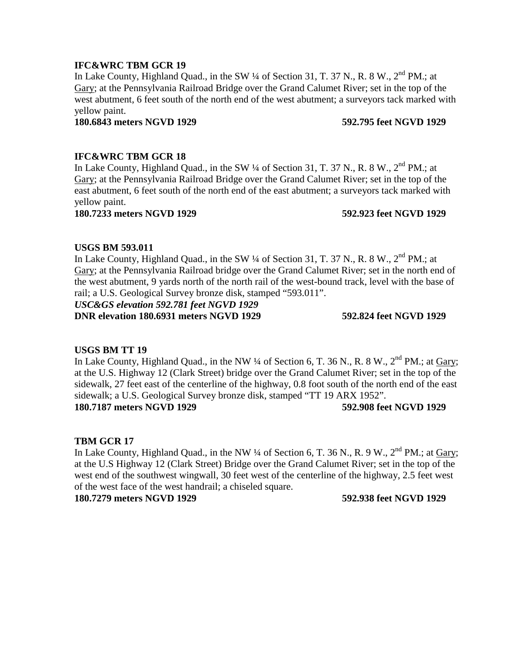In Lake County, Highland Quad., in the SW ¼ of Section 31, T. 37 N., R. 8 W., 2<sup>nd</sup> PM.; at Gary; at the Pennsylvania Railroad Bridge over the Grand Calumet River; set in the top of the west abutment, 6 feet south of the north end of the west abutment; a surveyors tack marked with yellow paint.

### **180.6843 meters NGVD 1929 592.795 feet NGVD 1929**

## **IFC&WRC TBM GCR 18**

In Lake County, Highland Quad., in the SW  $\frac{1}{4}$  of Section 31, T. 37 N., R. 8 W.,  $2^{nd}$  PM.; at Gary; at the Pennsylvania Railroad Bridge over the Grand Calumet River; set in the top of the east abutment, 6 feet south of the north end of the east abutment; a surveyors tack marked with yellow paint.

## **180.7233 meters NGVD 1929 592.923 feet NGVD 1929**

## **USGS BM 593.011**

In Lake County, Highland Quad., in the SW  $\frac{1}{4}$  of Section 31, T. 37 N., R. 8 W.,  $2^{nd}$  PM.; at Gary; at the Pennsylvania Railroad bridge over the Grand Calumet River; set in the north end of the west abutment, 9 yards north of the north rail of the west-bound track, level with the base of rail; a U.S. Geological Survey bronze disk, stamped "593.011".

## *USC&GS elevation 592.781 feet NGVD 1929*

**DNR elevation 180.6931 meters NGVD 1929 592.824 feet NGVD 1929**

## **USGS BM TT 19**

In Lake County, Highland Quad., in the NW  $\frac{1}{4}$  of Section 6, T. 36 N., R. 8 W.,  $2^{nd}$  PM.; at Gary; at the U.S. Highway 12 (Clark Street) bridge over the Grand Calumet River; set in the top of the sidewalk, 27 feet east of the centerline of the highway, 0.8 foot south of the north end of the east sidewalk; a U.S. Geological Survey bronze disk, stamped "TT 19 ARX 1952". **180.7187 meters NGVD 1929 592.908 feet NGVD 1929**

## **TBM GCR 17**

In Lake County, Highland Quad., in the NW  $\frac{1}{4}$  of Section 6, T. 36 N., R. 9 W.,  $2^{nd}$  PM.; at Gary; at the U.S Highway 12 (Clark Street) Bridge over the Grand Calumet River; set in the top of the west end of the southwest wingwall, 30 feet west of the centerline of the highway, 2.5 feet west of the west face of the west handrail; a chiseled square.

**180.7279 meters NGVD 1929 592.938 feet NGVD 1929**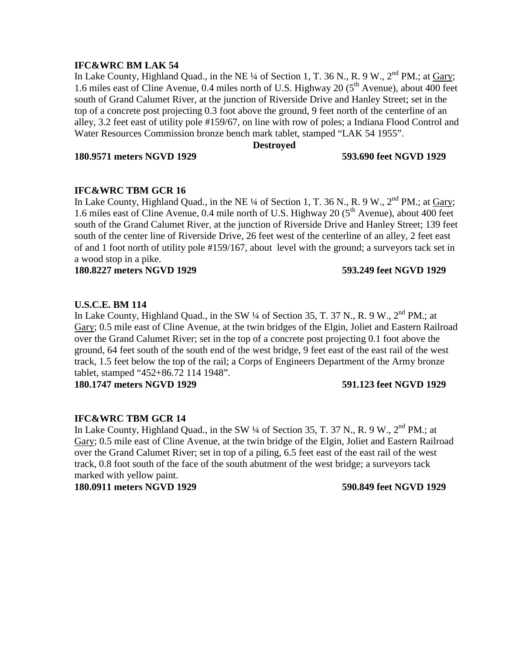## **IFC&WRC BM LAK 54**

In Lake County, Highland Quad., in the NE  $\frac{1}{4}$  of Section 1, T. 36 N., R. 9 W.,  $2^{nd}$  PM.; at Gary; 1.6 miles east of Cline Avenue,  $0.4$  miles north of U.S. Highway 20 ( $5<sup>th</sup>$  Avenue), about 400 feet south of Grand Calumet River, at the junction of Riverside Drive and Hanley Street; set in the top of a concrete post projecting 0.3 foot above the ground, 9 feet north of the centerline of an alley, 3.2 feet east of utility pole #159/67, on line with row of poles; a Indiana Flood Control and Water Resources Commission bronze bench mark tablet, stamped "LAK 54 1955".

### **Destroyed**

**180.9571 meters NGVD 1929 593.690 feet NGVD 1929**

## **IFC&WRC TBM GCR 16**

In Lake County, Highland Quad., in the NE  $\frac{1}{4}$  of Section 1, T. 36 N., R. 9 W.,  $2^{nd}$  PM.; at Gary; 1.6 miles east of Cline Avenue, 0.4 mile north of U.S. Highway 20 ( $5<sup>th</sup>$  Avenue), about 400 feet south of the Grand Calumet River, at the junction of Riverside Drive and Hanley Street; 139 feet south of the center line of Riverside Drive, 26 feet west of the centerline of an alley, 2 feet east of and 1 foot north of utility pole #159/167, about level with the ground; a surveyors tack set in a wood stop in a pike.

**180.8227 meters NGVD 1929 593.249 feet NGVD 1929**

## **U.S.C.E. BM 114**

In Lake County, Highland Quad., in the SW 1/4 of Section 35, T. 37 N., R. 9 W., 2<sup>nd</sup> PM.: at Gary; 0.5 mile east of Cline Avenue, at the twin bridges of the Elgin, Joliet and Eastern Railroad over the Grand Calumet River; set in the top of a concrete post projecting 0.1 foot above the ground, 64 feet south of the south end of the west bridge, 9 feet east of the east rail of the west track, 1.5 feet below the top of the rail; a Corps of Engineers Department of the Army bronze tablet, stamped "452+86.72 114 1948".

**180.1747 meters NGVD 1929 591.123 feet NGVD 1929**

## **IFC&WRC TBM GCR 14**

In Lake County, Highland Quad., in the SW  $\frac{1}{4}$  of Section 35, T. 37 N., R. 9 W.,  $2^{nd}$  PM.; at Gary; 0.5 mile east of Cline Avenue, at the twin bridge of the Elgin, Joliet and Eastern Railroad over the Grand Calumet River; set in top of a piling, 6.5 feet east of the east rail of the west track, 0.8 foot south of the face of the south abutment of the west bridge; a surveyors tack marked with yellow paint.

**180.0911 meters NGVD 1929 590.849 feet NGVD 1929**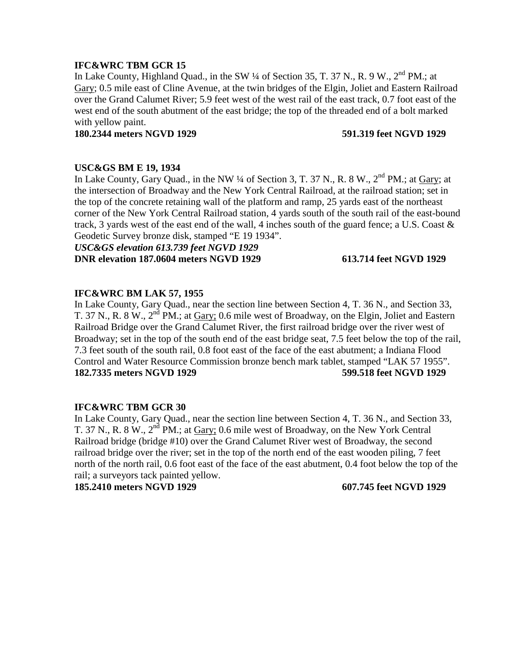In Lake County, Highland Quad., in the SW 1/4 of Section 35, T. 37 N., R. 9 W., 2<sup>nd</sup> PM.: at Gary; 0.5 mile east of Cline Avenue, at the twin bridges of the Elgin, Joliet and Eastern Railroad over the Grand Calumet River; 5.9 feet west of the west rail of the east track, 0.7 foot east of the west end of the south abutment of the east bridge; the top of the threaded end of a bolt marked with yellow paint.

### **180.2344 meters NGVD 1929 591.319 feet NGVD 1929**

### **USC&GS BM E 19, 1934**

In Lake County, Gary Quad., in the NW  $\frac{1}{4}$  of Section 3, T. 37 N., R. 8 W.,  $2^{nd}$  PM.; at Gary; at the intersection of Broadway and the New York Central Railroad, at the railroad station; set in the top of the concrete retaining wall of the platform and ramp, 25 yards east of the northeast corner of the New York Central Railroad station, 4 yards south of the south rail of the east-bound track, 3 yards west of the east end of the wall, 4 inches south of the guard fence; a U.S. Coast  $\&$ Geodetic Survey bronze disk, stamped "E 19 1934".

*USC&GS elevation 613.739 feet NGVD 1929* **DNR elevation 187.0604 meters NGVD 1929 613.714 feet NGVD 1929**

## **IFC&WRC BM LAK 57, 1955**

In Lake County, Gary Quad., near the section line between Section 4, T. 36 N., and Section 33, T. 37 N., R. 8 W.,  $2<sup>nd</sup> PM$ .; at Gary; 0.6 mile west of Broadway, on the Elgin, Joliet and Eastern Railroad Bridge over the Grand Calumet River, the first railroad bridge over the river west of Broadway; set in the top of the south end of the east bridge seat, 7.5 feet below the top of the rail, 7.3 feet south of the south rail, 0.8 foot east of the face of the east abutment; a Indiana Flood Control and Water Resource Commission bronze bench mark tablet, stamped "LAK 57 1955". **182.7335 meters NGVD 1929 599.518 feet NGVD 1929**

## **IFC&WRC TBM GCR 30**

In Lake County, Gary Quad., near the section line between Section 4, T. 36 N., and Section 33, T. 37 N., R. 8 W., 2<sup>nd</sup> PM.; at Gary; 0.6 mile west of Broadway, on the New York Central Railroad bridge (bridge #10) over the Grand Calumet River west of Broadway, the second railroad bridge over the river; set in the top of the north end of the east wooden piling, 7 feet north of the north rail, 0.6 foot east of the face of the east abutment, 0.4 foot below the top of the rail; a surveyors tack painted yellow.

**185.2410 meters NGVD 1929 607.745 feet NGVD 1929**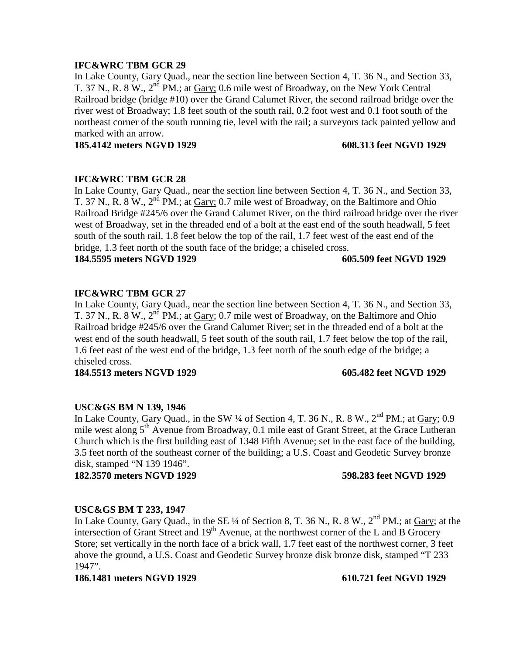In Lake County, Gary Quad., near the section line between Section 4, T. 36 N., and Section 33, T. 37 N., R. 8 W.,  $2^{nd}$  PM.; at Gary; 0.6 mile west of Broadway, on the New York Central Railroad bridge (bridge #10) over the Grand Calumet River, the second railroad bridge over the river west of Broadway; 1.8 feet south of the south rail, 0.2 foot west and 0.1 foot south of the northeast corner of the south running tie, level with the rail; a surveyors tack painted yellow and marked with an arrow.

**185.4142 meters NGVD 1929 608.313 feet NGVD 1929**

# **IFC&WRC TBM GCR 28**

In Lake County, Gary Quad., near the section line between Section 4, T. 36 N., and Section 33, T. 37 N., R. 8 W., 2<sup>nd</sup> PM.; at Gary; 0.7 mile west of Broadway, on the Baltimore and Ohio Railroad Bridge #245/6 over the Grand Calumet River, on the third railroad bridge over the river west of Broadway, set in the threaded end of a bolt at the east end of the south headwall, 5 feet south of the south rail. 1.8 feet below the top of the rail, 1.7 feet west of the east end of the bridge, 1.3 feet north of the south face of the bridge; a chiseled cross.

**184.5595 meters NGVD 1929 605.509 feet NGVD 1929**

# **IFC&WRC TBM GCR 27**

In Lake County, Gary Quad., near the section line between Section 4, T. 36 N., and Section 33, T. 37 N., R. 8 W.,  $2<sup>nd</sup> PM$ .; at Gary; 0.7 mile west of Broadway, on the Baltimore and Ohio Railroad bridge #245/6 over the Grand Calumet River; set in the threaded end of a bolt at the west end of the south headwall, 5 feet south of the south rail, 1.7 feet below the top of the rail, 1.6 feet east of the west end of the bridge, 1.3 feet north of the south edge of the bridge; a chiseled cross.

**184.5513 meters NGVD 1929 605.482 feet NGVD 1929**

## **USC&GS BM N 139, 1946**

In Lake County, Gary Quad., in the SW  $\frac{1}{4}$  of Section 4, T. 36 N., R. 8 W.,  $2^{nd}$  PM.; at Gary; 0.9 mile west along  $5<sup>th</sup>$  Avenue from Broadway, 0.1 mile east of Grant Street, at the Grace Lutheran Church which is the first building east of 1348 Fifth Avenue; set in the east face of the building, 3.5 feet north of the southeast corner of the building; a U.S. Coast and Geodetic Survey bronze disk, stamped "N 139 1946".

**182.3570 meters NGVD 1929 598.283 feet NGVD 1929**

## **USC&GS BM T 233, 1947**

In Lake County, Gary Quad., in the SE ¼ of Section 8, T. 36 N., R. 8 W., 2<sup>nd</sup> PM.; at Gary; at the intersection of Grant Street and  $19<sup>th</sup>$  Avenue, at the northwest corner of the L and B Grocery Store; set vertically in the north face of a brick wall, 1.7 feet east of the northwest corner, 3 feet above the ground, a U.S. Coast and Geodetic Survey bronze disk bronze disk, stamped "T 233 1947".

**186.1481 meters NGVD 1929 610.721 feet NGVD 1929**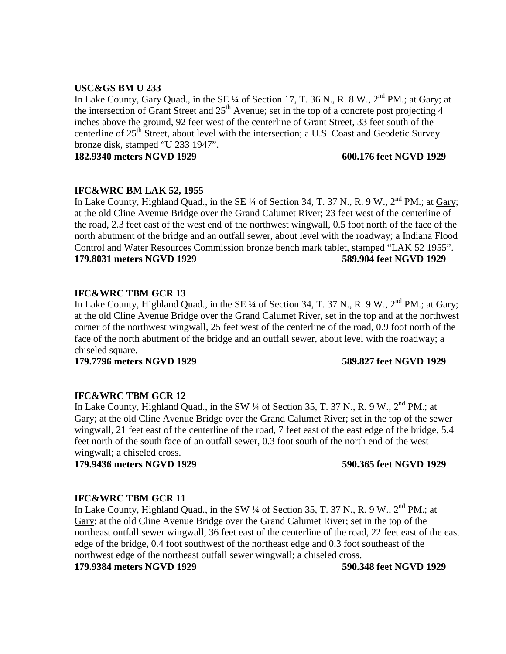## **USC&GS BM U 233**

In Lake County, Gary Quad., in the SE ¼ of Section 17, T. 36 N., R. 8 W., 2<sup>nd</sup> PM.; at <u>Gary</u>; at the intersection of Grant Street and  $25<sup>th</sup>$  Avenue; set in the top of a concrete post projecting 4 inches above the ground, 92 feet west of the centerline of Grant Street, 33 feet south of the centerline of 25<sup>th</sup> Street, about level with the intersection; a U.S. Coast and Geodetic Survey bronze disk, stamped "U 233 1947".

**182.9340 meters NGVD 1929 600.176 feet NGVD 1929**

## **IFC&WRC BM LAK 52, 1955**

In Lake County, Highland Quad., in the SE  $\frac{1}{4}$  of Section 34, T. 37 N., R. 9 W.,  $2^{nd}$  PM.; at Gary; at the old Cline Avenue Bridge over the Grand Calumet River; 23 feet west of the centerline of the road, 2.3 feet east of the west end of the northwest wingwall, 0.5 foot north of the face of the north abutment of the bridge and an outfall sewer, about level with the roadway; a Indiana Flood Control and Water Resources Commission bronze bench mark tablet, stamped "LAK 52 1955". **179.8031 meters NGVD 1929 589.904 feet NGVD 1929**

## **IFC&WRC TBM GCR 13**

In Lake County, Highland Quad., in the SE  $\frac{1}{4}$  of Section 34, T. 37 N., R. 9 W.,  $2^{nd}$  PM.; at Gary; at the old Cline Avenue Bridge over the Grand Calumet River, set in the top and at the northwest corner of the northwest wingwall, 25 feet west of the centerline of the road, 0.9 foot north of the face of the north abutment of the bridge and an outfall sewer, about level with the roadway; a chiseled square.

**179.7796 meters NGVD 1929 589.827 feet NGVD 1929**

## **IFC&WRC TBM GCR 12**

In Lake County, Highland Quad., in the SW  $\frac{1}{4}$  of Section 35, T. 37 N., R. 9 W.,  $2^{nd}$  PM.; at Gary; at the old Cline Avenue Bridge over the Grand Calumet River; set in the top of the sewer wingwall, 21 feet east of the centerline of the road, 7 feet east of the east edge of the bridge, 5.4 feet north of the south face of an outfall sewer, 0.3 foot south of the north end of the west wingwall; a chiseled cross.

**179.9436 meters NGVD 1929 590.365 feet NGVD 1929**

## **IFC&WRC TBM GCR 11**

In Lake County, Highland Ouad., in the SW  $\frac{1}{4}$  of Section 35, T, 37 N., R, 9 W., 2<sup>nd</sup> PM.; at Gary; at the old Cline Avenue Bridge over the Grand Calumet River; set in the top of the northeast outfall sewer wingwall, 36 feet east of the centerline of the road, 22 feet east of the east edge of the bridge, 0.4 foot southwest of the northeast edge and 0.3 foot southeast of the northwest edge of the northeast outfall sewer wingwall; a chiseled cross.

**179.9384 meters NGVD 1929 590.348 feet NGVD 1929**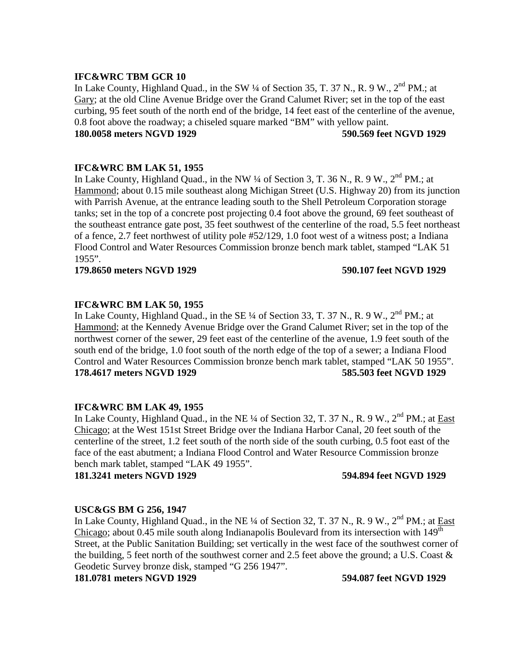In Lake County, Highland Quad., in the SW  $\frac{1}{4}$  of Section 35, T. 37 N., R. 9 W.,  $2^{nd}$  PM.; at Gary; at the old Cline Avenue Bridge over the Grand Calumet River; set in the top of the east curbing, 95 feet south of the north end of the bridge, 14 feet east of the centerline of the avenue, 0.8 foot above the roadway; a chiseled square marked "BM" with yellow paint.

## **180.0058 meters NGVD 1929 590.569 feet NGVD 1929**

## **IFC&WRC BM LAK 51, 1955**

In Lake County, Highland Quad., in the NW 1/4 of Section 3, T. 36 N., R. 9 W., 2<sup>nd</sup> PM.: at Hammond; about 0.15 mile southeast along Michigan Street (U.S. Highway 20) from its junction with Parrish Avenue, at the entrance leading south to the Shell Petroleum Corporation storage tanks; set in the top of a concrete post projecting 0.4 foot above the ground, 69 feet southeast of the southeast entrance gate post, 35 feet southwest of the centerline of the road, 5.5 feet northeast of a fence, 2.7 feet northwest of utility pole #52/129, 1.0 foot west of a witness post; a Indiana Flood Control and Water Resources Commission bronze bench mark tablet, stamped "LAK 51 1955".

### **179.8650 meters NGVD 1929 590.107 feet NGVD 1929**

## **IFC&WRC BM LAK 50, 1955**

In Lake County, Highland Quad., in the SE  $\frac{1}{4}$  of Section 33, T. 37 N., R. 9 W.,  $2^{nd}$  PM.; at Hammond; at the Kennedy Avenue Bridge over the Grand Calumet River; set in the top of the northwest corner of the sewer, 29 feet east of the centerline of the avenue, 1.9 feet south of the south end of the bridge, 1.0 foot south of the north edge of the top of a sewer; a Indiana Flood Control and Water Resources Commission bronze bench mark tablet, stamped "LAK 50 1955". **178.4617 meters NGVD 1929 585.503 feet NGVD 1929**

## **IFC&WRC BM LAK 49, 1955**

In Lake County, Highland Quad., in the NE  $\frac{1}{4}$  of Section 32, T. 37 N., R. 9 W.,  $2^{nd}$  PM.; at East Chicago; at the West 151st Street Bridge over the Indiana Harbor Canal, 20 feet south of the centerline of the street, 1.2 feet south of the north side of the south curbing, 0.5 foot east of the face of the east abutment; a Indiana Flood Control and Water Resource Commission bronze bench mark tablet, stamped "LAK 49 1955".

**181.3241 meters NGVD 1929 594.894 feet NGVD 1929**

## **USC&GS BM G 256, 1947**

In Lake County, Highland Quad., in the NE ¼ of Section 32, T. 37 N., R. 9 W., 2<sup>nd</sup> PM.; at *East* Chicago; about  $0.45$  mile south along Indianapolis Boulevard from its intersection with  $149<sup>th</sup>$ Street, at the Public Sanitation Building; set vertically in the west face of the southwest corner of the building, 5 feet north of the southwest corner and 2.5 feet above the ground; a U.S. Coast & Geodetic Survey bronze disk, stamped "G 256 1947".

**181.0781 meters NGVD 1929 594.087 feet NGVD 1929**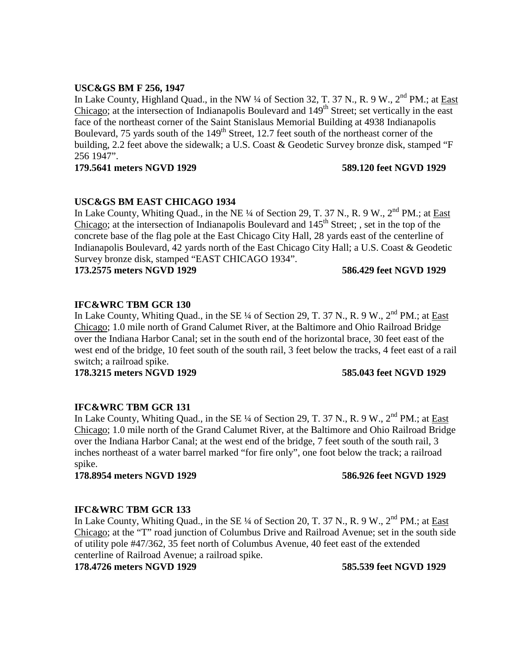# **USC&GS BM F 256, 1947**

In Lake County, Highland Quad., in the NW ¼ of Section 32, T. 37 N., R. 9 W., 2<sup>nd</sup> PM.; at East Chicago; at the intersection of Indianapolis Boulevard and  $149<sup>th</sup>$  Street; set vertically in the east face of the northeast corner of the Saint Stanislaus Memorial Building at 4938 Indianapolis Boulevard, 75 yards south of the  $149<sup>th</sup>$  Street, 12.7 feet south of the northeast corner of the building, 2.2 feet above the sidewalk; a U.S. Coast & Geodetic Survey bronze disk, stamped "F 256 1947".

## **179.5641 meters NGVD 1929 589.120 feet NGVD 1929**

# **USC&GS BM EAST CHICAGO 1934**

In Lake County, Whiting Quad., in the NE ¼ of Section 29, T. 37 N., R. 9 W., 2<sup>nd</sup> PM.; at East Chicago; at the intersection of Indianapolis Boulevard and  $145<sup>th</sup>$  Street; , set in the top of the concrete base of the flag pole at the East Chicago City Hall, 28 yards east of the centerline of Indianapolis Boulevard, 42 yards north of the East Chicago City Hall; a U.S. Coast & Geodetic Survey bronze disk, stamped "EAST CHICAGO 1934".

**173.2575 meters NGVD 1929 586.429 feet NGVD 1929**

# **IFC&WRC TBM GCR 130**

In Lake County, Whiting Quad., in the SE  $\frac{1}{4}$  of Section 29, T. 37 N., R. 9 W.,  $2^{nd}$  PM.; at East Chicago; 1.0 mile north of Grand Calumet River, at the Baltimore and Ohio Railroad Bridge over the Indiana Harbor Canal; set in the south end of the horizontal brace, 30 feet east of the west end of the bridge, 10 feet south of the south rail, 3 feet below the tracks, 4 feet east of a rail switch; a railroad spike.

**178.3215 meters NGVD 1929 585.043 feet NGVD 1929**

# **IFC&WRC TBM GCR 131**

In Lake County, Whiting Quad., in the SE  $\frac{1}{4}$  of Section 29, T. 37 N., R. 9 W.,  $2^{nd}$  PM.; at East Chicago; 1.0 mile north of the Grand Calumet River, at the Baltimore and Ohio Railroad Bridge over the Indiana Harbor Canal; at the west end of the bridge, 7 feet south of the south rail, 3 inches northeast of a water barrel marked "for fire only", one foot below the track; a railroad spike.

**178.8954 meters NGVD 1929 586.926 feet NGVD 1929**

# **IFC&WRC TBM GCR 133**

In Lake County, Whiting Quad., in the SE  $\frac{1}{4}$  of Section 20, T. 37 N., R. 9 W.,  $2^{nd}$  PM.; at East Chicago; at the "T" road junction of Columbus Drive and Railroad Avenue; set in the south side of utility pole #47/362, 35 feet north of Columbus Avenue, 40 feet east of the extended centerline of Railroad Avenue; a railroad spike.

**178.4726 meters NGVD 1929 585.539 feet NGVD 1929**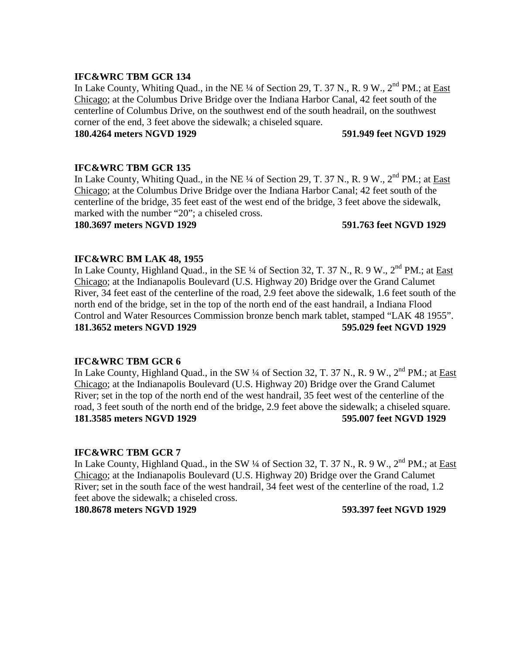In Lake County, Whiting Quad., in the NE  $\frac{1}{4}$  of Section 29, T. 37 N., R. 9 W.,  $2^{nd}$  PM.; at East Chicago; at the Columbus Drive Bridge over the Indiana Harbor Canal, 42 feet south of the centerline of Columbus Drive, on the southwest end of the south headrail, on the southwest corner of the end, 3 feet above the sidewalk; a chiseled square.

### **180.4264 meters NGVD 1929 591.949 feet NGVD 1929**

## **IFC&WRC TBM GCR 135**

In Lake County, Whiting Quad., in the NE ¼ of Section 29, T. 37 N., R. 9 W., 2<sup>nd</sup> PM.; at East Chicago; at the Columbus Drive Bridge over the Indiana Harbor Canal; 42 feet south of the centerline of the bridge, 35 feet east of the west end of the bridge, 3 feet above the sidewalk, marked with the number "20"; a chiseled cross.

### **180.3697 meters NGVD 1929 591.763 feet NGVD 1929**

## **IFC&WRC BM LAK 48, 1955**

In Lake County, Highland Quad., in the SE ¼ of Section 32, T. 37 N., R. 9 W., 2<sup>nd</sup> PM.; at East Chicago; at the Indianapolis Boulevard (U.S. Highway 20) Bridge over the Grand Calumet River, 34 feet east of the centerline of the road, 2.9 feet above the sidewalk, 1.6 feet south of the north end of the bridge, set in the top of the north end of the east handrail, a Indiana Flood Control and Water Resources Commission bronze bench mark tablet, stamped "LAK 48 1955". **181.3652 meters NGVD 1929 595.029 feet NGVD 1929**

## **IFC&WRC TBM GCR 6**

In Lake County, Highland Quad., in the SW ¼ of Section 32, T. 37 N., R. 9 W., 2<sup>nd</sup> PM.; at East Chicago; at the Indianapolis Boulevard (U.S. Highway 20) Bridge over the Grand Calumet River; set in the top of the north end of the west handrail, 35 feet west of the centerline of the road, 3 feet south of the north end of the bridge, 2.9 feet above the sidewalk; a chiseled square. **181.3585 meters NGVD 1929 595.007 feet NGVD 1929**

## **IFC&WRC TBM GCR 7**

In Lake County, Highland Quad., in the SW  $\frac{1}{4}$  of Section 32, T. 37 N., R. 9 W.,  $2^{nd}$  PM.: at East Chicago; at the Indianapolis Boulevard (U.S. Highway 20) Bridge over the Grand Calumet River; set in the south face of the west handrail, 34 feet west of the centerline of the road, 1.2 feet above the sidewalk; a chiseled cross.

**180.8678 meters NGVD 1929 593.397 feet NGVD 1929**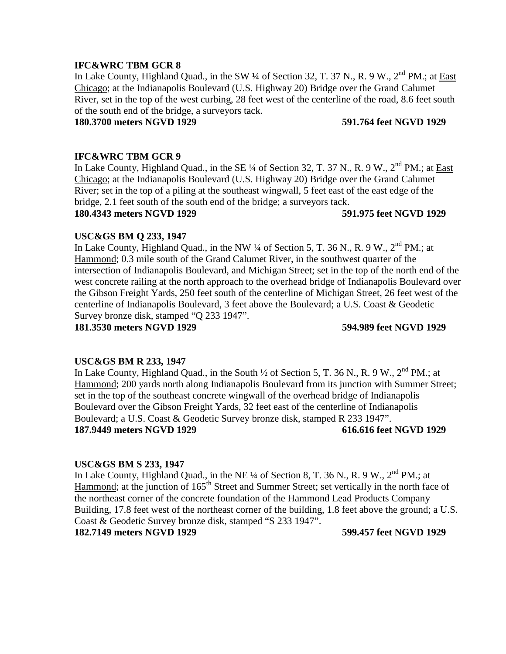In Lake County, Highland Quad., in the SW ¼ of Section 32, T. 37 N., R. 9 W., 2<sup>nd</sup> PM.; at East Chicago; at the Indianapolis Boulevard (U.S. Highway 20) Bridge over the Grand Calumet River, set in the top of the west curbing, 28 feet west of the centerline of the road, 8.6 feet south of the south end of the bridge, a surveyors tack.

## **180.3700 meters NGVD 1929 591.764 feet NGVD 1929**

## **IFC&WRC TBM GCR 9**

In Lake County, Highland Quad., in the SE  $\frac{1}{4}$  of Section 32, T. 37 N., R. 9 W.,  $2^{nd}$  PM.; at East Chicago; at the Indianapolis Boulevard (U.S. Highway 20) Bridge over the Grand Calumet River; set in the top of a piling at the southeast wingwall, 5 feet east of the east edge of the bridge, 2.1 feet south of the south end of the bridge; a surveyors tack.

**180.4343 meters NGVD 1929 591.975 feet NGVD 1929**

## **USC&GS BM Q 233, 1947**

In Lake County, Highland Quad., in the NW  $\frac{1}{4}$  of Section 5, T. 36 N., R. 9 W.,  $2^{nd}$  PM.; at Hammond; 0.3 mile south of the Grand Calumet River, in the southwest quarter of the intersection of Indianapolis Boulevard, and Michigan Street; set in the top of the north end of the west concrete railing at the north approach to the overhead bridge of Indianapolis Boulevard over the Gibson Freight Yards, 250 feet south of the centerline of Michigan Street, 26 feet west of the centerline of Indianapolis Boulevard, 3 feet above the Boulevard; a U.S. Coast & Geodetic Survey bronze disk, stamped "Q 233 1947".

**181.3530 meters NGVD 1929 594.989 feet NGVD 1929**

## **USC&GS BM R 233, 1947**

In Lake County, Highland Quad., in the South  $\frac{1}{2}$  of Section 5, T. 36 N., R. 9 W.,  $2^{nd}$  PM.; at Hammond; 200 yards north along Indianapolis Boulevard from its junction with Summer Street; set in the top of the southeast concrete wingwall of the overhead bridge of Indianapolis Boulevard over the Gibson Freight Yards, 32 feet east of the centerline of Indianapolis Boulevard; a U.S. Coast & Geodetic Survey bronze disk, stamped R 233 1947". **187.9449 meters NGVD 1929 616.616 feet NGVD 1929**

### **USC&GS BM S 233, 1947**

In Lake County, Highland Quad., in the NE  $\frac{1}{4}$  of Section 8, T. 36 N., R. 9 W.,  $2^{nd}$  PM.; at Hammond; at the junction of 165<sup>th</sup> Street and Summer Street; set vertically in the north face of the northeast corner of the concrete foundation of the Hammond Lead Products Company Building, 17.8 feet west of the northeast corner of the building, 1.8 feet above the ground; a U.S. Coast & Geodetic Survey bronze disk, stamped "S 233 1947".

**182.7149 meters NGVD 1929 599.457 feet NGVD 1929**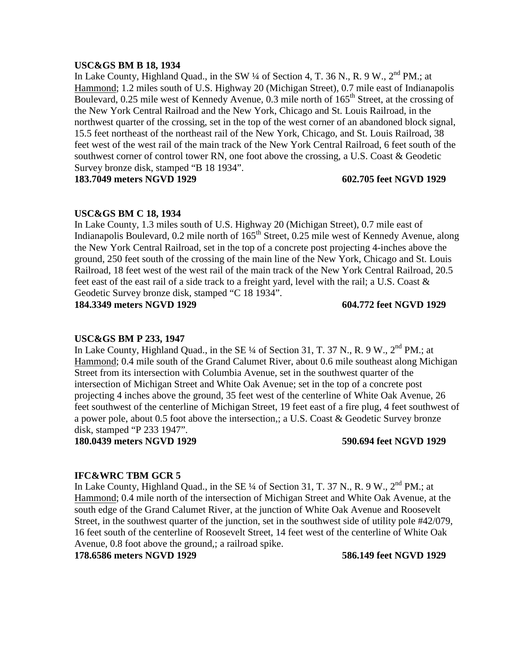### **USC&GS BM B 18, 1934**

In Lake County, Highland Quad., in the SW  $\frac{1}{4}$  of Section 4, T. 36 N., R. 9 W.,  $2^{nd}$  PM.; at Hammond; 1.2 miles south of U.S. Highway 20 (Michigan Street), 0.7 mile east of Indianapolis Boulevard, 0.25 mile west of Kennedy Avenue, 0.3 mile north of  $165<sup>th</sup>$  Street, at the crossing of the New York Central Railroad and the New York, Chicago and St. Louis Railroad, in the northwest quarter of the crossing, set in the top of the west corner of an abandoned block signal, 15.5 feet northeast of the northeast rail of the New York, Chicago, and St. Louis Railroad, 38 feet west of the west rail of the main track of the New York Central Railroad, 6 feet south of the southwest corner of control tower RN, one foot above the crossing, a U.S. Coast & Geodetic Survey bronze disk, stamped "B 18 1934".

**183.7049 meters NGVD 1929 602.705 feet NGVD 1929**

## **USC&GS BM C 18, 1934**

In Lake County, 1.3 miles south of U.S. Highway 20 (Michigan Street), 0.7 mile east of Indianapolis Boulevard, 0.2 mile north of 165<sup>th</sup> Street, 0.25 mile west of Kennedy Avenue, along the New York Central Railroad, set in the top of a concrete post projecting 4-inches above the ground, 250 feet south of the crossing of the main line of the New York, Chicago and St. Louis Railroad, 18 feet west of the west rail of the main track of the New York Central Railroad, 20.5 feet east of the east rail of a side track to a freight yard, level with the rail; a U.S. Coast & Geodetic Survey bronze disk, stamped "C 18 1934".

**184.3349 meters NGVD 1929 604.772 feet NGVD 1929**

## **USC&GS BM P 233, 1947**

In Lake County, Highland Quad., in the SE  $\frac{1}{4}$  of Section 31, T. 37 N., R. 9 W.,  $2^{nd}$  PM.; at Hammond; 0.4 mile south of the Grand Calumet River, about 0.6 mile southeast along Michigan Street from its intersection with Columbia Avenue, set in the southwest quarter of the intersection of Michigan Street and White Oak Avenue; set in the top of a concrete post projecting 4 inches above the ground, 35 feet west of the centerline of White Oak Avenue, 26 feet southwest of the centerline of Michigan Street, 19 feet east of a fire plug, 4 feet southwest of a power pole, about 0.5 foot above the intersection,; a U.S. Coast & Geodetic Survey bronze disk, stamped "P 233 1947".

**180.0439 meters NGVD 1929 590.694 feet NGVD 1929**

## **IFC&WRC TBM GCR 5**

In Lake County, Highland Quad., in the SE  $\frac{1}{4}$  of Section 31, T. 37 N., R. 9 W.,  $2^{nd}$  PM.; at Hammond; 0.4 mile north of the intersection of Michigan Street and White Oak Avenue, at the south edge of the Grand Calumet River, at the junction of White Oak Avenue and Roosevelt Street, in the southwest quarter of the junction, set in the southwest side of utility pole #42/079, 16 feet south of the centerline of Roosevelt Street, 14 feet west of the centerline of White Oak Avenue, 0.8 foot above the ground,; a railroad spike.

**178.6586 meters NGVD 1929 586.149 feet NGVD 1929**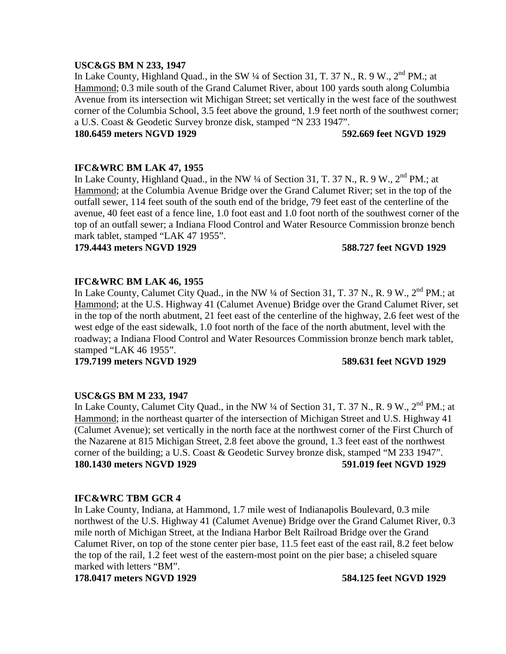### **USC&GS BM N 233, 1947**

In Lake County, Highland Quad., in the SW  $\frac{1}{4}$  of Section 31, T. 37 N., R. 9 W.,  $2^{nd}$  PM.; at Hammond; 0.3 mile south of the Grand Calumet River, about 100 yards south along Columbia Avenue from its intersection wit Michigan Street; set vertically in the west face of the southwest corner of the Columbia School, 3.5 feet above the ground, 1.9 feet north of the southwest corner; a U.S. Coast & Geodetic Survey bronze disk, stamped "N 233 1947".

### **180.6459 meters NGVD 1929 592.669 feet NGVD 1929**

## **IFC&WRC BM LAK 47, 1955**

In Lake County, Highland Quad., in the NW  $\frac{1}{4}$  of Section 31, T. 37 N., R. 9 W.,  $2^{nd}$  PM.: at Hammond; at the Columbia Avenue Bridge over the Grand Calumet River; set in the top of the outfall sewer, 114 feet south of the south end of the bridge, 79 feet east of the centerline of the avenue, 40 feet east of a fence line, 1.0 foot east and 1.0 foot north of the southwest corner of the top of an outfall sewer; a Indiana Flood Control and Water Resource Commission bronze bench mark tablet, stamped "LAK 47 1955".

**179.4443 meters NGVD 1929 588.727 feet NGVD 1929**

## **IFC&WRC BM LAK 46, 1955**

In Lake County, Calumet City Quad., in the NW  $\frac{1}{4}$  of Section 31, T. 37 N., R. 9 W., 2<sup>nd</sup> PM.; at Hammond; at the U.S. Highway 41 (Calumet Avenue) Bridge over the Grand Calumet River, set in the top of the north abutment, 21 feet east of the centerline of the highway, 2.6 feet west of the west edge of the east sidewalk, 1.0 foot north of the face of the north abutment, level with the roadway; a Indiana Flood Control and Water Resources Commission bronze bench mark tablet, stamped "LAK 46 1955".

**179.7199 meters NGVD 1929 589.631 feet NGVD 1929**

## **USC&GS BM M 233, 1947**

In Lake County, Calumet City Quad., in the NW  $\frac{1}{4}$  of Section 31, T. 37 N., R. 9 W., 2<sup>nd</sup> PM.; at Hammond; in the northeast quarter of the intersection of Michigan Street and U.S. Highway 41 (Calumet Avenue); set vertically in the north face at the northwest corner of the First Church of the Nazarene at 815 Michigan Street, 2.8 feet above the ground, 1.3 feet east of the northwest corner of the building; a U.S. Coast & Geodetic Survey bronze disk, stamped "M 233 1947". **180.1430 meters NGVD 1929 591.019 feet NGVD 1929**

## **IFC&WRC TBM GCR 4**

In Lake County, Indiana, at Hammond, 1.7 mile west of Indianapolis Boulevard, 0.3 mile northwest of the U.S. Highway 41 (Calumet Avenue) Bridge over the Grand Calumet River, 0.3 mile north of Michigan Street, at the Indiana Harbor Belt Railroad Bridge over the Grand Calumet River, on top of the stone center pier base, 11.5 feet east of the east rail, 8.2 feet below the top of the rail, 1.2 feet west of the eastern-most point on the pier base; a chiseled square marked with letters "BM".

**178.0417 meters NGVD 1929 584.125 feet NGVD 1929**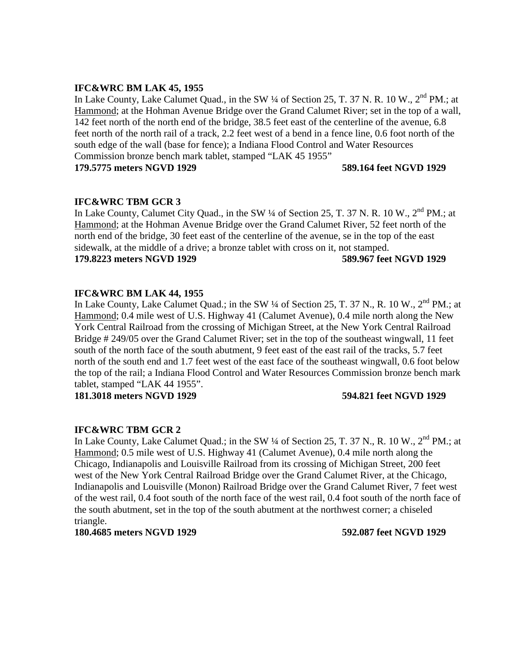## **IFC&WRC BM LAK 45, 1955**

In Lake County, Lake Calumet Quad., in the SW  $\frac{1}{4}$  of Section 25, T. 37 N. R. 10 W., 2<sup>nd</sup> PM.; at Hammond; at the Hohman Avenue Bridge over the Grand Calumet River; set in the top of a wall, 142 feet north of the north end of the bridge, 38.5 feet east of the centerline of the avenue, 6.8 feet north of the north rail of a track, 2.2 feet west of a bend in a fence line, 0.6 foot north of the south edge of the wall (base for fence); a Indiana Flood Control and Water Resources Commission bronze bench mark tablet, stamped "LAK 45 1955" **179.5775 meters NGVD 1929 589.164 feet NGVD 1929**

## **IFC&WRC TBM GCR 3**

In Lake County, Calumet City Quad., in the SW  $\frac{1}{4}$  of Section 25, T. 37 N. R. 10 W., 2<sup>nd</sup> PM.; at Hammond; at the Hohman Avenue Bridge over the Grand Calumet River, 52 feet north of the north end of the bridge, 30 feet east of the centerline of the avenue, se in the top of the east sidewalk, at the middle of a drive; a bronze tablet with cross on it, not stamped. **179.8223 meters NGVD 1929 589.967 feet NGVD 1929**

# **IFC&WRC BM LAK 44, 1955**

In Lake County, Lake Calumet Quad.; in the SW ¼ of Section 25, T. 37 N., R. 10 W., 2<sup>nd</sup> PM.; at Hammond; 0.4 mile west of U.S. Highway 41 (Calumet Avenue), 0.4 mile north along the New York Central Railroad from the crossing of Michigan Street, at the New York Central Railroad Bridge # 249/05 over the Grand Calumet River; set in the top of the southeast wingwall, 11 feet south of the north face of the south abutment, 9 feet east of the east rail of the tracks, 5.7 feet north of the south end and 1.7 feet west of the east face of the southeast wingwall, 0.6 foot below the top of the rail; a Indiana Flood Control and Water Resources Commission bronze bench mark tablet, stamped "LAK 44 1955".

**181.3018 meters NGVD 1929 594.821 feet NGVD 1929**

## **IFC&WRC TBM GCR 2**

In Lake County, Lake Calumet Quad.; in the SW 1/4 of Section 25, T. 37 N., R. 10 W., 2<sup>nd</sup> PM.; at Hammond; 0.5 mile west of U.S. Highway 41 (Calumet Avenue), 0.4 mile north along the Chicago, Indianapolis and Louisville Railroad from its crossing of Michigan Street, 200 feet west of the New York Central Railroad Bridge over the Grand Calumet River, at the Chicago, Indianapolis and Louisville (Monon) Railroad Bridge over the Grand Calumet River, 7 feet west of the west rail, 0.4 foot south of the north face of the west rail, 0.4 foot south of the north face of the south abutment, set in the top of the south abutment at the northwest corner; a chiseled triangle.

**180.4685 meters NGVD 1929 592.087 feet NGVD 1929**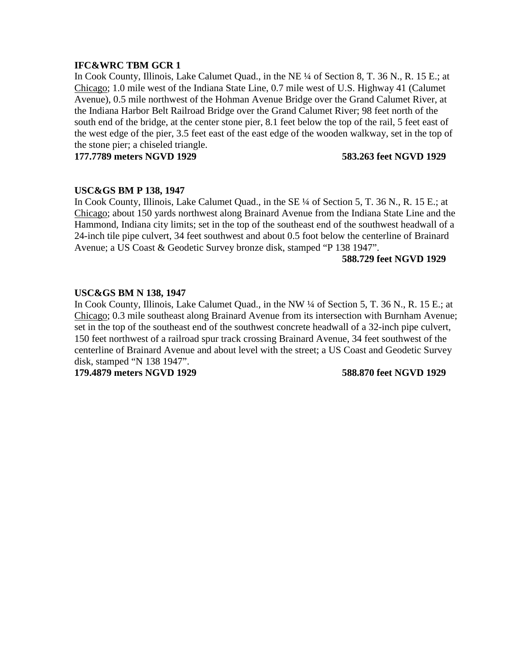In Cook County, Illinois, Lake Calumet Quad., in the NE ¼ of Section 8, T. 36 N., R. 15 E.; at Chicago; 1.0 mile west of the Indiana State Line, 0.7 mile west of U.S. Highway 41 (Calumet Avenue), 0.5 mile northwest of the Hohman Avenue Bridge over the Grand Calumet River, at the Indiana Harbor Belt Railroad Bridge over the Grand Calumet River; 98 feet north of the south end of the bridge, at the center stone pier, 8.1 feet below the top of the rail, 5 feet east of the west edge of the pier, 3.5 feet east of the east edge of the wooden walkway, set in the top of the stone pier; a chiseled triangle.

**177.7789 meters NGVD 1929 583.263 feet NGVD 1929**

## **USC&GS BM P 138, 1947**

In Cook County, Illinois, Lake Calumet Quad., in the SE  $\frac{1}{4}$  of Section 5, T. 36 N., R. 15 E.; at Chicago; about 150 yards northwest along Brainard Avenue from the Indiana State Line and the Hammond, Indiana city limits; set in the top of the southeast end of the southwest headwall of a 24-inch tile pipe culvert, 34 feet southwest and about 0.5 foot below the centerline of Brainard Avenue; a US Coast & Geodetic Survey bronze disk, stamped "P 138 1947".

## **588.729 feet NGVD 1929**

## **USC&GS BM N 138, 1947**

In Cook County, Illinois, Lake Calumet Quad., in the NW ¼ of Section 5, T. 36 N., R. 15 E.; at Chicago; 0.3 mile southeast along Brainard Avenue from its intersection with Burnham Avenue; set in the top of the southeast end of the southwest concrete headwall of a 32-inch pipe culvert, 150 feet northwest of a railroad spur track crossing Brainard Avenue, 34 feet southwest of the centerline of Brainard Avenue and about level with the street; a US Coast and Geodetic Survey disk, stamped "N 138 1947".

**179.4879 meters NGVD 1929 588.870 feet NGVD 1929**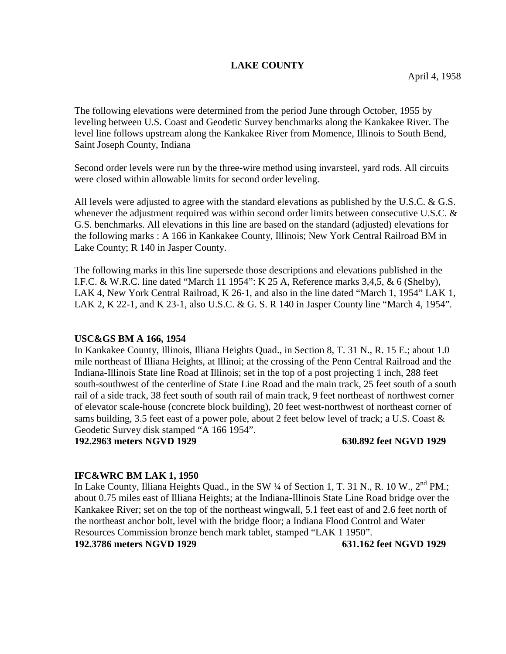# **LAKE COUNTY**

The following elevations were determined from the period June through October, 1955 by leveling between U.S. Coast and Geodetic Survey benchmarks along the Kankakee River. The level line follows upstream along the Kankakee River from Momence, Illinois to South Bend, Saint Joseph County, Indiana

Second order levels were run by the three-wire method using invarsteel, yard rods. All circuits were closed within allowable limits for second order leveling.

All levels were adjusted to agree with the standard elevations as published by the U.S.C. & G.S. whenever the adjustment required was within second order limits between consecutive U.S.C. & G.S. benchmarks. All elevations in this line are based on the standard (adjusted) elevations for the following marks : A 166 in Kankakee County, Illinois; New York Central Railroad BM in Lake County; R 140 in Jasper County.

The following marks in this line supersede those descriptions and elevations published in the I.F.C. & W.R.C. line dated "March 11 1954": K 25 A, Reference marks 3,4,5, & 6 (Shelby), LAK 4, New York Central Railroad, K 26-1, and also in the line dated "March 1, 1954" LAK 1, LAK 2, K 22-1, and K 23-1, also U.S.C. & G. S. R 140 in Jasper County line "March 4, 1954".

# **USC&GS BM A 166, 1954**

In Kankakee County, Illinois, Illiana Heights Quad., in Section 8, T. 31 N., R. 15 E.; about 1.0 mile northeast of Illiana Heights, at Illinoi; at the crossing of the Penn Central Railroad and the Indiana-Illinois State line Road at Illinois; set in the top of a post projecting 1 inch, 288 feet south-southwest of the centerline of State Line Road and the main track, 25 feet south of a south rail of a side track, 38 feet south of south rail of main track, 9 feet northeast of northwest corner of elevator scale-house (concrete block building), 20 feet west-northwest of northeast corner of sams building, 3.5 feet east of a power pole, about 2 feet below level of track; a U.S. Coast & Geodetic Survey disk stamped "A 166 1954".

**192.2963 meters NGVD 1929 630.892 feet NGVD 1929**

## **IFC&WRC BM LAK 1, 1950**

In Lake County, Illiana Heights Quad., in the SW 1/4 of Section 1, T. 31 N., R. 10 W., 2<sup>nd</sup> PM.; about 0.75 miles east of Illiana Heights; at the Indiana-Illinois State Line Road bridge over the Kankakee River; set on the top of the northeast wingwall, 5.1 feet east of and 2.6 feet north of the northeast anchor bolt, level with the bridge floor; a Indiana Flood Control and Water Resources Commission bronze bench mark tablet, stamped "LAK 1 1950". **192.3786 meters NGVD 1929 631.162 feet NGVD 1929**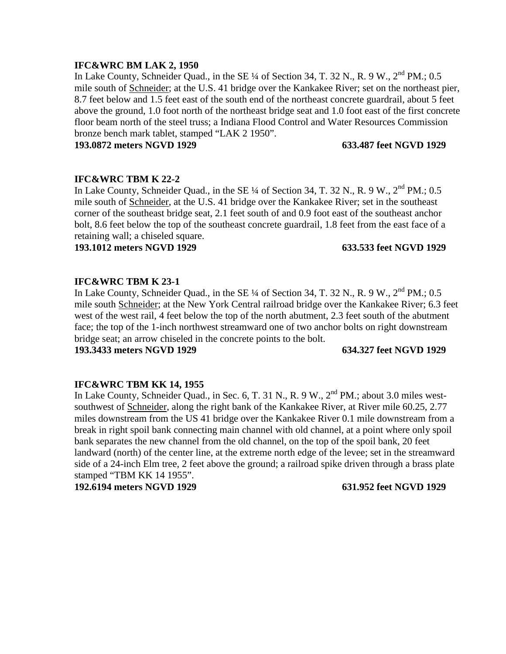## **IFC&WRC BM LAK 2, 1950**

In Lake County, Schneider Quad., in the SE  $\frac{1}{4}$  of Section 34, T. 32 N., R. 9 W.,  $2^{nd}$  PM.; 0.5 mile south of Schneider; at the U.S. 41 bridge over the Kankakee River; set on the northeast pier, 8.7 feet below and 1.5 feet east of the south end of the northeast concrete guardrail, about 5 feet above the ground, 1.0 foot north of the northeast bridge seat and 1.0 foot east of the first concrete floor beam north of the steel truss; a Indiana Flood Control and Water Resources Commission bronze bench mark tablet, stamped "LAK 2 1950".

**193.0872 meters NGVD 1929 633.487 feet NGVD 1929**

## **IFC&WRC TBM K 22-2**

In Lake County, Schneider Quad., in the SE  $\frac{1}{4}$  of Section 34, T. 32 N., R. 9 W.,  $2^{nd}$  PM.; 0.5 mile south of Schneider, at the U.S. 41 bridge over the Kankakee River; set in the southeast corner of the southeast bridge seat, 2.1 feet south of and 0.9 foot east of the southeast anchor bolt, 8.6 feet below the top of the southeast concrete guardrail, 1.8 feet from the east face of a retaining wall; a chiseled square.

**193.1012 meters NGVD 1929 633.533 feet NGVD 1929**

# **IFC&WRC TBM K 23-1**

In Lake County, Schneider Quad., in the SE  $\frac{1}{4}$  of Section 34, T. 32 N., R. 9 W.,  $2^{nd}$  PM.; 0.5 mile south Schneider; at the New York Central railroad bridge over the Kankakee River; 6.3 feet west of the west rail, 4 feet below the top of the north abutment, 2.3 feet south of the abutment face; the top of the 1-inch northwest streamward one of two anchor bolts on right downstream bridge seat; an arrow chiseled in the concrete points to the bolt.

**193.3433 meters NGVD 1929 634.327 feet NGVD 1929**

## **IFC&WRC TBM KK 14, 1955**

In Lake County, Schneider Quad., in Sec. 6, T. 31 N., R. 9 W., 2<sup>nd</sup> PM.; about 3.0 miles westsouthwest of Schneider, along the right bank of the Kankakee River, at River mile 60.25, 2.77 miles downstream from the US 41 bridge over the Kankakee River 0.1 mile downstream from a break in right spoil bank connecting main channel with old channel, at a point where only spoil bank separates the new channel from the old channel, on the top of the spoil bank, 20 feet landward (north) of the center line, at the extreme north edge of the levee; set in the streamward side of a 24-inch Elm tree, 2 feet above the ground; a railroad spike driven through a brass plate stamped "TBM KK 14 1955".

**192.6194 meters NGVD 1929 631.952 feet NGVD 1929**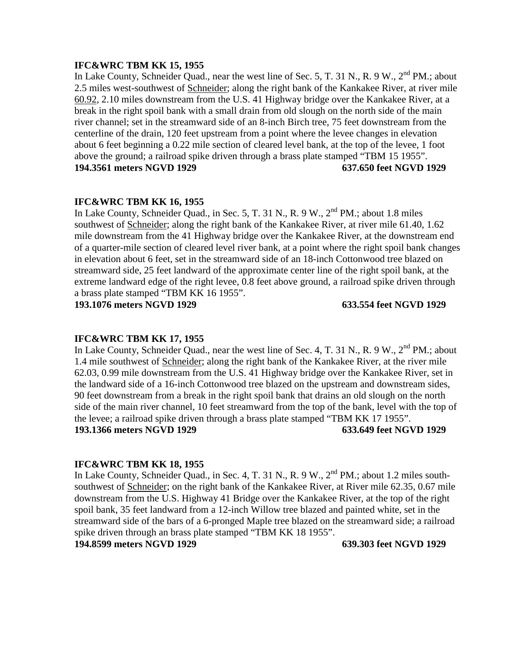# **IFC&WRC TBM KK 15, 1955**

In Lake County, Schneider Quad., near the west line of Sec. 5, T. 31 N., R. 9 W., 2<sup>nd</sup> PM.: about 2.5 miles west-southwest of Schneider; along the right bank of the Kankakee River, at river mile 60.92, 2.10 miles downstream from the U.S. 41 Highway bridge over the Kankakee River, at a break in the right spoil bank with a small drain from old slough on the north side of the main river channel; set in the streamward side of an 8-inch Birch tree, 75 feet downstream from the centerline of the drain, 120 feet upstream from a point where the levee changes in elevation about 6 feet beginning a 0.22 mile section of cleared level bank, at the top of the levee, 1 foot above the ground; a railroad spike driven through a brass plate stamped "TBM 15 1955". **194.3561 meters NGVD 1929 637.650 feet NGVD 1929**

## **IFC&WRC TBM KK 16, 1955**

In Lake County, Schneider Quad., in Sec. 5, T. 31 N., R. 9 W., 2<sup>nd</sup> PM.; about 1.8 miles southwest of Schneider; along the right bank of the Kankakee River, at river mile 61.40, 1.62 mile downstream from the 41 Highway bridge over the Kankakee River, at the downstream end of a quarter-mile section of cleared level river bank, at a point where the right spoil bank changes in elevation about 6 feet, set in the streamward side of an 18-inch Cottonwood tree blazed on streamward side, 25 feet landward of the approximate center line of the right spoil bank, at the extreme landward edge of the right levee, 0.8 feet above ground, a railroad spike driven through a brass plate stamped "TBM KK 16 1955".

**193.1076 meters NGVD 1929 633.554 feet NGVD 1929**

## **IFC&WRC TBM KK 17, 1955**

In Lake County, Schneider Quad., near the west line of Sec. 4, T. 31 N., R. 9 W.,  $2<sup>nd</sup>$  PM.; about 1.4 mile southwest of Schneider; along the right bank of the Kankakee River, at the river mile 62.03, 0.99 mile downstream from the U.S. 41 Highway bridge over the Kankakee River, set in the landward side of a 16-inch Cottonwood tree blazed on the upstream and downstream sides, 90 feet downstream from a break in the right spoil bank that drains an old slough on the north side of the main river channel, 10 feet streamward from the top of the bank, level with the top of the levee; a railroad spike driven through a brass plate stamped "TBM KK 17 1955". **193.1366 meters NGVD 1929 633.649 feet NGVD 1929**

## **IFC&WRC TBM KK 18, 1955**

In Lake County, Schneider Quad., in Sec. 4, T. 31 N., R. 9 W., 2<sup>nd</sup> PM.; about 1.2 miles southsouthwest of Schneider; on the right bank of the Kankakee River, at River mile 62.35, 0.67 mile downstream from the U.S. Highway 41 Bridge over the Kankakee River, at the top of the right spoil bank, 35 feet landward from a 12-inch Willow tree blazed and painted white, set in the streamward side of the bars of a 6-pronged Maple tree blazed on the streamward side; a railroad spike driven through an brass plate stamped "TBM KK 18 1955".

**194.8599 meters NGVD 1929 639.303 feet NGVD 1929**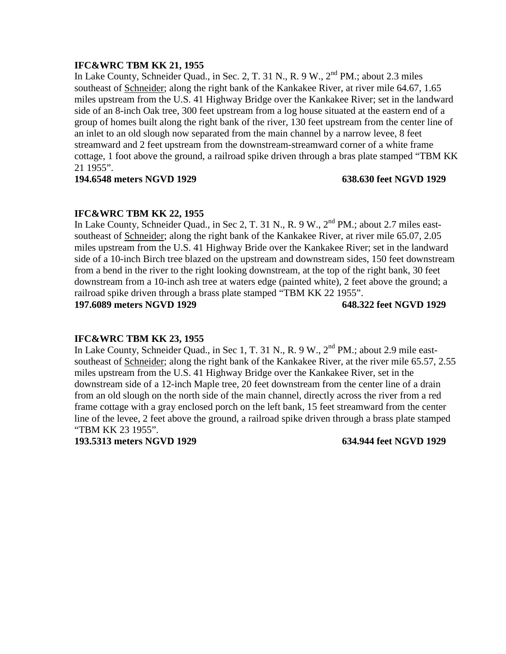# **IFC&WRC TBM KK 21, 1955**

In Lake County, Schneider Quad., in Sec. 2, T. 31 N., R. 9 W., 2<sup>nd</sup> PM.; about 2.3 miles southeast of Schneider; along the right bank of the Kankakee River, at river mile 64.67, 1.65 miles upstream from the U.S. 41 Highway Bridge over the Kankakee River; set in the landward side of an 8-inch Oak tree, 300 feet upstream from a log house situated at the eastern end of a group of homes built along the right bank of the river, 130 feet upstream from the center line of an inlet to an old slough now separated from the main channel by a narrow levee, 8 feet streamward and 2 feet upstream from the downstream-streamward corner of a white frame cottage, 1 foot above the ground, a railroad spike driven through a bras plate stamped "TBM KK 21 1955".

### **194.6548 meters NGVD 1929 638.630 feet NGVD 1929**

## **IFC&WRC TBM KK 22, 1955**

In Lake County, Schneider Quad., in Sec 2, T. 31 N., R. 9 W., 2<sup>nd</sup> PM.; about 2.7 miles eastsoutheast of Schneider; along the right bank of the Kankakee River, at river mile 65.07, 2.05 miles upstream from the U.S. 41 Highway Bride over the Kankakee River; set in the landward side of a 10-inch Birch tree blazed on the upstream and downstream sides, 150 feet downstream from a bend in the river to the right looking downstream, at the top of the right bank, 30 feet downstream from a 10-inch ash tree at waters edge (painted white), 2 feet above the ground; a railroad spike driven through a brass plate stamped "TBM KK 22 1955". **197.6089 meters NGVD 1929 648.322 feet NGVD 1929**

## **IFC&WRC TBM KK 23, 1955**

In Lake County, Schneider Quad., in Sec 1, T. 31 N., R. 9 W., 2<sup>nd</sup> PM.; about 2.9 mile eastsoutheast of Schneider; along the right bank of the Kankakee River, at the river mile 65.57, 2.55 miles upstream from the U.S. 41 Highway Bridge over the Kankakee River, set in the downstream side of a 12-inch Maple tree, 20 feet downstream from the center line of a drain from an old slough on the north side of the main channel, directly across the river from a red frame cottage with a gray enclosed porch on the left bank, 15 feet streamward from the center line of the levee, 2 feet above the ground, a railroad spike driven through a brass plate stamped "TBM KK 23 1955".

**193.5313 meters NGVD 1929 634.944 feet NGVD 1929**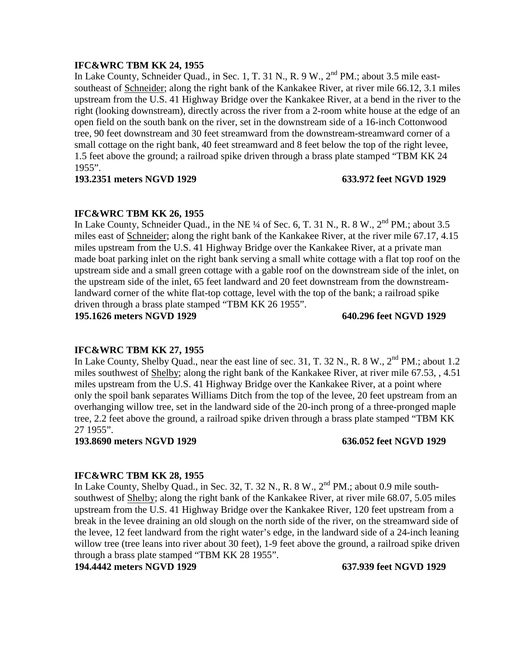## **IFC&WRC TBM KK 24, 1955**

In Lake County, Schneider Quad., in Sec. 1, T. 31 N., R. 9 W., 2<sup>nd</sup> PM.; about 3.5 mile eastsoutheast of Schneider; along the right bank of the Kankakee River, at river mile 66.12, 3.1 miles upstream from the U.S. 41 Highway Bridge over the Kankakee River, at a bend in the river to the right (looking downstream), directly across the river from a 2-room white house at the edge of an open field on the south bank on the river, set in the downstream side of a 16-inch Cottonwood tree, 90 feet downstream and 30 feet streamward from the downstream-streamward corner of a small cottage on the right bank, 40 feet streamward and 8 feet below the top of the right levee, 1.5 feet above the ground; a railroad spike driven through a brass plate stamped "TBM KK 24 1955".

### **193.2351 meters NGVD 1929 633.972 feet NGVD 1929**

## **IFC&WRC TBM KK 26, 1955**

In Lake County, Schneider Quad., in the NE  $\frac{1}{4}$  of Sec. 6, T. 31 N., R. 8 W.,  $2^{nd}$  PM.; about 3.5 miles east of Schneider; along the right bank of the Kankakee River, at the river mile 67.17, 4.15 miles upstream from the U.S. 41 Highway Bridge over the Kankakee River, at a private man made boat parking inlet on the right bank serving a small white cottage with a flat top roof on the upstream side and a small green cottage with a gable roof on the downstream side of the inlet, on the upstream side of the inlet, 65 feet landward and 20 feet downstream from the downstreamlandward corner of the white flat-top cottage, level with the top of the bank; a railroad spike driven through a brass plate stamped "TBM KK 26 1955". **195.1626 meters NGVD 1929 640.296 feet NGVD 1929**

### **IFC&WRC TBM KK 27, 1955**

In Lake County, Shelby Quad., near the east line of sec. 31, T. 32 N., R. 8 W.,  $2^{nd}$  PM.; about 1.2 miles southwest of Shelby; along the right bank of the Kankakee River, at river mile 67.53, , 4.51 miles upstream from the U.S. 41 Highway Bridge over the Kankakee River, at a point where only the spoil bank separates Williams Ditch from the top of the levee, 20 feet upstream from an overhanging willow tree, set in the landward side of the 20-inch prong of a three-pronged maple tree, 2.2 feet above the ground, a railroad spike driven through a brass plate stamped "TBM KK 27 1955".

**193.8690 meters NGVD 1929 636.052 feet NGVD 1929**

### **IFC&WRC TBM KK 28, 1955**

In Lake County, Shelby Quad., in Sec. 32, T. 32 N., R. 8 W.,  $2<sup>nd</sup> PM$ .; about 0.9 mile southsouthwest of Shelby; along the right bank of the Kankakee River, at river mile 68.07, 5.05 miles upstream from the U.S. 41 Highway Bridge over the Kankakee River, 120 feet upstream from a break in the levee draining an old slough on the north side of the river, on the streamward side of the levee, 12 feet landward from the right water's edge, in the landward side of a 24-inch leaning willow tree (tree leans into river about 30 feet), 1-9 feet above the ground, a railroad spike driven through a brass plate stamped "TBM KK 28 1955".

**194.4442 meters NGVD 1929 637.939 feet NGVD 1929**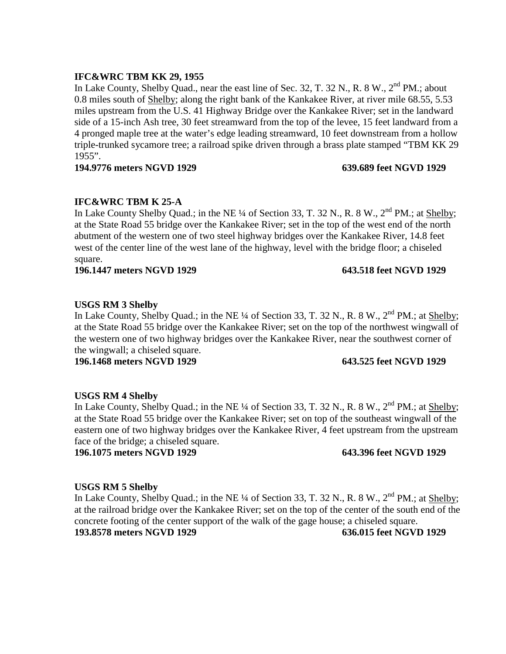## **IFC&WRC TBM KK 29, 1955**

In Lake County, Shelby Quad., near the east line of Sec. 32, T. 32 N., R. 8 W.,  $2<sup>nd</sup> PM$ .; about 0.8 miles south of Shelby; along the right bank of the Kankakee River, at river mile 68.55, 5.53 miles upstream from the U.S. 41 Highway Bridge over the Kankakee River; set in the landward side of a 15-inch Ash tree, 30 feet streamward from the top of the levee, 15 feet landward from a 4 pronged maple tree at the water's edge leading streamward, 10 feet downstream from a hollow triple-trunked sycamore tree; a railroad spike driven through a brass plate stamped "TBM KK 29 1955".

## **194.9776 meters NGVD 1929 639.689 feet NGVD 1929**

# **IFC&WRC TBM K 25-A**

In Lake County Shelby Quad.; in the NE ¼ of Section 33, T. 32 N., R. 8 W.,  $2<sup>nd</sup> PM$ .; at Shelby; at the State Road 55 bridge over the Kankakee River; set in the top of the west end of the north abutment of the western one of two steel highway bridges over the Kankakee River, 14.8 feet west of the center line of the west lane of the highway, level with the bridge floor; a chiseled square.

**196.1447 meters NGVD 1929 643.518 feet NGVD 1929**

# **USGS RM 3 Shelby**

In Lake County, Shelby Quad.; in the NE  $\frac{1}{4}$  of Section 33, T. 32 N., R. 8 W.,  $2^{nd}$  PM.; at Shelby; at the State Road 55 bridge over the Kankakee River; set on the top of the northwest wingwall of the western one of two highway bridges over the Kankakee River, near the southwest corner of the wingwall; a chiseled square.

**196.1468 meters NGVD 1929 643.525 feet NGVD 1929**

# **USGS RM 4 Shelby**

In Lake County, Shelby Quad.; in the NE ¼ of Section 33, T. 32 N., R. 8 W.,  $2<sup>nd</sup>$  PM.; at Shelby; at the State Road 55 bridge over the Kankakee River; set on top of the southeast wingwall of the eastern one of two highway bridges over the Kankakee River, 4 feet upstream from the upstream face of the bridge; a chiseled square.

**196.1075 meters NGVD 1929 643.396 feet NGVD 1929**

# **USGS RM 5 Shelby**

In Lake County, Shelby Quad.; in the NE ¼ of Section 33, T. 32 N., R. 8 W., 2<sup>nd</sup> PM.; at Shelby; at the railroad bridge over the Kankakee River; set on the top of the center of the south end of the concrete footing of the center support of the walk of the gage house; a chiseled square. **193.8578 meters NGVD 1929 636.015 feet NGVD 1929**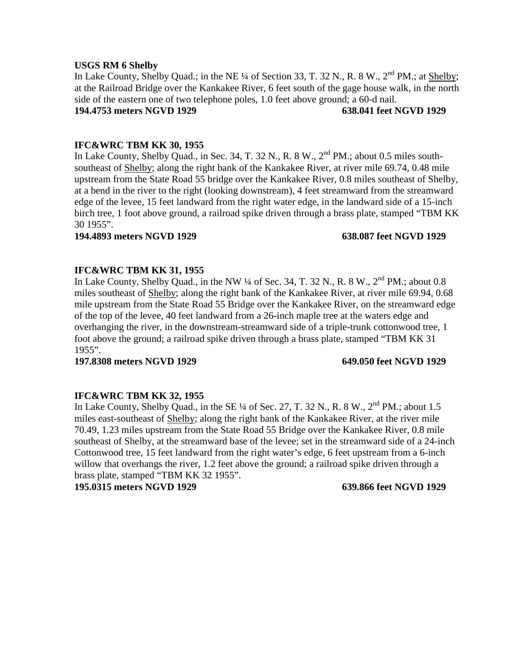### **USGS RM 6 Shelby**

In Lake County, Shelby Quad.; in the NE  $\frac{1}{4}$  of Section 33, T. 32 N., R. 8 W.,  $2^{nd}$  PM.; at Shelby; at the Railroad Bridge over the Kankakee River, 6 feet south of the gage house walk, in the north side of the eastern one of two telephone poles, 1.0 feet above ground; a 60-d nail. **194.4753 meters NGVD 1929 638.041 feet NGVD 1929**

## **IFC&WRC TBM KK 30, 1955**

In Lake County, Shelby Quad., in Sec. 34, T. 32 N., R. 8 W.,  $2<sup>nd</sup> PM$ .; about 0.5 miles southsoutheast of Shelby; along the right bank of the Kankakee River, at river mile 69.74, 0.48 mile upstream from the State Road 55 bridge over the Kankakee River, 0.8 miles southeast of Shelby, at a bend in the river to the right (looking downstream), 4 feet streamward from the streamward edge of the levee, 15 feet landward from the right water edge, in the landward side of a 15-inch birch tree, 1 foot above ground, a railroad spike driven through a brass plate, stamped "TBM KK 30 1955".

## **194.4893 meters NGVD 1929 638.087 feet NGVD 1929**

## **IFC&WRC TBM KK 31, 1955**

In Lake County, Shelby Quad., in the NW  $\frac{1}{4}$  of Sec. 34, T. 32 N., R. 8 W.,  $2^{nd}$  PM.; about 0.8 miles southeast of Shelby; along the right bank of the Kankakee River, at river mile 69.94, 0.68 mile upstream from the State Road 55 Bridge over the Kankakee River, on the streamward edge of the top of the levee, 40 feet landward from a 26-inch maple tree at the waters edge and overhanging the river, in the downstream-streamward side of a triple-trunk cottonwood tree, 1 foot above the ground; a railroad spike driven through a brass plate, stamped "TBM KK 31 1955".

**197.8308 meters NGVD 1929 649.050 feet NGVD 1929**

### **IFC&WRC TBM KK 32, 1955**

In Lake County, Shelby Quad., in the SE ¼ of Sec. 27, T. 32 N., R. 8 W.,  $2<sup>nd</sup> PM$ .; about 1.5 miles east-southeast of Shelby; along the right bank of the Kankakee River, at the river mile 70.49, 1.23 miles upstream from the State Road 55 Bridge over the Kankakee River, 0.8 mile southeast of Shelby, at the streamward base of the levee; set in the streamward side of a 24-inch Cottonwood tree, 15 feet landward from the right water's edge, 6 feet upstream from a 6-inch willow that overhangs the river, 1.2 feet above the ground; a railroad spike driven through a brass plate, stamped "TBM KK 32 1955".

**195.0315 meters NGVD 1929 639.866 feet NGVD 1929**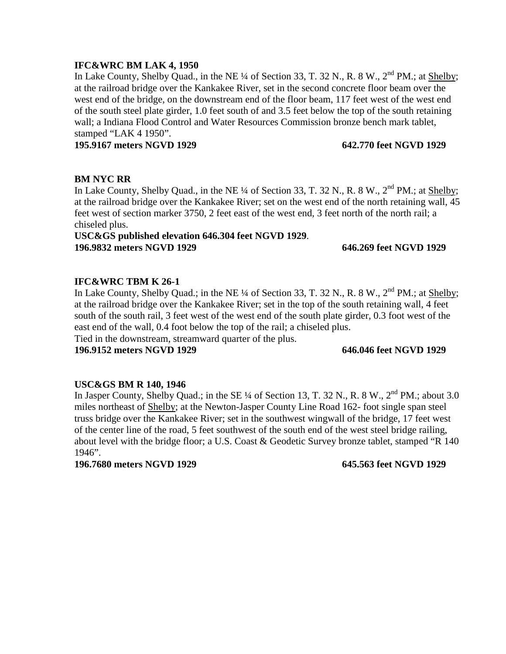## **IFC&WRC BM LAK 4, 1950**

In Lake County, Shelby Quad., in the NE  $\frac{1}{4}$  of Section 33, T. 32 N., R. 8 W.,  $2^{nd}$  PM.; at Shelby; at the railroad bridge over the Kankakee River, set in the second concrete floor beam over the west end of the bridge, on the downstream end of the floor beam, 117 feet west of the west end of the south steel plate girder, 1.0 feet south of and 3.5 feet below the top of the south retaining wall; a Indiana Flood Control and Water Resources Commission bronze bench mark tablet, stamped "LAK 4 1950".

## **195.9167 meters NGVD 1929 642.770 feet NGVD 1929**

## **BM NYC RR**

In Lake County, Shelby Quad., in the NE ¼ of Section 33, T. 32 N., R. 8 W., 2<sup>nd</sup> PM.; at Shelby; at the railroad bridge over the Kankakee River; set on the west end of the north retaining wall, 45 feet west of section marker 3750, 2 feet east of the west end, 3 feet north of the north rail; a chiseled plus.

# **USC&GS published elevation 646.304 feet NGVD 1929**. **196.9832 meters NGVD 1929 646.269 feet NGVD 1929**

# **IFC&WRC TBM K 26-1**

In Lake County, Shelby Quad.; in the NE ¼ of Section 33, T. 32 N., R. 8 W., 2<sup>nd</sup> PM.; at Shelby; at the railroad bridge over the Kankakee River; set in the top of the south retaining wall, 4 feet south of the south rail, 3 feet west of the west end of the south plate girder, 0.3 foot west of the east end of the wall, 0.4 foot below the top of the rail; a chiseled plus.

Tied in the downstream, streamward quarter of the plus.

## **196.9152 meters NGVD 1929 646.046 feet NGVD 1929**

# **USC&GS BM R 140, 1946**

In Jasper County, Shelby Quad.; in the SE ¼ of Section 13, T. 32 N., R. 8 W.,  $2^{nd}$  PM.; about 3.0 miles northeast of Shelby; at the Newton-Jasper County Line Road 162- foot single span steel truss bridge over the Kankakee River; set in the southwest wingwall of the bridge, 17 feet west of the center line of the road, 5 feet southwest of the south end of the west steel bridge railing, about level with the bridge floor; a U.S. Coast & Geodetic Survey bronze tablet, stamped "R 140 1946".

**196.7680 meters NGVD 1929 645.563 feet NGVD 1929**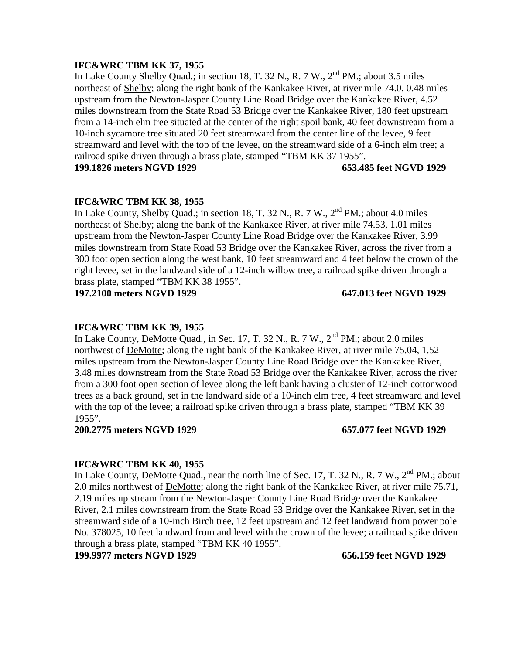## **IFC&WRC TBM KK 37, 1955**

In Lake County Shelby Quad.; in section 18, T. 32 N., R. 7 W., 2<sup>nd</sup> PM.; about 3.5 miles northeast of Shelby; along the right bank of the Kankakee River, at river mile 74.0, 0.48 miles upstream from the Newton-Jasper County Line Road Bridge over the Kankakee River, 4.52 miles downstream from the State Road 53 Bridge over the Kankakee River, 180 feet upstream from a 14-inch elm tree situated at the center of the right spoil bank, 40 feet downstream from a 10-inch sycamore tree situated 20 feet streamward from the center line of the levee, 9 feet streamward and level with the top of the levee, on the streamward side of a 6-inch elm tree; a railroad spike driven through a brass plate, stamped "TBM KK 37 1955". **199.1826 meters NGVD 1929 653.485 feet NGVD 1929**

# **IFC&WRC TBM KK 38, 1955**

In Lake County, Shelby Quad.; in section 18, T. 32 N., R. 7 W.,  $2<sup>nd</sup> PM$ .; about 4.0 miles northeast of Shelby; along the bank of the Kankakee River, at river mile 74.53, 1.01 miles upstream from the Newton-Jasper County Line Road Bridge over the Kankakee River, 3.99 miles downstream from State Road 53 Bridge over the Kankakee River, across the river from a 300 foot open section along the west bank, 10 feet streamward and 4 feet below the crown of the right levee, set in the landward side of a 12-inch willow tree, a railroad spike driven through a brass plate, stamped "TBM KK 38 1955".

**197.2100 meters NGVD 1929 647.013 feet NGVD 1929**

## **IFC&WRC TBM KK 39, 1955**

In Lake County, DeMotte Quad., in Sec. 17, T. 32 N., R. 7 W.,  $2<sup>nd</sup> PM$ .; about 2.0 miles northwest of DeMotte; along the right bank of the Kankakee River, at river mile 75.04, 1.52 miles upstream from the Newton-Jasper County Line Road Bridge over the Kankakee River, 3.48 miles downstream from the State Road 53 Bridge over the Kankakee River, across the river from a 300 foot open section of levee along the left bank having a cluster of 12-inch cottonwood trees as a back ground, set in the landward side of a 10-inch elm tree, 4 feet streamward and level with the top of the levee; a railroad spike driven through a brass plate, stamped "TBM KK 39" 1955".

## **200.2775 meters NGVD 1929 657.077 feet NGVD 1929**

## **IFC&WRC TBM KK 40, 1955**

In Lake County, DeMotte Quad., near the north line of Sec. 17, T. 32 N., R. 7 W., 2<sup>nd</sup> PM.; about 2.0 miles northwest of DeMotte; along the right bank of the Kankakee River, at river mile 75.71, 2.19 miles up stream from the Newton-Jasper County Line Road Bridge over the Kankakee River, 2.1 miles downstream from the State Road 53 Bridge over the Kankakee River, set in the streamward side of a 10-inch Birch tree, 12 feet upstream and 12 feet landward from power pole No. 378025, 10 feet landward from and level with the crown of the levee; a railroad spike driven through a brass plate, stamped "TBM KK 40 1955".

**199.9977 meters NGVD 1929 656.159 feet NGVD 1929**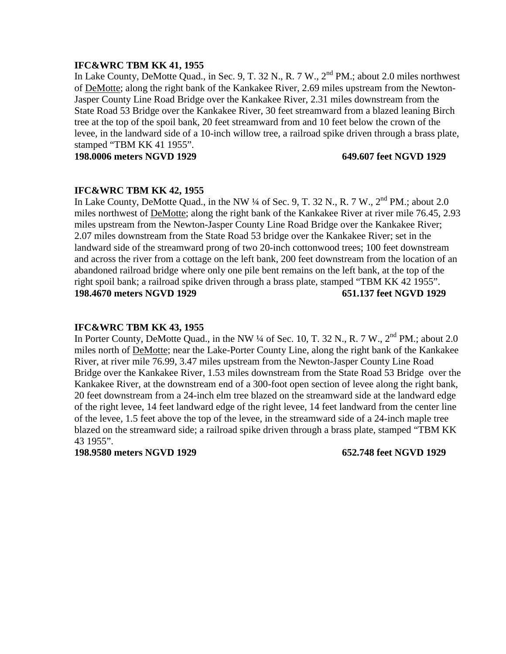## **IFC&WRC TBM KK 41, 1955**

In Lake County, DeMotte Quad., in Sec. 9, T. 32 N., R. 7 W., 2<sup>nd</sup> PM.; about 2.0 miles northwest of DeMotte; along the right bank of the Kankakee River, 2.69 miles upstream from the Newton-Jasper County Line Road Bridge over the Kankakee River, 2.31 miles downstream from the State Road 53 Bridge over the Kankakee River, 30 feet streamward from a blazed leaning Birch tree at the top of the spoil bank, 20 feet streamward from and 10 feet below the crown of the levee, in the landward side of a 10-inch willow tree, a railroad spike driven through a brass plate, stamped "TBM KK 41 1955".

**198.0006 meters NGVD 1929 649.607 feet NGVD 1929**

### **IFC&WRC TBM KK 42, 1955**

In Lake County, DeMotte Quad., in the NW  $\frac{1}{4}$  of Sec. 9, T. 32 N., R. 7 W.,  $2^{nd}$  PM.; about 2.0 miles northwest of DeMotte; along the right bank of the Kankakee River at river mile 76.45, 2.93 miles upstream from the Newton-Jasper County Line Road Bridge over the Kankakee River; 2.07 miles downstream from the State Road 53 bridge over the Kankakee River; set in the landward side of the streamward prong of two 20-inch cottonwood trees; 100 feet downstream and across the river from a cottage on the left bank, 200 feet downstream from the location of an abandoned railroad bridge where only one pile bent remains on the left bank, at the top of the right spoil bank; a railroad spike driven through a brass plate, stamped "TBM KK 42 1955". **198.4670 meters NGVD 1929 651.137 feet NGVD 1929**

### **IFC&WRC TBM KK 43, 1955**

In Porter County, DeMotte Quad., in the NW  $\frac{1}{4}$  of Sec. 10, T. 32 N., R. 7 W.,  $2^{nd}$  PM.; about 2.0 miles north of DeMotte; near the Lake-Porter County Line, along the right bank of the Kankakee River, at river mile 76.99, 3.47 miles upstream from the Newton-Jasper County Line Road Bridge over the Kankakee River, 1.53 miles downstream from the State Road 53 Bridge over the Kankakee River, at the downstream end of a 300-foot open section of levee along the right bank, 20 feet downstream from a 24-inch elm tree blazed on the streamward side at the landward edge of the right levee, 14 feet landward edge of the right levee, 14 feet landward from the center line of the levee, 1.5 feet above the top of the levee, in the streamward side of a 24-inch maple tree blazed on the streamward side; a railroad spike driven through a brass plate, stamped "TBM KK 43 1955".

**198.9580 meters NGVD 1929 652.748 feet NGVD 1929**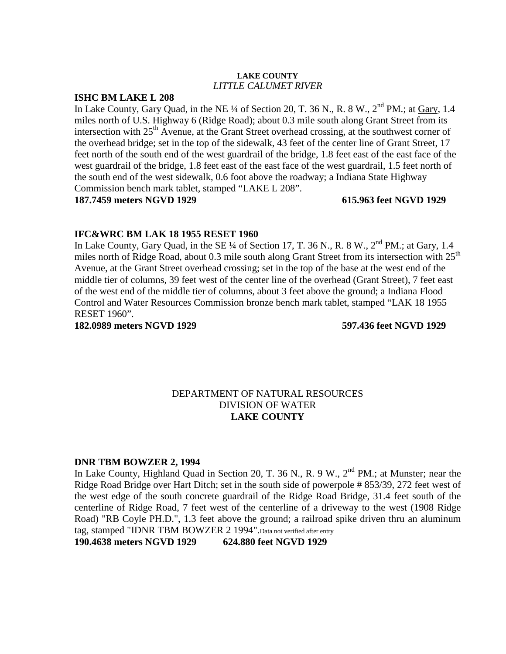### **LAKE COUNTY** *LITTLE CALUMET RIVER*

## **ISHC BM LAKE L 208**

In Lake County, Gary Quad, in the NE  $\frac{1}{4}$  of Section 20, T. 36 N., R. 8 W.,  $2^{nd}$  PM.; at Gary, 1.4 miles north of U.S. Highway 6 (Ridge Road); about 0.3 mile south along Grant Street from its intersection with  $25<sup>th</sup>$  Avenue, at the Grant Street overhead crossing, at the southwest corner of the overhead bridge; set in the top of the sidewalk, 43 feet of the center line of Grant Street, 17 feet north of the south end of the west guardrail of the bridge, 1.8 feet east of the east face of the west guardrail of the bridge, 1.8 feet east of the east face of the west guardrail, 1.5 feet north of the south end of the west sidewalk, 0.6 foot above the roadway; a Indiana State Highway Commission bench mark tablet, stamped "LAKE L 208". **187.7459 meters NGVD 1929 615.963 feet NGVD 1929**

## **IFC&WRC BM LAK 18 1955 RESET 1960**

In Lake County, Gary Quad, in the SE  $\frac{1}{4}$  of Section 17, T. 36 N., R. 8 W.,  $2^{nd}$  PM.; at Gary, 1.4 miles north of Ridge Road, about 0.3 mile south along Grant Street from its intersection with  $25<sup>th</sup>$ Avenue, at the Grant Street overhead crossing; set in the top of the base at the west end of the middle tier of columns, 39 feet west of the center line of the overhead (Grant Street), 7 feet east of the west end of the middle tier of columns, about 3 feet above the ground; a Indiana Flood Control and Water Resources Commission bronze bench mark tablet, stamped "LAK 18 1955 RESET 1960".

**182.0989 meters NGVD 1929 597.436 feet NGVD 1929**

## DEPARTMENT OF NATURAL RESOURCES DIVISION OF WATER **LAKE COUNTY**

### **DNR TBM BOWZER 2, 1994**

In Lake County, Highland Quad in Section 20, T. 36 N., R. 9 W.,  $2<sup>nd</sup> PM$ .; at Munster; near the Ridge Road Bridge over Hart Ditch; set in the south side of powerpole # 853/39, 272 feet west of the west edge of the south concrete guardrail of the Ridge Road Bridge, 31.4 feet south of the centerline of Ridge Road, 7 feet west of the centerline of a driveway to the west (1908 Ridge Road) "RB Coyle PH.D.", 1.3 feet above the ground; a railroad spike driven thru an aluminum tag, stamped "IDNR TBM BOWZER 2 1994".Data not verified after entry

**190.4638 meters NGVD 1929 624.880 feet NGVD 1929**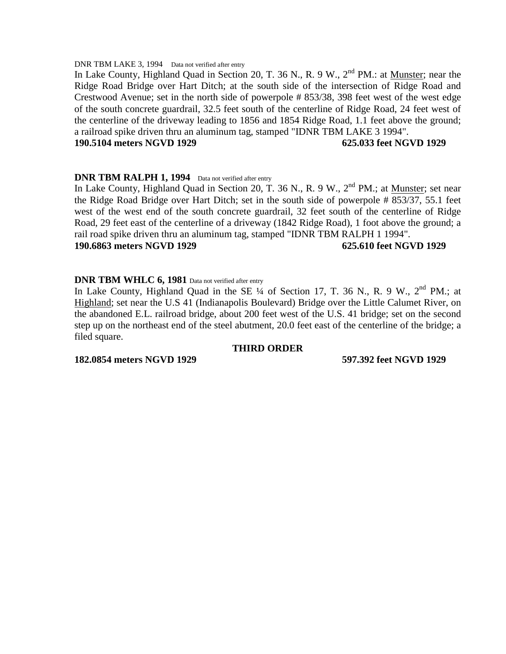### DNR TBM LAKE 3, 1994 Data not verified after entry

In Lake County, Highland Quad in Section 20, T. 36 N., R. 9 W.,  $2^{nd}$  PM.: at Munster; near the Ridge Road Bridge over Hart Ditch; at the south side of the intersection of Ridge Road and Crestwood Avenue; set in the north side of powerpole # 853/38, 398 feet west of the west edge of the south concrete guardrail, 32.5 feet south of the centerline of Ridge Road, 24 feet west of the centerline of the driveway leading to 1856 and 1854 Ridge Road, 1.1 feet above the ground; a railroad spike driven thru an aluminum tag, stamped "IDNR TBM LAKE 3 1994".

### **190.5104 meters NGVD 1929 625.033 feet NGVD 1929**

### **DNR TBM RALPH 1, 1994** Data not verified after entry

In Lake County, Highland Quad in Section 20, T. 36 N., R. 9 W.,  $2<sup>nd</sup> PM$ .; at Munster; set near the Ridge Road Bridge over Hart Ditch; set in the south side of powerpole # 853/37, 55.1 feet west of the west end of the south concrete guardrail, 32 feet south of the centerline of Ridge Road, 29 feet east of the centerline of a driveway (1842 Ridge Road), 1 foot above the ground; a rail road spike driven thru an aluminum tag, stamped "IDNR TBM RALPH 1 1994".

## **190.6863 meters NGVD 1929 625.610 feet NGVD 1929**

### **DNR TBM WHLC 6, 1981** Data not verified after entry

In Lake County, Highland Quad in the SE  $\frac{1}{4}$  of Section 17, T. 36 N., R. 9 W.,  $2^{nd}$  PM.; at Highland; set near the U.S 41 (Indianapolis Boulevard) Bridge over the Little Calumet River, on the abandoned E.L. railroad bridge, about 200 feet west of the U.S. 41 bridge; set on the second step up on the northeast end of the steel abutment, 20.0 feet east of the centerline of the bridge; a filed square.

### **THIRD ORDER**

**182.0854 meters NGVD 1929 597.392 feet NGVD 1929**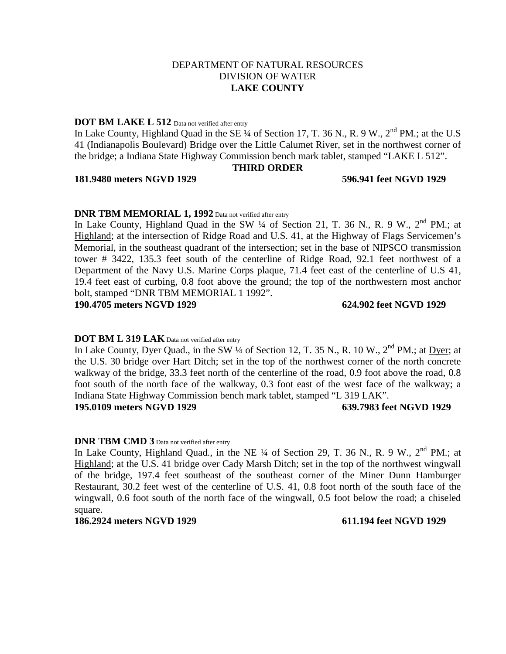## DEPARTMENT OF NATURAL RESOURCES DIVISION OF WATER **LAKE COUNTY**

### **DOT BM LAKE L 512** Data not verified after entry

In Lake County, Highland Quad in the SE  $\frac{1}{4}$  of Section 17, T. 36 N., R. 9 W.,  $2^{\text{nd}}$  PM.; at the U.S 41 (Indianapolis Boulevard) Bridge over the Little Calumet River, set in the northwest corner of the bridge; a Indiana State Highway Commission bench mark tablet, stamped "LAKE L 512".

### **THIRD ORDER**

### **181.9480 meters NGVD 1929 596.941 feet NGVD 1929**

## **DNR TBM MEMORIAL 1, 1992** Data not verified after entry

In Lake County, Highland Quad in the SW  $\frac{1}{4}$  of Section 21, T. 36 N., R. 9 W.,  $2^{nd}$  PM.; at Highland; at the intersection of Ridge Road and U.S. 41, at the Highway of Flags Servicemen's Memorial, in the southeast quadrant of the intersection; set in the base of NIPSCO transmission tower # 3422, 135.3 feet south of the centerline of Ridge Road, 92.1 feet northwest of a Department of the Navy U.S. Marine Corps plaque, 71.4 feet east of the centerline of U.S 41, 19.4 feet east of curbing, 0.8 foot above the ground; the top of the northwestern most anchor bolt, stamped "DNR TBM MEMORIAL 1 1992".

**190.4705 meters NGVD 1929 624.902 feet NGVD 1929**

### **DOT BM L 319 LAK** Data not verified after entry

In Lake County, Dyer Quad., in the SW  $\frac{1}{4}$  of Section 12, T. 35 N., R. 10 W., 2<sup>nd</sup> PM.; at Dyer; at the U.S. 30 bridge over Hart Ditch; set in the top of the northwest corner of the north concrete walkway of the bridge, 33.3 feet north of the centerline of the road, 0.9 foot above the road, 0.8 foot south of the north face of the walkway, 0.3 foot east of the west face of the walkway; a Indiana State Highway Commission bench mark tablet, stamped "L 319 LAK".

**195.0109 meters NGVD 1929 639.7983 feet NGVD 1929**

### **DNR TBM CMD 3** Data not verified after entry

In Lake County, Highland Quad., in the NE  $\frac{1}{4}$  of Section 29, T. 36 N., R. 9 W., 2<sup>nd</sup> PM.; at Highland; at the U.S. 41 bridge over Cady Marsh Ditch; set in the top of the northwest wingwall of the bridge, 197.4 feet southeast of the southeast corner of the Miner Dunn Hamburger Restaurant, 30.2 feet west of the centerline of U.S. 41, 0.8 foot north of the south face of the wingwall, 0.6 foot south of the north face of the wingwall, 0.5 foot below the road; a chiseled square.

### **186.2924 meters NGVD 1929 611.194 feet NGVD 1929**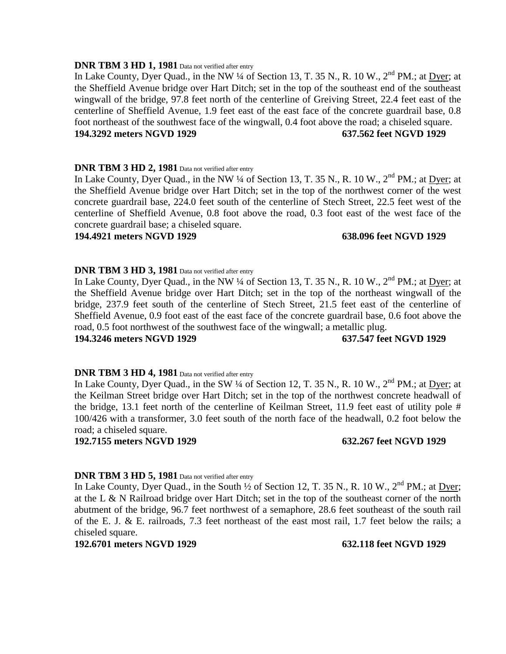### **DNR TBM 3 HD 1, 1981** Data not verified after entry

In Lake County, Dyer Quad., in the NW ¼ of Section 13, T. 35 N., R. 10 W.,  $2<sup>nd</sup>$  PM.; at Dyer; at the Sheffield Avenue bridge over Hart Ditch; set in the top of the southeast end of the southeast wingwall of the bridge, 97.8 feet north of the centerline of Greiving Street, 22.4 feet east of the centerline of Sheffield Avenue, 1.9 feet east of the east face of the concrete guardrail base, 0.8 foot northeast of the southwest face of the wingwall, 0.4 foot above the road; a chiseled square. **194.3292 meters NGVD 1929 637.562 feet NGVD 1929**

### **DNR TBM 3 HD 2, 1981** Data not verified after entry

In Lake County, Dyer Quad., in the NW ¼ of Section 13, T. 35 N., R. 10 W., 2<sup>nd</sup> PM.; at Dyer; at the Sheffield Avenue bridge over Hart Ditch; set in the top of the northwest corner of the west concrete guardrail base, 224.0 feet south of the centerline of Stech Street, 22.5 feet west of the centerline of Sheffield Avenue, 0.8 foot above the road, 0.3 foot east of the west face of the concrete guardrail base; a chiseled square.

### **194.4921 meters NGVD 1929 638.096 feet NGVD 1929**

### **DNR TBM 3 HD 3, 1981** Data not verified after entry

In Lake County, Dyer Quad., in the NW ¼ of Section 13, T. 35 N., R. 10 W.,  $2<sup>nd</sup> PM$ .; at Dyer; at the Sheffield Avenue bridge over Hart Ditch; set in the top of the northeast wingwall of the bridge, 237.9 feet south of the centerline of Stech Street, 21.5 feet east of the centerline of Sheffield Avenue, 0.9 foot east of the east face of the concrete guardrail base, 0.6 foot above the road, 0.5 foot northwest of the southwest face of the wingwall; a metallic plug.

### **194.3246 meters NGVD 1929 637.547 feet NGVD 1929**

### **DNR TBM 3 HD 4, 1981** Data not verified after entry

In Lake County, Dyer Quad., in the SW ¼ of Section 12, T. 35 N., R. 10 W., 2<sup>nd</sup> PM.; at Dyer; at the Keilman Street bridge over Hart Ditch; set in the top of the northwest concrete headwall of the bridge, 13.1 feet north of the centerline of Keilman Street, 11.9 feet east of utility pole # 100/426 with a transformer, 3.0 feet south of the north face of the headwall, 0.2 foot below the road; a chiseled square.

### **192.7155 meters NGVD 1929 632.267 feet NGVD 1929**

### **DNR TBM 3 HD 5, 1981** Data not verified after entry

In Lake County, Dyer Quad., in the South  $\frac{1}{2}$  of Section 12, T. 35 N., R. 10 W., 2<sup>nd</sup> PM.; at Dyer; at the L & N Railroad bridge over Hart Ditch; set in the top of the southeast corner of the north abutment of the bridge, 96.7 feet northwest of a semaphore, 28.6 feet southeast of the south rail of the E. J. & E. railroads, 7.3 feet northeast of the east most rail, 1.7 feet below the rails; a chiseled square.

### **192.6701 meters NGVD 1929 632.118 feet NGVD 1929**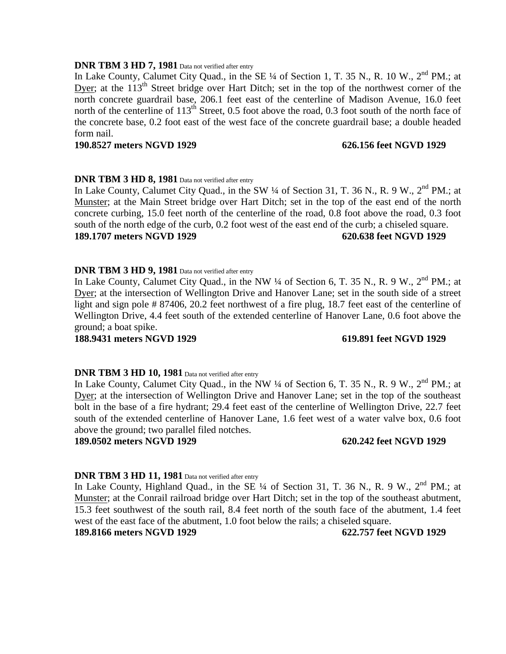### **DNR TBM 3 HD 7, 1981** Data not verified after entry

In Lake County, Calumet City Quad., in the SE 1/4 of Section 1, T. 35 N., R. 10 W., 2<sup>nd</sup> PM.; at Dyer; at the 113<sup>th</sup> Street bridge over Hart Ditch; set in the top of the northwest corner of the north concrete guardrail base, 206.1 feet east of the centerline of Madison Avenue, 16.0 feet north of the centerline of  $113<sup>th</sup>$  Street, 0.5 foot above the road, 0.3 foot south of the north face of the concrete base, 0.2 foot east of the west face of the concrete guardrail base; a double headed form nail.

### **190.8527 meters NGVD 1929 626.156 feet NGVD 1929**

### **DNR TBM 3 HD 8, 1981** Data not verified after entry

In Lake County, Calumet City Quad., in the SW 1/4 of Section 31, T. 36 N., R. 9 W., 2<sup>nd</sup> PM.: at Munster; at the Main Street bridge over Hart Ditch; set in the top of the east end of the north concrete curbing, 15.0 feet north of the centerline of the road, 0.8 foot above the road, 0.3 foot south of the north edge of the curb, 0.2 foot west of the east end of the curb; a chiseled square. **189.1707 meters NGVD 1929 620.638 feet NGVD 1929**

### **DNR TBM 3 HD 9, 1981** Data not verified after entry

In Lake County, Calumet City Quad., in the NW ¼ of Section 6, T. 35 N., R. 9 W., 2<sup>nd</sup> PM.: at Dyer; at the intersection of Wellington Drive and Hanover Lane; set in the south side of a street light and sign pole # 87406, 20.2 feet northwest of a fire plug, 18.7 feet east of the centerline of Wellington Drive, 4.4 feet south of the extended centerline of Hanover Lane, 0.6 foot above the ground; a boat spike.

### **188.9431 meters NGVD 1929 619.891 feet NGVD 1929**

### **DNR TBM 3 HD 10, 1981** Data not verified after entry

In Lake County, Calumet City Quad., in the NW  $\frac{1}{4}$  of Section 6, T. 35 N., R. 9 W., 2<sup>nd</sup> PM.; at Dyer; at the intersection of Wellington Drive and Hanover Lane; set in the top of the southeast bolt in the base of a fire hydrant; 29.4 feet east of the centerline of Wellington Drive, 22.7 feet south of the extended centerline of Hanover Lane, 1.6 feet west of a water valve box, 0.6 foot above the ground; two parallel filed notches.

### **189.0502 meters NGVD 1929 620.242 feet NGVD 1929**

### **DNR TBM 3 HD 11, 1981** Data not verified after entry

In Lake County, Highland Quad., in the SE  $\frac{1}{4}$  of Section 31, T. 36 N., R. 9 W., 2<sup>nd</sup> PM.; at Munster; at the Conrail railroad bridge over Hart Ditch; set in the top of the southeast abutment, 15.3 feet southwest of the south rail, 8.4 feet north of the south face of the abutment, 1.4 feet west of the east face of the abutment, 1.0 foot below the rails; a chiseled square.

### **189.8166 meters NGVD 1929 622.757 feet NGVD 1929**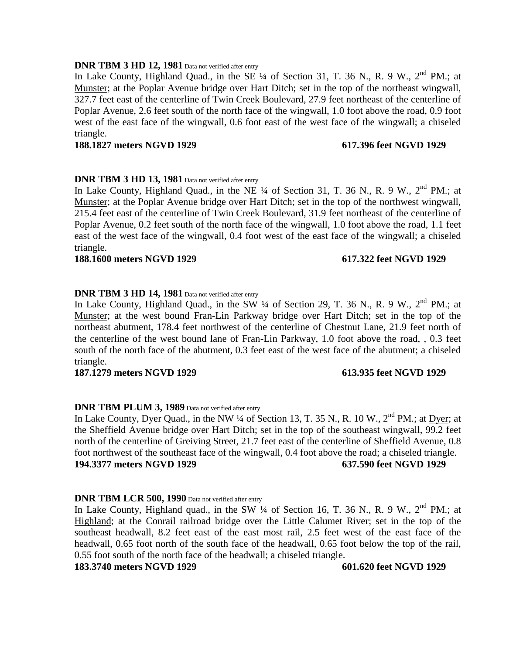### **DNR TBM 3 HD 12, 1981** Data not verified after entry

In Lake County, Highland Quad., in the SE  $\frac{1}{4}$  of Section 31, T. 36 N., R. 9 W.,  $2^{nd}$  PM.; at Munster; at the Poplar Avenue bridge over Hart Ditch; set in the top of the northeast wingwall, 327.7 feet east of the centerline of Twin Creek Boulevard, 27.9 feet northeast of the centerline of Poplar Avenue, 2.6 feet south of the north face of the wingwall, 1.0 foot above the road, 0.9 foot west of the east face of the wingwall, 0.6 foot east of the west face of the wingwall; a chiseled triangle.

### **188.1827 meters NGVD 1929 617.396 feet NGVD 1929**

## **DNR TBM 3 HD 13, 1981** Data not verified after entry

In Lake County, Highland Quad., in the NE  $\frac{1}{4}$  of Section 31, T. 36 N., R. 9 W.,  $2^{nd}$  PM.; at Munster; at the Poplar Avenue bridge over Hart Ditch; set in the top of the northwest wingwall, 215.4 feet east of the centerline of Twin Creek Boulevard, 31.9 feet northeast of the centerline of Poplar Avenue, 0.2 feet south of the north face of the wingwall, 1.0 foot above the road, 1.1 feet east of the west face of the wingwall, 0.4 foot west of the east face of the wingwall; a chiseled triangle.

### **188.1600 meters NGVD 1929 617.322 feet NGVD 1929**

## **DNR TBM 3 HD 14, 1981** Data not verified after entry

In Lake County, Highland Quad., in the SW  $\frac{1}{4}$  of Section 29, T. 36 N., R. 9 W., 2<sup>nd</sup> PM.; at Munster; at the west bound Fran-Lin Parkway bridge over Hart Ditch; set in the top of the northeast abutment, 178.4 feet northwest of the centerline of Chestnut Lane, 21.9 feet north of the centerline of the west bound lane of Fran-Lin Parkway, 1.0 foot above the road, , 0.3 feet south of the north face of the abutment, 0.3 feet east of the west face of the abutment; a chiseled triangle.

### **187.1279 meters NGVD 1929 613.935 feet NGVD 1929**

## **DNR TBM PLUM 3, 1989** Data not verified after entry

In Lake County, Dyer Quad., in the NW  $\frac{1}{4}$  of Section 13, T. 35 N., R. 10 W.,  $2^{nd}$  PM.; at Dyer; at the Sheffield Avenue bridge over Hart Ditch; set in the top of the southeast wingwall, 99.2 feet north of the centerline of Greiving Street, 21.7 feet east of the centerline of Sheffield Avenue, 0.8 foot northwest of the southeast face of the wingwall, 0.4 foot above the road; a chiseled triangle. **194.3377 meters NGVD 1929 637.590 feet NGVD 1929**

### **DNR TBM LCR 500, 1990** Data not verified after entry

In Lake County, Highland quad., in the SW  $\frac{1}{4}$  of Section 16, T. 36 N., R. 9 W.,  $2^{nd}$  PM.; at Highland; at the Conrail railroad bridge over the Little Calumet River; set in the top of the southeast headwall, 8.2 feet east of the east most rail, 2.5 feet west of the east face of the headwall, 0.65 foot north of the south face of the headwall, 0.65 foot below the top of the rail, 0.55 foot south of the north face of the headwall; a chiseled triangle.

### **183.3740 meters NGVD 1929 601.620 feet NGVD 1929**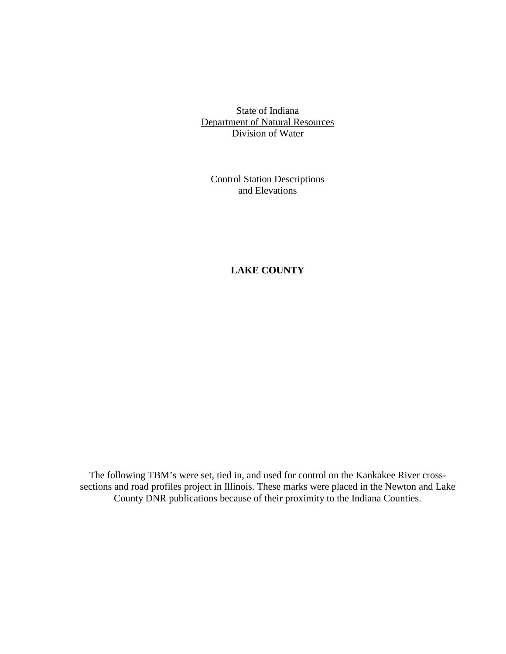State of Indiana Department of Natural Resources Division of Water

Control Station Descriptions and Elevations

# **LAKE COUNTY**

The following TBM's were set, tied in, and used for control on the Kankakee River crosssections and road profiles project in Illinois. These marks were placed in the Newton and Lake County DNR publications because of their proximity to the Indiana Counties.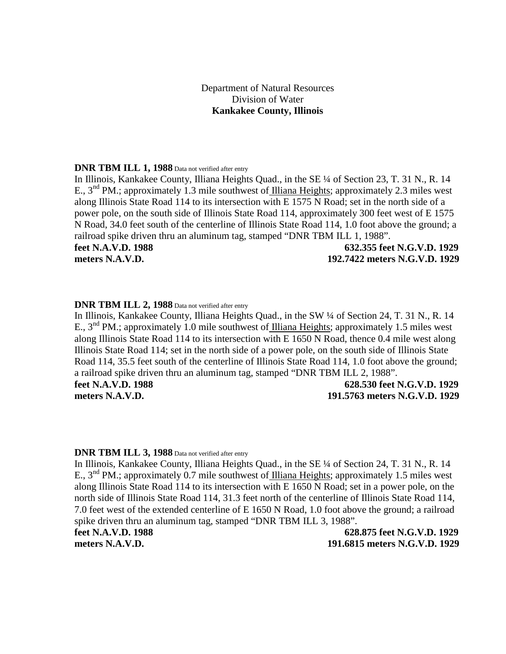# Department of Natural Resources Division of Water **Kankakee County, Illinois**

### **DNR TBM ILL 1, 1988** Data not verified after entry

In Illinois, Kankakee County, Illiana Heights Quad., in the SE ¼ of Section 23, T. 31 N., R. 14 E., 3<sup>nd</sup> PM.; approximately 1.3 mile southwest of Illiana Heights; approximately 2.3 miles west along Illinois State Road 114 to its intersection with E 1575 N Road; set in the north side of a power pole, on the south side of Illinois State Road 114, approximately 300 feet west of E 1575 N Road, 34.0 feet south of the centerline of Illinois State Road 114, 1.0 foot above the ground; a railroad spike driven thru an aluminum tag, stamped "DNR TBM ILL 1, 1988". **feet N.A.V.D. 1988 632.355 feet N.G.V.D. 1929**

**meters N.A.V.D. 192.7422 meters N.G.V.D. 1929**

### **DNR TBM ILL 2, 1988** Data not verified after entry

In Illinois, Kankakee County, Illiana Heights Quad., in the SW ¼ of Section 24, T. 31 N., R. 14 E., 3<sup>nd</sup> PM.; approximately 1.0 mile southwest of Illiana Heights; approximately 1.5 miles west along Illinois State Road 114 to its intersection with E 1650 N Road, thence 0.4 mile west along Illinois State Road 114; set in the north side of a power pole, on the south side of Illinois State Road 114, 35.5 feet south of the centerline of Illinois State Road 114, 1.0 foot above the ground; a railroad spike driven thru an aluminum tag, stamped "DNR TBM ILL 2, 1988". **feet N.A.V.D. 1988 628.530 feet N.G.V.D. 1929**

**meters N.A.V.D. 191.5763 meters N.G.V.D. 1929**

### **DNR TBM ILL 3, 1988** Data not verified after entry

In Illinois, Kankakee County, Illiana Heights Quad., in the SE ¼ of Section 24, T. 31 N., R. 14 E., 3<sup>nd</sup> PM.; approximately 0.7 mile southwest of Illiana Heights; approximately 1.5 miles west along Illinois State Road 114 to its intersection with E 1650 N Road; set in a power pole, on the north side of Illinois State Road 114, 31.3 feet north of the centerline of Illinois State Road 114, 7.0 feet west of the extended centerline of E 1650 N Road, 1.0 foot above the ground; a railroad spike driven thru an aluminum tag, stamped "DNR TBM ILL 3, 1988".

**feet N.A.V.D. 1988 628.875 feet N.G.V.D. 1929 meters N.A.V.D. 191.6815 meters N.G.V.D. 1929**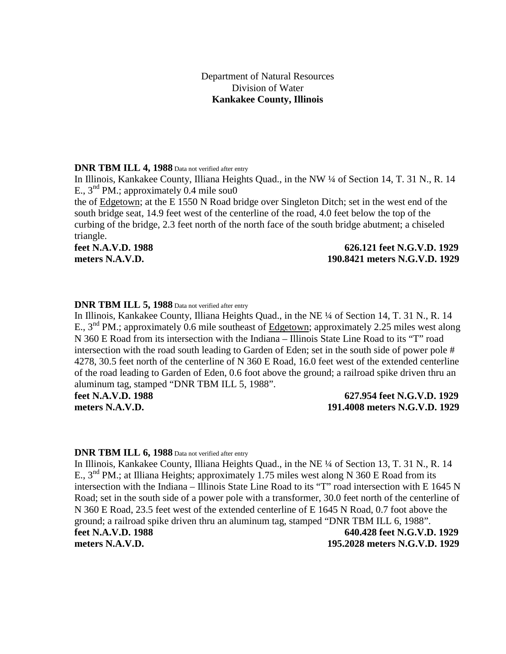## Department of Natural Resources Division of Water **Kankakee County, Illinois**

### **DNR TBM ILL 4, 1988** Data not verified after entry

In Illinois, Kankakee County, Illiana Heights Quad., in the NW ¼ of Section 14, T. 31 N., R. 14 E.,  $3<sup>nd</sup> PM$ .; approximately 0.4 mile sou0

the of Edgetown; at the E 1550 N Road bridge over Singleton Ditch; set in the west end of the south bridge seat, 14.9 feet west of the centerline of the road, 4.0 feet below the top of the curbing of the bridge, 2.3 feet north of the north face of the south bridge abutment; a chiseled triangle.

## **feet N.A.V.D. 1988 626.121 feet N.G.V.D. 1929 meters N.A.V.D. 190.8421 meters N.G.V.D. 1929**

## **DNR TBM ILL 5, 1988** Data not verified after entry

In Illinois, Kankakee County, Illiana Heights Quad., in the NE ¼ of Section 14, T. 31 N., R. 14 E.,  $3<sup>nd</sup> PM$ .; approximately 0.6 mile southeast of Edgetown; approximately 2.25 miles west along N 360 E Road from its intersection with the Indiana – Illinois State Line Road to its "T" road intersection with the road south leading to Garden of Eden; set in the south side of power pole # 4278, 30.5 feet north of the centerline of N 360 E Road, 16.0 feet west of the extended centerline of the road leading to Garden of Eden, 0.6 foot above the ground; a railroad spike driven thru an aluminum tag, stamped "DNR TBM ILL 5, 1988".

## **feet N.A.V.D. 1988 627.954 feet N.G.V.D. 1929 meters N.A.V.D. 191.4008 meters N.G.V.D. 1929**

### **DNR TBM ILL 6, 1988** Data not verified after entry

In Illinois, Kankakee County, Illiana Heights Quad., in the NE ¼ of Section 13, T. 31 N., R. 14 E.,  $3<sup>nd</sup> PM$ .; at Illiana Heights; approximately 1.75 miles west along N 360 E Road from its intersection with the Indiana – Illinois State Line Road to its "T" road intersection with E 1645 N Road; set in the south side of a power pole with a transformer, 30.0 feet north of the centerline of N 360 E Road, 23.5 feet west of the extended centerline of E 1645 N Road, 0.7 foot above the ground; a railroad spike driven thru an aluminum tag, stamped "DNR TBM ILL 6, 1988". **feet N.A.V.D. 1988 640.428 feet N.G.V.D. 1929 meters N.A.V.D. 195.2028 meters N.G.V.D. 1929**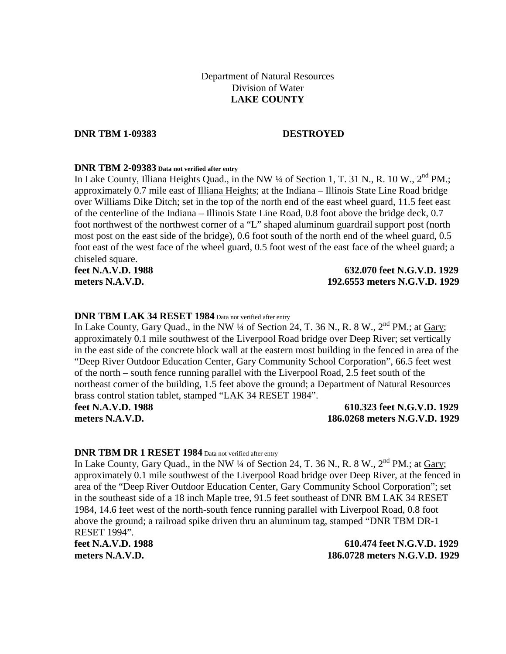# Department of Natural Resources Division of Water **LAKE COUNTY**

**DNR TBM 1-09383 DESTROYED**

### **DNR TBM 2-09383 Data not verified after entry**

In Lake County, Illiana Heights Quad., in the NW 1/4 of Section 1, T. 31 N., R. 10 W., 2<sup>nd</sup> PM.; approximately 0.7 mile east of Illiana Heights; at the Indiana – Illinois State Line Road bridge over Williams Dike Ditch; set in the top of the north end of the east wheel guard, 11.5 feet east of the centerline of the Indiana – Illinois State Line Road, 0.8 foot above the bridge deck, 0.7 foot northwest of the northwest corner of a "L" shaped aluminum guardrail support post (north most post on the east side of the bridge), 0.6 foot south of the north end of the wheel guard, 0.5 foot east of the west face of the wheel guard, 0.5 foot west of the east face of the wheel guard; a chiseled square.

## **feet N.A.V.D. 1988 632.070 feet N.G.V.D. 1929 meters N.A.V.D. 192.6553 meters N.G.V.D. 1929**

## **DNR TBM LAK 34 RESET 1984** Data not verified after entry

In Lake County, Gary Quad., in the NW  $\frac{1}{4}$  of Section 24, T. 36 N., R. 8 W.,  $2^{nd}$  PM.; at Gary; approximately 0.1 mile southwest of the Liverpool Road bridge over Deep River; set vertically in the east side of the concrete block wall at the eastern most building in the fenced in area of the "Deep River Outdoor Education Center, Gary Community School Corporation", 66.5 feet west of the north – south fence running parallel with the Liverpool Road, 2.5 feet south of the northeast corner of the building, 1.5 feet above the ground; a Department of Natural Resources brass control station tablet, stamped "LAK 34 RESET 1984".

## **feet N.A.V.D. 1988 610.323 feet N.G.V.D. 1929 meters N.A.V.D. 186.0268 meters N.G.V.D. 1929**

## **DNR TBM DR 1 RESET 1984** Data not verified after entry

In Lake County, Gary Quad., in the NW  $\frac{1}{4}$  of Section 24, T. 36 N., R. 8 W.,  $2^{nd}$  PM.: at Gary: approximately 0.1 mile southwest of the Liverpool Road bridge over Deep River, at the fenced in area of the "Deep River Outdoor Education Center, Gary Community School Corporation"; set in the southeast side of a 18 inch Maple tree, 91.5 feet southeast of DNR BM LAK 34 RESET 1984, 14.6 feet west of the north-south fence running parallel with Liverpool Road, 0.8 foot above the ground; a railroad spike driven thru an aluminum tag, stamped "DNR TBM DR-1 RESET 1994".

**feet N.A.V.D. 1988 610.474 feet N.G.V.D. 1929 meters N.A.V.D. 186.0728 meters N.G.V.D. 1929**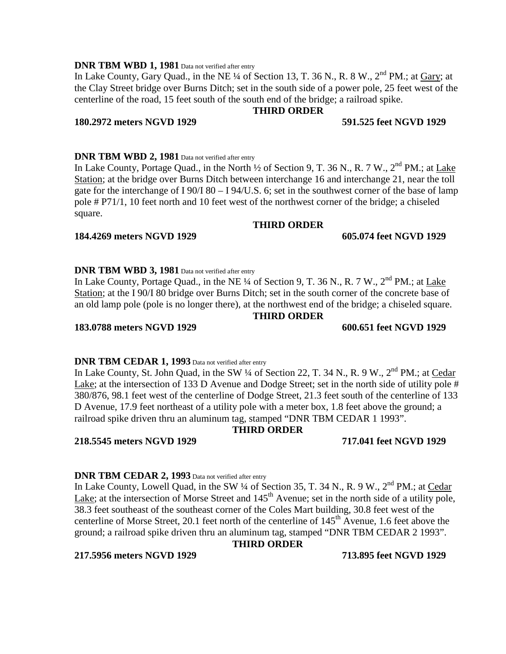# **DNR TBM WBD 1, 1981** Data not verified after entry

In Lake County, Gary Quad., in the NE  $\frac{1}{4}$  of Section 13, T. 36 N., R. 8 W.,  $2^{nd}$  PM.; at Gary; at the Clay Street bridge over Burns Ditch; set in the south side of a power pole, 25 feet west of the centerline of the road, 15 feet south of the south end of the bridge; a railroad spike.

### **180.2972 meters NGVD 1929 591.525 feet NGVD 1929**

## **DNR TBM WBD 2, 1981** Data not verified after entry

In Lake County, Portage Quad., in the North  $\frac{1}{2}$  of Section 9, T. 36 N., R. 7 W.,  $2^{nd}$  PM.; at Lake Station; at the bridge over Burns Ditch between interchange 16 and interchange 21, near the toll gate for the interchange of I 90/I 80 – I 94/U.S. 6; set in the southwest corner of the base of lamp pole # P71/1, 10 feet north and 10 feet west of the northwest corner of the bridge; a chiseled square.

## **THIRD ORDER**

**THIRD ORDER**

## **184.4269 meters NGVD 1929 605.074 feet NGVD 1929**

## **DNR TBM WBD 3, 1981** Data not verified after entry

In Lake County, Portage Quad., in the NE  $\frac{1}{4}$  of Section 9, T. 36 N., R. 7 W.,  $2^{nd}$  PM.; at Lake Station; at the I 90/I 80 bridge over Burns Ditch; set in the south corner of the concrete base of an old lamp pole (pole is no longer there), at the northwest end of the bridge; a chiseled square.

## **THIRD ORDER**

# **DNR TBM CEDAR 1, 1993** Data not verified after entry

In Lake County, St. John Quad, in the SW 1/4 of Section 22, T. 34 N., R. 9 W., 2<sup>nd</sup> PM.; at Cedar Lake; at the intersection of 133 D Avenue and Dodge Street; set in the north side of utility pole # 380/876, 98.1 feet west of the centerline of Dodge Street, 21.3 feet south of the centerline of 133 D Avenue, 17.9 feet northeast of a utility pole with a meter box, 1.8 feet above the ground; a railroad spike driven thru an aluminum tag, stamped "DNR TBM CEDAR 1 1993".

# **THIRD ORDER**

**218.5545 meters NGVD 1929 717.041 feet NGVD 1929**

# **DNR TBM CEDAR 2, 1993** Data not verified after entry

In Lake County, Lowell Quad, in the SW 1/4 of Section 35, T. 34 N., R. 9 W., 2<sup>nd</sup> PM.; at Cedar Lake; at the intersection of Morse Street and  $145<sup>th</sup>$  Avenue; set in the north side of a utility pole, 38.3 feet southeast of the southeast corner of the Coles Mart building, 30.8 feet west of the centerline of Morse Street, 20.1 feet north of the centerline of 145<sup>th</sup> Avenue, 1.6 feet above the ground; a railroad spike driven thru an aluminum tag, stamped "DNR TBM CEDAR 2 1993".

# **THIRD ORDER**

**217.5956 meters NGVD 1929 713.895 feet NGVD 1929**

**183.0788 meters NGVD 1929 600.651 feet NGVD 1929**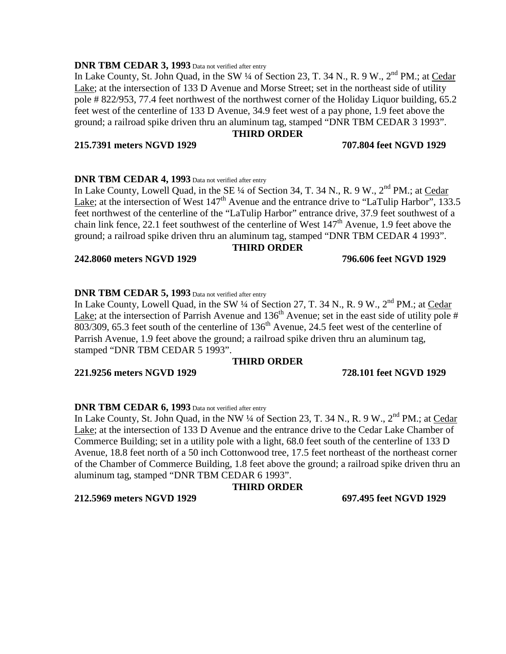# **DNR TBM CEDAR 3, 1993** Data not verified after entry

In Lake County, St. John Quad, in the SW  $\frac{1}{4}$  of Section 23, T. 34 N., R. 9 W.,  $2^{nd}$  PM.; at Cedar Lake; at the intersection of 133 D Avenue and Morse Street; set in the northeast side of utility pole # 822/953, 77.4 feet northwest of the northwest corner of the Holiday Liquor building, 65.2 feet west of the centerline of 133 D Avenue, 34.9 feet west of a pay phone, 1.9 feet above the ground; a railroad spike driven thru an aluminum tag, stamped "DNR TBM CEDAR 3 1993".

## **THIRD ORDER**

## **215.7391 meters NGVD 1929 707.804 feet NGVD 1929**

## **DNR TBM CEDAR 4, 1993** Data not verified after entry

In Lake County, Lowell Quad, in the SE  $\frac{1}{4}$  of Section 34, T. 34 N., R. 9 W.,  $2^{nd}$  PM.; at Cedar Lake; at the intersection of West  $147<sup>th</sup>$  Avenue and the entrance drive to "LaTulip Harbor", 133.5 feet northwest of the centerline of the "LaTulip Harbor" entrance drive, 37.9 feet southwest of a chain link fence, 22.1 feet southwest of the centerline of West  $147<sup>th</sup>$  Avenue, 1.9 feet above the ground; a railroad spike driven thru an aluminum tag, stamped "DNR TBM CEDAR 4 1993".

## **THIRD ORDER**

## **242.8060 meters NGVD 1929 796.606 feet NGVD 1929**

## **DNR TBM CEDAR 5, 1993** Data not verified after entry

In Lake County, Lowell Quad, in the SW ¼ of Section 27, T. 34 N., R. 9 W., 2<sup>nd</sup> PM.; at Cedar Lake; at the intersection of Parrish Avenue and  $136<sup>th</sup>$  Avenue; set in the east side of utility pole #  $803/309$ , 65.3 feet south of the centerline of 136<sup>th</sup> Avenue, 24.5 feet west of the centerline of Parrish Avenue, 1.9 feet above the ground; a railroad spike driven thru an aluminum tag, stamped "DNR TBM CEDAR 5 1993".

## **THIRD ORDER**

## **221.9256 meters NGVD 1929 728.101 feet NGVD 1929**

## **DNR TBM CEDAR 6, 1993** Data not verified after entry

In Lake County, St. John Quad, in the NW ¼ of Section 23, T. 34 N., R. 9 W., 2<sup>nd</sup> PM.; at Cedar Lake; at the intersection of 133 D Avenue and the entrance drive to the Cedar Lake Chamber of Commerce Building; set in a utility pole with a light, 68.0 feet south of the centerline of 133 D Avenue, 18.8 feet north of a 50 inch Cottonwood tree, 17.5 feet northeast of the northeast corner of the Chamber of Commerce Building, 1.8 feet above the ground; a railroad spike driven thru an aluminum tag, stamped "DNR TBM CEDAR 6 1993".

## **THIRD ORDER**

**212.5969 meters NGVD 1929 697.495 feet NGVD 1929**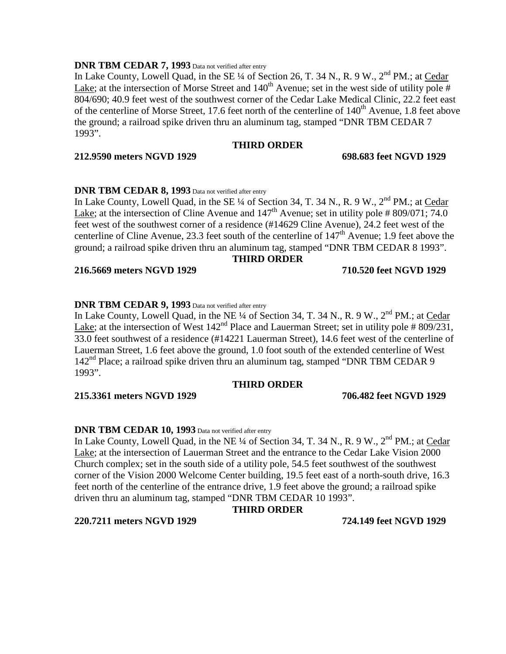## **DNR TBM CEDAR 7, 1993** Data not verified after entry

In Lake County, Lowell Quad, in the SE  $\frac{1}{4}$  of Section 26, T. 34 N., R. 9 W.,  $2^{nd}$  PM.; at Cedar Lake; at the intersection of Morse Street and  $140^{th}$  Avenue; set in the west side of utility pole # 804/690; 40.9 feet west of the southwest corner of the Cedar Lake Medical Clinic, 22.2 feet east of the centerline of Morse Street, 17.6 feet north of the centerline of  $140<sup>th</sup>$  Avenue, 1.8 feet above the ground; a railroad spike driven thru an aluminum tag, stamped "DNR TBM CEDAR 7 1993".

# **THIRD ORDER**

# **212.9590 meters NGVD 1929 698.683 feet NGVD 1929**

# **DNR TBM CEDAR 8, 1993** Data not verified after entry

In Lake County, Lowell Quad, in the SE  $\frac{1}{4}$  of Section 34, T. 34 N., R. 9 W.,  $2^{nd}$  PM.; at Cedar Lake; at the intersection of Cline Avenue and  $147<sup>th</sup>$  Avenue; set in utility pole # 809/071; 74.0 feet west of the southwest corner of a residence (#14629 Cline Avenue), 24.2 feet west of the centerline of Cline Avenue, 23.3 feet south of the centerline of  $147<sup>th</sup>$  Avenue; 1.9 feet above the ground; a railroad spike driven thru an aluminum tag, stamped "DNR TBM CEDAR 8 1993".

## **THIRD ORDER**

**216.5669 meters NGVD 1929 710.520 feet NGVD 1929**

# **DNR TBM CEDAR 9, 1993** Data not verified after entry

In Lake County, Lowell Quad, in the NE  $\frac{1}{4}$  of Section 34, T. 34 N., R. 9 W.,  $2^{nd}$  PM.; at Cedar Lake; at the intersection of West  $142<sup>nd</sup>$  Place and Lauerman Street; set in utility pole #809/231, 33.0 feet southwest of a residence (#14221 Lauerman Street), 14.6 feet west of the centerline of Lauerman Street, 1.6 feet above the ground, 1.0 foot south of the extended centerline of West  $142<sup>nd</sup>$  Place; a railroad spike driven thru an aluminum tag, stamped "DNR TBM CEDAR 9 1993".

## **THIRD ORDER**

**215.3361 meters NGVD 1929 706.482 feet NGVD 1929**

## **DNR TBM CEDAR 10, 1993** Data not verified after entry

In Lake County, Lowell Quad, in the NE ¼ of Section 34, T. 34 N., R. 9 W., 2<sup>nd</sup> PM.; at Cedar Lake; at the intersection of Lauerman Street and the entrance to the Cedar Lake Vision 2000 Church complex; set in the south side of a utility pole, 54.5 feet southwest of the southwest corner of the Vision 2000 Welcome Center building, 19.5 feet east of a north-south drive, 16.3 feet north of the centerline of the entrance drive, 1.9 feet above the ground; a railroad spike driven thru an aluminum tag, stamped "DNR TBM CEDAR 10 1993".

## **THIRD ORDER**

## **220.7211 meters NGVD 1929 724.149 feet NGVD 1929**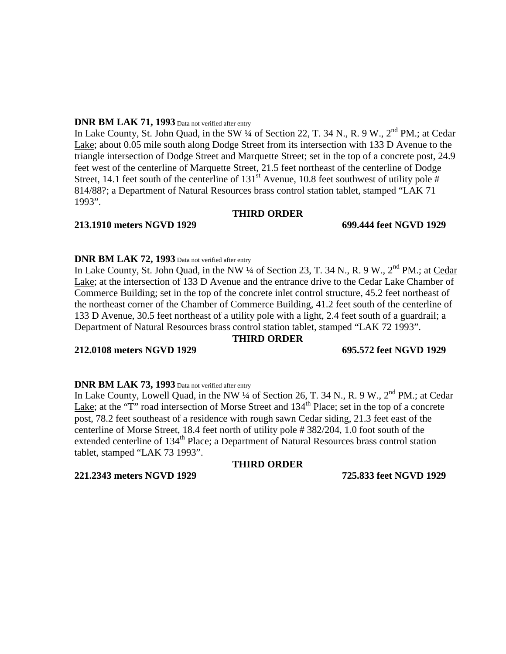## **DNR BM LAK 71, 1993** Data not verified after entry

In Lake County, St. John Quad, in the SW  $\frac{1}{4}$  of Section 22, T. 34 N., R. 9 W.,  $2^{nd}$  PM.; at Cedar Lake; about 0.05 mile south along Dodge Street from its intersection with 133 D Avenue to the triangle intersection of Dodge Street and Marquette Street; set in the top of a concrete post, 24.9 feet west of the centerline of Marquette Street, 21.5 feet northeast of the centerline of Dodge Street, 14.1 feet south of the centerline of  $131<sup>st</sup>$  Avenue, 10.8 feet southwest of utility pole # 814/88?; a Department of Natural Resources brass control station tablet, stamped "LAK 71 1993".

## **THIRD ORDER**

## **213.1910 meters NGVD 1929 699.444 feet NGVD 1929**

# **DNR BM LAK 72, 1993** Data not verified after entry

In Lake County, St. John Quad, in the NW ¼ of Section 23, T. 34 N., R. 9 W., 2<sup>nd</sup> PM.; at Cedar Lake; at the intersection of 133 D Avenue and the entrance drive to the Cedar Lake Chamber of Commerce Building; set in the top of the concrete inlet control structure, 45.2 feet northeast of the northeast corner of the Chamber of Commerce Building, 41.2 feet south of the centerline of 133 D Avenue, 30.5 feet northeast of a utility pole with a light, 2.4 feet south of a guardrail; a Department of Natural Resources brass control station tablet, stamped "LAK 72 1993".

## **THIRD ORDER**

# **212.0108 meters NGVD 1929 695.572 feet NGVD 1929**

# **DNR BM LAK 73, 1993** Data not verified after entry

In Lake County, Lowell Quad, in the NW  $\frac{1}{4}$  of Section 26, T. 34 N., R. 9 W.,  $2^{nd}$  PM.; at Cedar Lake; at the "T" road intersection of Morse Street and  $134<sup>th</sup>$  Place; set in the top of a concrete post, 78.2 feet southeast of a residence with rough sawn Cedar siding, 21.3 feet east of the centerline of Morse Street, 18.4 feet north of utility pole # 382/204, 1.0 foot south of the extended centerline of 134<sup>th</sup> Place; a Department of Natural Resources brass control station tablet, stamped "LAK 73 1993".

# **THIRD ORDER**

**221.2343 meters NGVD 1929 725.833 feet NGVD 1929**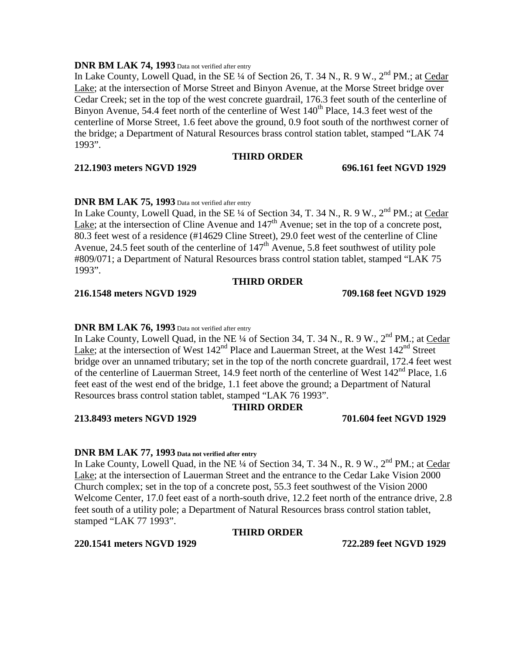## **DNR BM LAK 74, 1993** Data not verified after entry

In Lake County, Lowell Quad, in the SE  $\frac{1}{4}$  of Section 26, T. 34 N., R. 9 W., 2<sup>nd</sup> PM.; at Cedar Lake; at the intersection of Morse Street and Binyon Avenue, at the Morse Street bridge over Cedar Creek; set in the top of the west concrete guardrail, 176.3 feet south of the centerline of Binyon Avenue, 54.4 feet north of the centerline of West  $140<sup>th</sup>$  Place, 14.3 feet west of the centerline of Morse Street, 1.6 feet above the ground, 0.9 foot south of the northwest corner of the bridge; a Department of Natural Resources brass control station tablet, stamped "LAK 74 1993".

# **THIRD ORDER**

## **212.1903 meters NGVD 1929 696.161 feet NGVD 1929**

# **DNR BM LAK 75, 1993** Data not verified after entry

In Lake County, Lowell Quad, in the SE  $\frac{1}{4}$  of Section 34, T. 34 N., R. 9 W.,  $2^{nd}$  PM.; at Cedar Lake; at the intersection of Cline Avenue and  $147<sup>th</sup>$  Avenue; set in the top of a concrete post, 80.3 feet west of a residence (#14629 Cline Street), 29.0 feet west of the centerline of Cline Avenue, 24.5 feet south of the centerline of  $147<sup>th</sup>$  Avenue, 5.8 feet southwest of utility pole #809/071; a Department of Natural Resources brass control station tablet, stamped "LAK 75 1993".

# **THIRD ORDER**

## **216.1548 meters NGVD 1929 709.168 feet NGVD 1929**

## **DNR BM LAK 76, 1993** Data not verified after entry

In Lake County, Lowell Quad, in the NE ¼ of Section 34, T. 34 N., R. 9 W.,  $2^{nd}$  PM.; at Cedar Lake; at the intersection of West  $142<sup>nd</sup>$  Place and Lauerman Street, at the West  $142<sup>nd</sup>$  Street bridge over an unnamed tributary; set in the top of the north concrete guardrail, 172.4 feet west of the centerline of Lauerman Street, 14.9 feet north of the centerline of West 142<sup>nd</sup> Place, 1.6 feet east of the west end of the bridge, 1.1 feet above the ground; a Department of Natural Resources brass control station tablet, stamped "LAK 76 1993".

# **THIRD ORDER**

**213.8493 meters NGVD 1929 701.604 feet NGVD 1929**

## **DNR BM LAK 77, 1993 Data not verified after entry**

In Lake County, Lowell Quad, in the NE ¼ of Section 34, T. 34 N., R. 9 W.,  $2<sup>nd</sup> PM$ .; at Cedar Lake; at the intersection of Lauerman Street and the entrance to the Cedar Lake Vision 2000 Church complex; set in the top of a concrete post, 55.3 feet southwest of the Vision 2000 Welcome Center, 17.0 feet east of a north-south drive, 12.2 feet north of the entrance drive, 2.8 feet south of a utility pole; a Department of Natural Resources brass control station tablet, stamped "LAK 77 1993".

## **THIRD ORDER**

## **220.1541 meters NGVD 1929 722.289 feet NGVD 1929**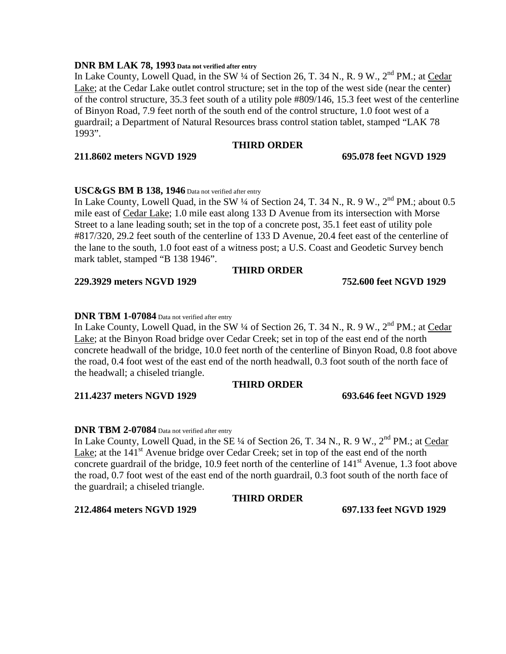## **DNR BM LAK 78, 1993 Data not verified after entry**

In Lake County, Lowell Quad, in the SW  $\frac{1}{4}$  of Section 26, T. 34 N., R. 9 W.,  $2^{nd}$  PM.; at Cedar Lake; at the Cedar Lake outlet control structure; set in the top of the west side (near the center) of the control structure, 35.3 feet south of a utility pole #809/146, 15.3 feet west of the centerline of Binyon Road, 7.9 feet north of the south end of the control structure, 1.0 foot west of a guardrail; a Department of Natural Resources brass control station tablet, stamped "LAK 78 1993".

# **THIRD ORDER**

# **211.8602 meters NGVD 1929 695.078 feet NGVD 1929**

# **USC&GS BM B 138, 1946** Data not verified after entry

In Lake County, Lowell Quad, in the SW  $\frac{1}{4}$  of Section 24, T. 34 N., R. 9 W.,  $2^{nd}$  PM.; about 0.5 mile east of Cedar Lake; 1.0 mile east along 133 D Avenue from its intersection with Morse Street to a lane leading south; set in the top of a concrete post, 35.1 feet east of utility pole #817/320, 29.2 feet south of the centerline of 133 D Avenue, 20.4 feet east of the centerline of the lane to the south, 1.0 foot east of a witness post; a U.S. Coast and Geodetic Survey bench mark tablet, stamped "B 138 1946".

# **THIRD ORDER**

## **229.3929 meters NGVD 1929 752.600 feet NGVD 1929**

# **DNR TBM 1-07084** Data not verified after entry

In Lake County, Lowell Quad, in the SW  $\frac{1}{4}$  of Section 26, T. 34 N., R. 9 W.,  $2^{nd}$  PM.; at Cedar Lake; at the Binyon Road bridge over Cedar Creek; set in top of the east end of the north concrete headwall of the bridge, 10.0 feet north of the centerline of Binyon Road, 0.8 foot above the road, 0.4 foot west of the east end of the north headwall, 0.3 foot south of the north face of the headwall; a chiseled triangle.

# **THIRD ORDER**

# **211.4237 meters NGVD 1929 693.646 feet NGVD 1929**

# **DNR TBM 2-07084** Data not verified after entry

In Lake County, Lowell Quad, in the SE ¼ of Section 26, T. 34 N., R. 9 W., 2<sup>nd</sup> PM.; at Cedar Lake; at the  $141<sup>st</sup>$  Avenue bridge over Cedar Creek; set in top of the east end of the north concrete guardrail of the bridge, 10.9 feet north of the centerline of  $141<sup>st</sup>$  Avenue, 1.3 foot above the road, 0.7 foot west of the east end of the north guardrail, 0.3 foot south of the north face of the guardrail; a chiseled triangle.

## **THIRD ORDER**

**212.4864 meters NGVD 1929 697.133 feet NGVD 1929**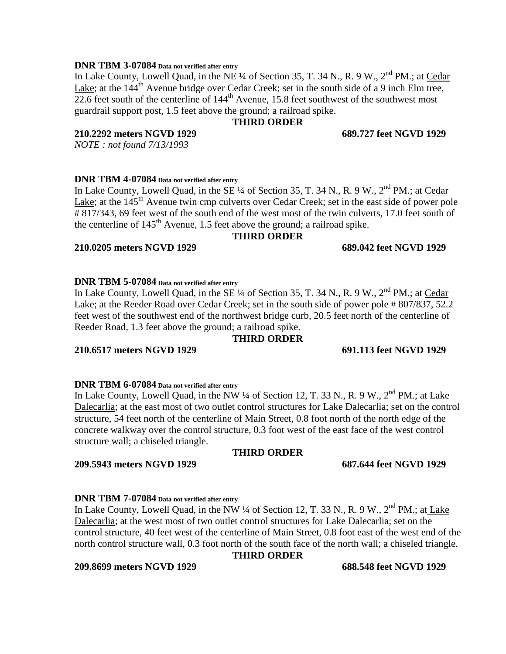## **DNR TBM 3-07084 Data not verified after entry**

In Lake County, Lowell Quad, in the NE ¼ of Section 35, T. 34 N., R. 9 W., 2<sup>nd</sup> PM.; at Cedar Lake; at the 144<sup>th</sup> Avenue bridge over Cedar Creek; set in the south side of a 9 inch Elm tree, 22.6 feet south of the centerline of  $144<sup>th</sup>$  Avenue, 15.8 feet southwest of the southwest most guardrail support post, 1.5 feet above the ground; a railroad spike.

# **THIRD ORDER**

## **210.2292 meters NGVD 1929 689.727 feet NGVD 1929**

*NOTE : not found 7/13/1993*

**DNR TBM 4-07084 Data not verified after entry**

In Lake County, Lowell Quad, in the SE  $\frac{1}{4}$  of Section 35, T. 34 N., R. 9 W.,  $2^{nd}$  PM.; at Cedar Lake; at the  $145<sup>th</sup>$  Avenue twin cmp culverts over Cedar Creek; set in the east side of power pole # 817/343, 69 feet west of the south end of the west most of the twin culverts, 17.0 feet south of the centerline of  $145<sup>th</sup>$  Avenue, 1.5 feet above the ground; a railroad spike.

# **THIRD ORDER**

# **210.0205 meters NGVD 1929 689.042 feet NGVD 1929**

## **DNR TBM 5-07084 Data not verified after entry**

In Lake County, Lowell Quad, in the SE  $\frac{1}{4}$  of Section 35, T. 34 N., R. 9 W.,  $2^{nd}$  PM.; at Cedar Lake; at the Reeder Road over Cedar Creek; set in the south side of power pole # 807/837, 52.2 feet west of the southwest end of the northwest bridge curb, 20.5 feet north of the centerline of Reeder Road, 1.3 feet above the ground; a railroad spike.

## **THIRD ORDER**

# **210.6517 meters NGVD 1929 691.113 feet NGVD 1929**

## **DNR TBM 6-07084 Data not verified after entry**

In Lake County, Lowell Quad, in the NW  $\frac{1}{4}$  of Section 12, T. 33 N., R. 9 W.,  $2^{nd}$  PM.; at Lake Dalecarlia; at the east most of two outlet control structures for Lake Dalecarlia; set on the control structure, 54 feet north of the centerline of Main Street, 0.8 foot north of the north edge of the concrete walkway over the control structure, 0.3 foot west of the east face of the west control structure wall; a chiseled triangle.

## **THIRD ORDER**

## **209.5943 meters NGVD 1929 687.644 feet NGVD 1929**

# **DNR TBM 7-07084 Data not verified after entry**

In Lake County, Lowell Quad, in the NW  $\frac{1}{4}$  of Section 12, T. 33 N., R. 9 W.,  $2^{nd}$  PM.; at Lake Dalecarlia; at the west most of two outlet control structures for Lake Dalecarlia; set on the control structure, 40 feet west of the centerline of Main Street, 0.8 foot east of the west end of the north control structure wall, 0.3 foot north of the south face of the north wall; a chiseled triangle.

## **THIRD ORDER**

**209.8699 meters NGVD 1929 688.548 feet NGVD 1929**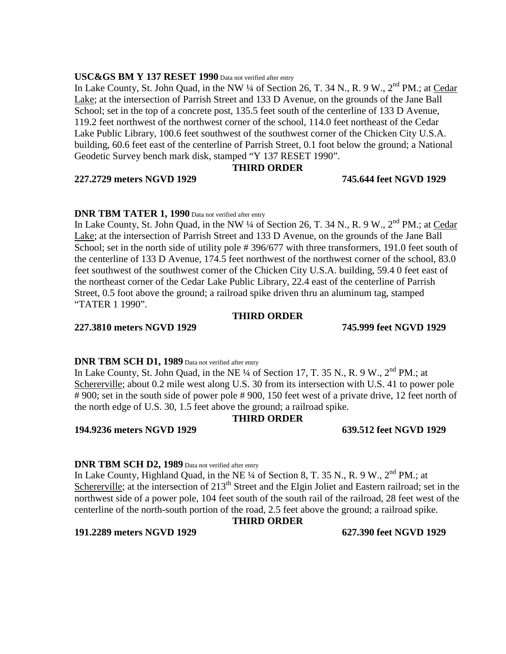## **USC&GS BM Y 137 RESET 1990** Data not verified after entry

In Lake County, St. John Quad, in the NW  $\frac{1}{4}$  of Section 26, T. 34 N., R. 9 W.,  $2^{nd}$  PM.; at Cedar Lake; at the intersection of Parrish Street and 133 D Avenue, on the grounds of the Jane Ball School; set in the top of a concrete post, 135.5 feet south of the centerline of 133 D Avenue, 119.2 feet northwest of the northwest corner of the school, 114.0 feet northeast of the Cedar Lake Public Library, 100.6 feet southwest of the southwest corner of the Chicken City U.S.A. building, 60.6 feet east of the centerline of Parrish Street, 0.1 foot below the ground; a National Geodetic Survey bench mark disk, stamped "Y 137 RESET 1990".

### **THIRD ORDER**

## **227.2729 meters NGVD 1929 745.644 feet NGVD 1929**

## **DNR TBM TATER 1, 1990** Data not verified after entry

In Lake County, St. John Quad, in the NW  $\frac{1}{4}$  of Section 26, T. 34 N., R. 9 W.,  $2^{nd}$  PM.; at Cedar Lake; at the intersection of Parrish Street and 133 D Avenue, on the grounds of the Jane Ball School; set in the north side of utility pole #396/677 with three transformers, 191.0 feet south of the centerline of 133 D Avenue, 174.5 feet northwest of the northwest corner of the school, 83.0 feet southwest of the southwest corner of the Chicken City U.S.A. building, 59.4 0 feet east of the northeast corner of the Cedar Lake Public Library, 22.4 east of the centerline of Parrish Street, 0.5 foot above the ground; a railroad spike driven thru an aluminum tag, stamped "TATER 1 1990".

## **THIRD ORDER**

### **227.3810 meters NGVD 1929 745.999 feet NGVD 1929**

### **DNR TBM SCH D1, 1989** Data not verified after entry

In Lake County, St. John Quad, in the NE  $\frac{1}{4}$  of Section 17, T. 35 N., R. 9 W.,  $2^{nd}$  PM.; at Schererville; about 0.2 mile west along U.S. 30 from its intersection with U.S. 41 to power pole # 900; set in the south side of power pole # 900, 150 feet west of a private drive, 12 feet north of the north edge of U.S. 30, 1.5 feet above the ground; a railroad spike.

## **THIRD ORDER**

## **194.9236 meters NGVD 1929 639.512 feet NGVD 1929**

## **DNR TBM SCH D2, 1989** Data not verified after entry

In Lake County, Highland Quad, in the NE <sup>1</sup>/4 of Section 8, T. 35 N., R. 9 W., 2<sup>nd</sup> PM.; at Schererville; at the intersection of 213<sup>th</sup> Street and the Elgin Joliet and Eastern railroad; set in the northwest side of a power pole, 104 feet south of the south rail of the railroad, 28 feet west of the centerline of the north-south portion of the road, 2.5 feet above the ground; a railroad spike.

### **191.2289 meters NGVD 1929 627.390 feet NGVD 1929**

**THIRD ORDER**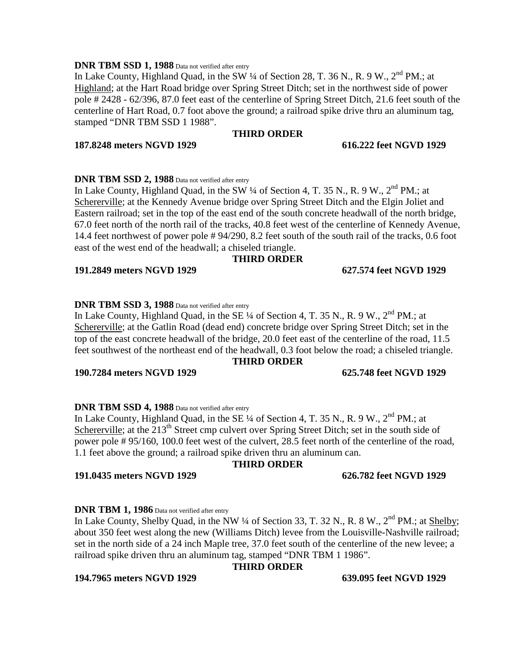# **DNR TBM SSD 1, 1988** Data not verified after entry

## **THIRD ORDER**

**187.8248 meters NGVD 1929 616.222 feet NGVD 1929**

**DNR TBM SSD 2, 1988** Data not verified after entry

In Lake County, Highland Quad, in the SW  $\frac{1}{4}$  of Section 4, T. 35 N., R. 9 W.,  $2^{nd}$  PM.; at Schererville; at the Kennedy Avenue bridge over Spring Street Ditch and the Elgin Joliet and Eastern railroad; set in the top of the east end of the south concrete headwall of the north bridge, 67.0 feet north of the north rail of the tracks, 40.8 feet west of the centerline of Kennedy Avenue, 14.4 feet northwest of power pole # 94/290, 8.2 feet south of the south rail of the tracks, 0.6 foot east of the west end of the headwall; a chiseled triangle.

## **THIRD ORDER**

**191.2849 meters NGVD 1929 627.574 feet NGVD 1929**

# **DNR TBM SSD 3, 1988** Data not verified after entry

In Lake County, Highland Quad, in the SE  $\frac{1}{4}$  of Section 4, T. 35 N., R. 9 W.,  $2^{nd}$  PM.; at Schererville; at the Gatlin Road (dead end) concrete bridge over Spring Street Ditch; set in the top of the east concrete headwall of the bridge, 20.0 feet east of the centerline of the road, 11.5 feet southwest of the northeast end of the headwall, 0.3 foot below the road; a chiseled triangle.

## **THIRD ORDER**

# **190.7284 meters NGVD 1929 625.748 feet NGVD 1929**

## **DNR TBM SSD 4, 1988** Data not verified after entry

In Lake County, Highland Quad, in the SE  $\frac{1}{4}$  of Section 4, T. 35 N., R. 9 W.,  $2^{nd}$  PM.; at Schererville; at the 213<sup>th</sup> Street cmp culvert over Spring Street Ditch; set in the south side of power pole # 95/160, 100.0 feet west of the culvert, 28.5 feet north of the centerline of the road, 1.1 feet above the ground; a railroad spike driven thru an aluminum can.

## **THIRD ORDER**

### **191.0435 meters NGVD 1929 626.782 feet NGVD 1929**

## **DNR TBM 1, 1986** Data not verified after entry

In Lake County, Shelby Quad, in the NW  $\frac{1}{4}$  of Section 33, T. 32 N., R. 8 W.,  $2^{nd}$  PM.; at Shelby; about 350 feet west along the new (Williams Ditch) levee from the Louisville-Nashville railroad; set in the north side of a 24 inch Maple tree, 37.0 feet south of the centerline of the new levee; a railroad spike driven thru an aluminum tag, stamped "DNR TBM 1 1986".

# **THIRD ORDER**

## **194.7965 meters NGVD 1929 639.095 feet NGVD 1929**

In Lake County, Highland Quad, in the SW 1/4 of Section 28, T. 36 N., R. 9 W., 2<sup>nd</sup> PM.; at Highland; at the Hart Road bridge over Spring Street Ditch; set in the northwest side of power pole # 2428 - 62/396, 87.0 feet east of the centerline of Spring Street Ditch, 21.6 feet south of the centerline of Hart Road, 0.7 foot above the ground; a railroad spike drive thru an aluminum tag, stamped "DNR TBM SSD 1 1988".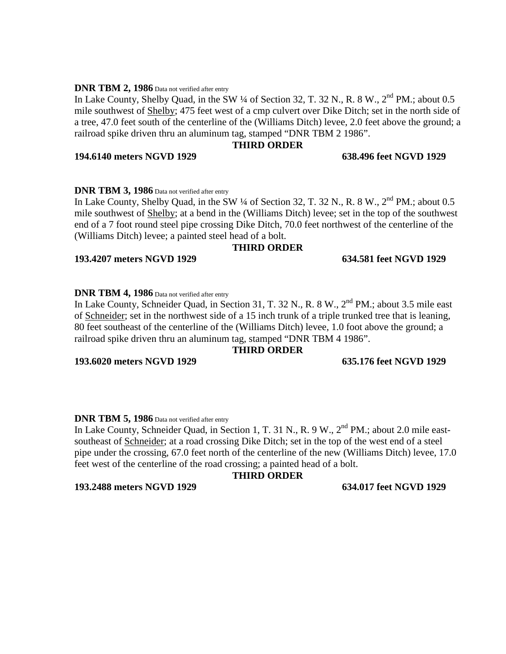## **DNR TBM 2, 1986** Data not verified after entry

In Lake County, Shelby Quad, in the SW  $\frac{1}{4}$  of Section 32, T. 32 N., R. 8 W.,  $2^{nd}$  PM.; about 0.5 mile southwest of Shelby; 475 feet west of a cmp culvert over Dike Ditch; set in the north side of a tree, 47.0 feet south of the centerline of the (Williams Ditch) levee, 2.0 feet above the ground; a railroad spike driven thru an aluminum tag, stamped "DNR TBM 2 1986".

## **THIRD ORDER**

## **194.6140 meters NGVD 1929 638.496 feet NGVD 1929**

# **DNR TBM 3, 1986** Data not verified after entry

In Lake County, Shelby Quad, in the SW  $\frac{1}{4}$  of Section 32, T. 32 N., R. 8 W.,  $2^{nd}$  PM.; about 0.5 mile southwest of Shelby; at a bend in the (Williams Ditch) levee; set in the top of the southwest end of a 7 foot round steel pipe crossing Dike Ditch, 70.0 feet northwest of the centerline of the (Williams Ditch) levee; a painted steel head of a bolt.

## **THIRD ORDER**

## **193.4207 meters NGVD 1929 634.581 feet NGVD 1929**

# **DNR TBM 4, 1986** Data not verified after entry

In Lake County, Schneider Quad, in Section 31, T. 32 N., R. 8 W., 2<sup>nd</sup> PM.; about 3.5 mile east of Schneider; set in the northwest side of a 15 inch trunk of a triple trunked tree that is leaning, 80 feet southeast of the centerline of the (Williams Ditch) levee, 1.0 foot above the ground; a railroad spike driven thru an aluminum tag, stamped "DNR TBM 4 1986".

## **THIRD ORDER**

**193.6020 meters NGVD 1929 635.176 feet NGVD 1929**

## **DNR TBM 5, 1986** Data not verified after entry

In Lake County, Schneider Quad, in Section 1, T. 31 N., R. 9 W., 2<sup>nd</sup> PM.; about 2.0 mile eastsoutheast of Schneider; at a road crossing Dike Ditch; set in the top of the west end of a steel pipe under the crossing, 67.0 feet north of the centerline of the new (Williams Ditch) levee, 17.0 feet west of the centerline of the road crossing; a painted head of a bolt.

## **THIRD ORDER**

# **193.2488 meters NGVD 1929 634.017 feet NGVD 1929**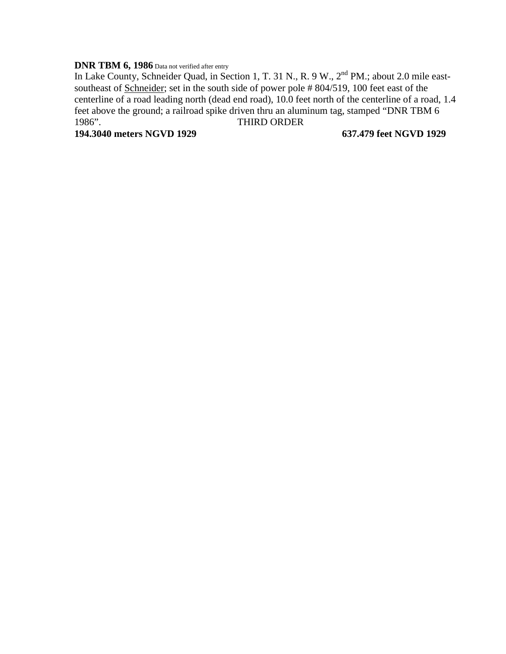# **DNR TBM 6, 1986** Data not verified after entry

In Lake County, Schneider Quad, in Section 1, T. 31 N., R. 9 W., 2<sup>nd</sup> PM.; about 2.0 mile eastsoutheast of Schneider; set in the south side of power pole # 804/519, 100 feet east of the centerline of a road leading north (dead end road), 10.0 feet north of the centerline of a road, 1.4 feet above the ground; a railroad spike driven thru an aluminum tag, stamped "DNR TBM 6 1986". THIRD ORDER

**194.3040 meters NGVD 1929 637.479 feet NGVD 1929**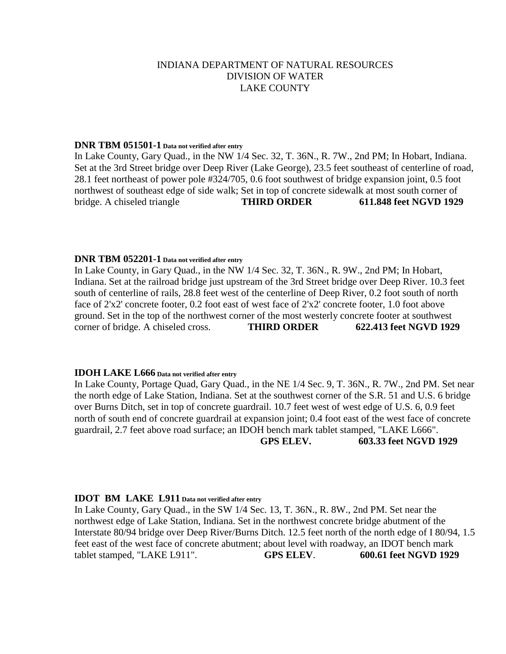## **DNR TBM 051501-1 Data not verified after entry**

In Lake County, Gary Quad., in the NW 1/4 Sec. 32, T. 36N., R. 7W., 2nd PM; In Hobart, Indiana. Set at the 3rd Street bridge over Deep River (Lake George), 23.5 feet southeast of centerline of road, 28.1 feet northeast of power pole #324/705, 0.6 foot southwest of bridge expansion joint, 0.5 foot northwest of southeast edge of side walk; Set in top of concrete sidewalk at most south corner of bridge. A chiseled triangle **THIRD ORDER 611.848 feet NGVD 1929**

## **DNR TBM 052201-1 Data not verified after entry**

In Lake County, in Gary Quad., in the NW 1/4 Sec. 32, T. 36N., R. 9W., 2nd PM; In Hobart, Indiana. Set at the railroad bridge just upstream of the 3rd Street bridge over Deep River. 10.3 feet south of centerline of rails, 28.8 feet west of the centerline of Deep River, 0.2 foot south of north face of 2'x2' concrete footer, 0.2 foot east of west face of 2'x2' concrete footer, 1.0 foot above ground. Set in the top of the northwest corner of the most westerly concrete footer at southwest corner of bridge. A chiseled cross. **THIRD ORDER 622.413 feet NGVD 1929**

## **IDOH LAKE L666 Data not verified after entry**

In Lake County, Portage Quad, Gary Quad., in the NE 1/4 Sec. 9, T. 36N., R. 7W., 2nd PM. Set near the north edge of Lake Station, Indiana. Set at the southwest corner of the S.R. 51 and U.S. 6 bridge over Burns Ditch, set in top of concrete guardrail. 10.7 feet west of west edge of U.S. 6, 0.9 feet north of south end of concrete guardrail at expansion joint; 0.4 foot east of the west face of concrete guardrail, 2.7 feet above road surface; an IDOH bench mark tablet stamped, "LAKE L666".

**GPS ELEV. 603.33 feet NGVD 1929**

## **IDOT BM LAKE L911 Data not verified after entry**

In Lake County, Gary Quad., in the SW 1/4 Sec. 13, T. 36N., R. 8W., 2nd PM. Set near the northwest edge of Lake Station, Indiana. Set in the northwest concrete bridge abutment of the Interstate 80/94 bridge over Deep River/Burns Ditch. 12.5 feet north of the north edge of I 80/94, 1.5 feet east of the west face of concrete abutment; about level with roadway, an IDOT bench mark tablet stamped, "LAKE L911". **GPS ELEV**. **600.61 feet NGVD 1929**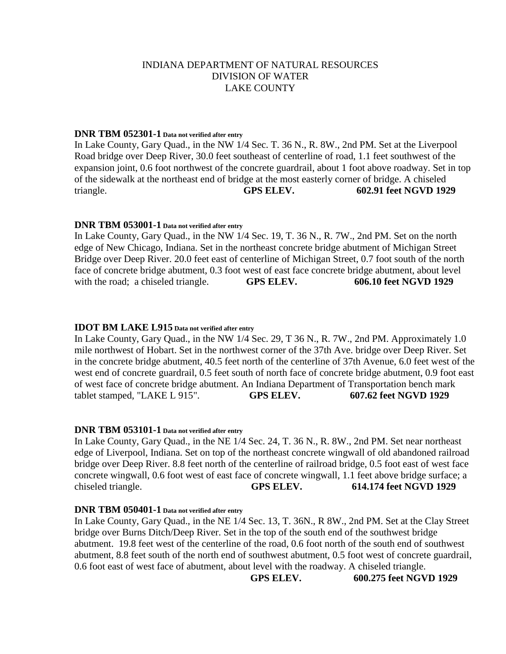# **DNR TBM 052301-1 Data not verified after entry**

In Lake County, Gary Quad., in the NW 1/4 Sec. T. 36 N., R. 8W., 2nd PM. Set at the Liverpool Road bridge over Deep River, 30.0 feet southeast of centerline of road, 1.1 feet southwest of the expansion joint, 0.6 foot northwest of the concrete guardrail, about 1 foot above roadway. Set in top of the sidewalk at the northeast end of bridge at the most easterly corner of bridge. A chiseled triangle. **GPS ELEV. 602.91 feet NGVD 1929**

## **DNR TBM 053001-1 Data not verified after entry**

In Lake County, Gary Quad., in the NW 1/4 Sec. 19, T. 36 N., R. 7W., 2nd PM. Set on the north edge of New Chicago, Indiana. Set in the northeast concrete bridge abutment of Michigan Street Bridge over Deep River. 20.0 feet east of centerline of Michigan Street, 0.7 foot south of the north face of concrete bridge abutment, 0.3 foot west of east face concrete bridge abutment, about level with the road; a chiseled triangle. **GPS ELEV.** 606.10 feet NGVD 1929

## **IDOT BM LAKE L915 Data not verified after entry**

In Lake County, Gary Quad., in the NW 1/4 Sec. 29, T 36 N., R. 7W., 2nd PM. Approximately 1.0 mile northwest of Hobart. Set in the northwest corner of the 37th Ave. bridge over Deep River. Set in the concrete bridge abutment, 40.5 feet north of the centerline of 37th Avenue, 6.0 feet west of the west end of concrete guardrail, 0.5 feet south of north face of concrete bridge abutment, 0.9 foot east of west face of concrete bridge abutment. An Indiana Department of Transportation bench mark tablet stamped, "LAKE L 915". **GPS ELEV. 607.62 feet NGVD 1929**

## **DNR TBM 053101-1 Data not verified after entry**

In Lake County, Gary Quad., in the NE 1/4 Sec. 24, T. 36 N., R. 8W., 2nd PM. Set near northeast edge of Liverpool, Indiana. Set on top of the northeast concrete wingwall of old abandoned railroad bridge over Deep River. 8.8 feet north of the centerline of railroad bridge, 0.5 foot east of west face concrete wingwall, 0.6 foot west of east face of concrete wingwall, 1.1 feet above bridge surface; a chiseled triangle. **GPS ELEV. 614.174 feet NGVD 1929**

## **DNR TBM 050401-1 Data not verified after entry**

In Lake County, Gary Quad., in the NE 1/4 Sec. 13, T. 36N., R 8W., 2nd PM. Set at the Clay Street bridge over Burns Ditch/Deep River. Set in the top of the south end of the southwest bridge abutment. 19.8 feet west of the centerline of the road, 0.6 foot north of the south end of southwest abutment, 8.8 feet south of the north end of southwest abutment, 0.5 foot west of concrete guardrail, 0.6 foot east of west face of abutment, about level with the roadway. A chiseled triangle.

**GPS ELEV. 600.275 feet NGVD 1929**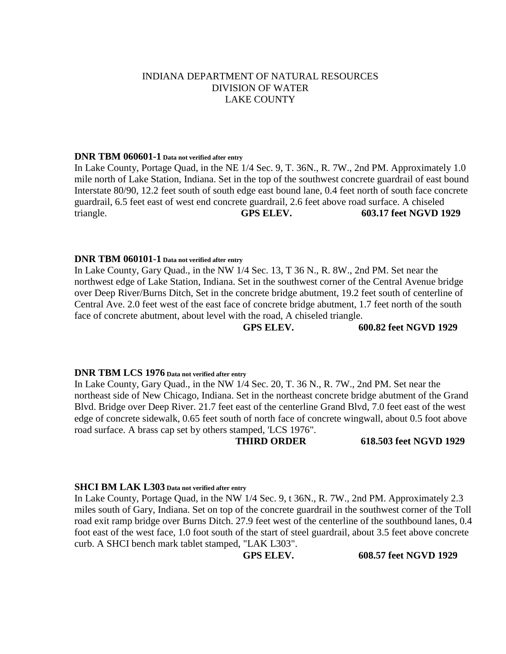## **DNR TBM 060601-1 Data not verified after entry**

In Lake County, Portage Quad, in the NE 1/4 Sec. 9, T. 36N., R. 7W., 2nd PM. Approximately 1.0 mile north of Lake Station, Indiana. Set in the top of the southwest concrete guardrail of east bound Interstate 80/90, 12.2 feet south of south edge east bound lane, 0.4 feet north of south face concrete guardrail, 6.5 feet east of west end concrete guardrail, 2.6 feet above road surface. A chiseled triangle. **GPS ELEV. 603.17 feet NGVD 1929**

# **DNR TBM 060101-1 Data not verified after entry**

In Lake County, Gary Quad., in the NW 1/4 Sec. 13, T 36 N., R. 8W., 2nd PM. Set near the northwest edge of Lake Station, Indiana. Set in the southwest corner of the Central Avenue bridge over Deep River/Burns Ditch, Set in the concrete bridge abutment, 19.2 feet south of centerline of Central Ave. 2.0 feet west of the east face of concrete bridge abutment, 1.7 feet north of the south face of concrete abutment, about level with the road, A chiseled triangle.

**GPS ELEV. 600.82 feet NGVD 1929**

### **DNR TBM LCS 1976 Data not verified after entry**

In Lake County, Gary Quad., in the NW 1/4 Sec. 20, T. 36 N., R. 7W., 2nd PM. Set near the northeast side of New Chicago, Indiana. Set in the northeast concrete bridge abutment of the Grand Blvd. Bridge over Deep River. 21.7 feet east of the centerline Grand Blvd, 7.0 feet east of the west edge of concrete sidewalk, 0.65 feet south of north face of concrete wingwall, about 0.5 foot above road surface. A brass cap set by others stamped, 'LCS 1976".

**THIRD ORDER 618.503 feet NGVD 1929**

## **SHCI BM LAK L303 Data not verified after entry**

In Lake County, Portage Quad, in the NW 1/4 Sec. 9, t 36N., R. 7W., 2nd PM. Approximately 2.3 miles south of Gary, Indiana. Set on top of the concrete guardrail in the southwest corner of the Toll road exit ramp bridge over Burns Ditch. 27.9 feet west of the centerline of the southbound lanes, 0.4 foot east of the west face, 1.0 foot south of the start of steel guardrail, about 3.5 feet above concrete curb. A SHCI bench mark tablet stamped, "LAK L303".

**GPS ELEV. 608.57 feet NGVD 1929**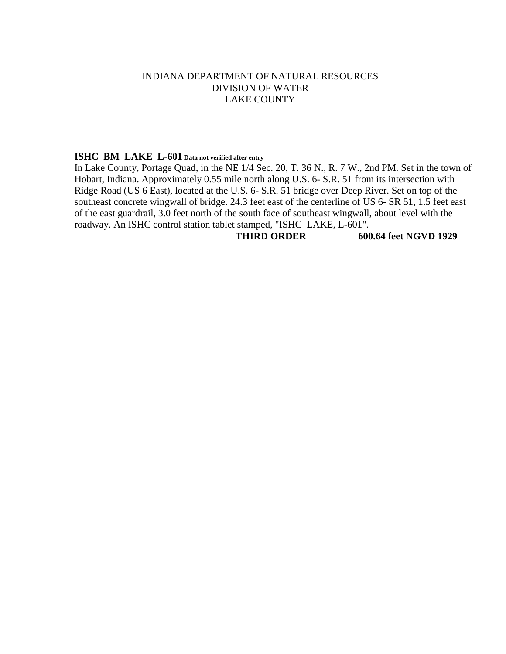# **ISHC BM LAKE L-601 Data not verified after entry**

In Lake County, Portage Quad, in the NE 1/4 Sec. 20, T. 36 N., R. 7 W., 2nd PM. Set in the town of Hobart, Indiana. Approximately 0.55 mile north along U.S. 6- S.R. 51 from its intersection with Ridge Road (US 6 East), located at the U.S. 6- S.R. 51 bridge over Deep River. Set on top of the southeast concrete wingwall of bridge. 24.3 feet east of the centerline of US 6- SR 51, 1.5 feet east of the east guardrail, 3.0 feet north of the south face of southeast wingwall, about level with the roadway. An ISHC control station tablet stamped, "ISHC LAKE, L-601".

**THIRD ORDER 600.64 feet NGVD 1929**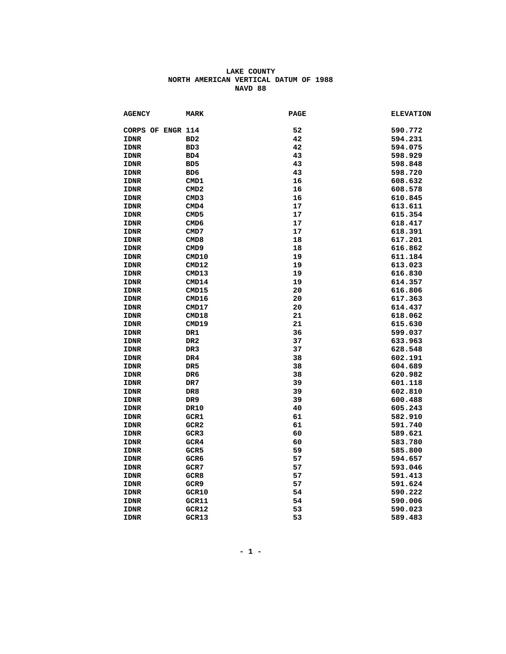| <b>AGENCY</b>     | <b>MARK</b>      | <b>PAGE</b> | <b>ELEVATION</b> |
|-------------------|------------------|-------------|------------------|
| CORPS OF ENGR 114 |                  | 52          | 590.772          |
| <b>IDNR</b>       | BD <sub>2</sub>  | 42          | 594.231          |
| <b>IDNR</b>       | BD3              | 42          | 594.075          |
| <b>IDNR</b>       | BD4              | 43          | 598.929          |
| <b>IDNR</b>       | B <sub>D</sub> 5 | 43          | 598.848          |
| <b>IDNR</b>       | BD <sub>6</sub>  | 43          | 598.720          |
| <b>IDNR</b>       | CMD1             | 16          | 608.632          |
| <b>IDNR</b>       | CMD2             | 16          | 608.578          |
| <b>IDNR</b>       | CMD3             | 16          | 610.845          |
| <b>IDNR</b>       | CMD4             | 17          | 613.611          |
| <b>IDNR</b>       | CMD5             | 17          | 615.354          |
| <b>IDNR</b>       | CMD <sub>6</sub> | 17          | 618.417          |
| <b>IDNR</b>       | CMD7             | 17          | 618.391          |
| <b>IDNR</b>       | CMD8             | 18          | 617.201          |
| <b>IDNR</b>       | CMD9             | 18          | 616.862          |
| <b>IDNR</b>       | CMD10            | 19          | 611.184          |
| <b>IDNR</b>       | CMD12            | 19          | 613.023          |
| IDNR              | CMD13            | 19          | 616.830          |
| <b>IDNR</b>       | CMD14            | 19          | 614.357          |
| <b>IDNR</b>       | CMD15            | 20          | 616.806          |
| <b>IDNR</b>       | CMD16            | 20          | 617.363          |
| <b>IDNR</b>       | CMD17            | 20          | 614.437          |
| <b>IDNR</b>       | CMD18            | 21          | 618.062          |
| <b>IDNR</b>       | CMD19            | 21          | 615.630          |
| <b>IDNR</b>       | DR1              | 36          | 599.037          |
| <b>IDNR</b>       | DR <sub>2</sub>  | 37          | 633.963          |
| <b>IDNR</b>       | DR <sub>3</sub>  | 37          | 628.548          |
| <b>IDNR</b>       | DR4              | 38          | 602.191          |
| <b>IDNR</b>       | DR <sub>5</sub>  | 38          | 604.689          |
| <b>IDNR</b>       | DR6              | 38          | 620.982          |
| <b>IDNR</b>       | DR7              | 39          | 601.118          |
| <b>IDNR</b>       | DR8              | 39          | 602.810          |
| <b>IDNR</b>       | DR9              | 39          | 600.488          |
| <b>IDNR</b>       | <b>DR10</b>      | 40          | 605.243          |
| <b>IDNR</b>       | GCR1             | 61          | 582.910          |
| <b>IDNR</b>       | GCR <sub>2</sub> | 61          | 591.740          |
| <b>IDNR</b>       | GCR <sub>3</sub> | 60          | 589.621          |
| <b>IDNR</b>       | GCR4             | 60          | 583.780          |
| <b>IDNR</b>       | GCR <sub>5</sub> | 59          | 585.800          |
| <b>IDNR</b>       | GCR6             | 57          | 594.657          |
| <b>IDNR</b>       | GCR7             | 57          | 593.046          |
| <b>IDNR</b>       | GCR8             | 57          | 591.413          |
| <b>IDNR</b>       | GCR9             | 57          | 591.624          |
| <b>IDNR</b>       | GCR10            | 54          | 590.222          |
| <b>IDNR</b>       | GCR11            | 54          | 590.006          |
| <b>IDNR</b>       | GCR12            | 53          | 590.023          |
| <b>IDNR</b>       | GCR13            | 53          | 589.483          |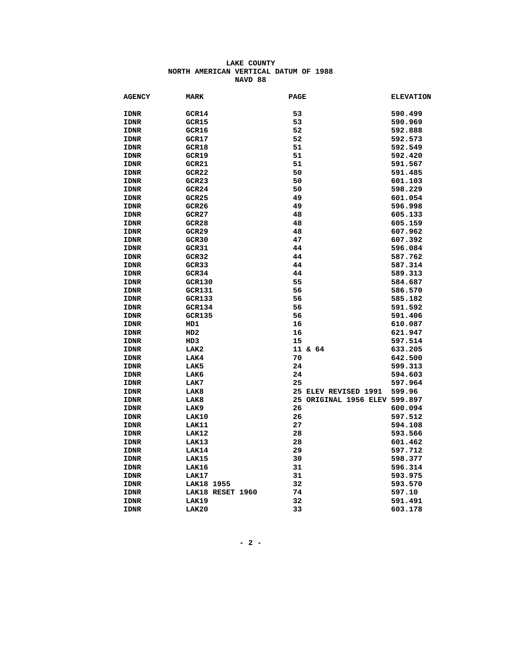| <b>AGENCY</b> | <b>MARK</b>      | <b>PAGE</b>                   | <b>ELEVATION</b> |
|---------------|------------------|-------------------------------|------------------|
| <b>IDNR</b>   | GCR14            | 53                            | 590.499          |
| <b>IDNR</b>   | GCR15            | 53                            | 590.969          |
| <b>IDNR</b>   | GCR16            | 52                            | 592.888          |
| <b>IDNR</b>   | GCR17            | 52                            | 592.573          |
| <b>IDNR</b>   | GCR18            | 51                            | 592.549          |
| <b>IDNR</b>   | GCR19            | 51                            | 592.420          |
| <b>IDNR</b>   | GCR21            | 51                            | 591.567          |
| <b>IDNR</b>   | GCR22            | 50                            | 591.485          |
| <b>IDNR</b>   | GCR23            | 50                            | 601.103          |
| <b>IDNR</b>   | GCR24            | 50                            | 598.229          |
| <b>IDNR</b>   | GCR25            | 49                            | 601.054          |
| <b>IDNR</b>   | GCR26            | 49                            | 596.998          |
| <b>IDNR</b>   | GCR27            | 48                            | 605.133          |
| <b>IDNR</b>   | GCR28            | 48                            | 605.159          |
| <b>IDNR</b>   | GCR29            | 48                            | 607.962          |
| <b>IDNR</b>   | GCR30            | 47                            | 607.392          |
| <b>IDNR</b>   | GCR31            | 44                            | 596.084          |
| <b>IDNR</b>   | GCR32            | 44                            | 587.762          |
| <b>IDNR</b>   | GCR33            | 44                            | 587.314          |
| <b>IDNR</b>   | GCR34            | 44                            | 589.313          |
| <b>IDNR</b>   | <b>GCR130</b>    | 55                            | 584.687          |
| <b>IDNR</b>   | <b>GCR131</b>    | 56                            | 586.570          |
| <b>IDNR</b>   | <b>GCR133</b>    | 56                            | 585.182          |
| <b>IDNR</b>   | <b>GCR134</b>    | 56                            | 591.592          |
| <b>IDNR</b>   | <b>GCR135</b>    | 56                            | 591.406          |
| <b>IDNR</b>   | HD1              | 16                            | 610.087          |
| <b>IDNR</b>   | HD2              | 16                            | 621.947          |
| <b>IDNR</b>   | HD3              | 15                            | 597.514          |
| <b>IDNR</b>   | LAK2             | 11 & 64                       | 633.205          |
| <b>IDNR</b>   | LAK4             | 70                            | 642.500          |
| <b>IDNR</b>   | LAK5             | 24                            | 599.313          |
| <b>IDNR</b>   | LAK6             | 24                            | 594.603          |
| <b>IDNR</b>   | LAK7             | 25                            | 597.964          |
| <b>IDNR</b>   | LAK8             | 25 ELEV REVISED 1991          | 599.96           |
| <b>IDNR</b>   | LAK8             | 25 ORIGINAL 1956 ELEV 599.897 |                  |
| <b>IDNR</b>   | LAK9             | 26                            | 600.094          |
| <b>IDNR</b>   | LAK10            | 26                            | 597.512          |
| <b>IDNR</b>   | LAK11            | 27                            | 594.108          |
| <b>IDNR</b>   | LAK12            | 28                            | 593.566          |
| <b>IDNR</b>   | LAK13            | 28                            | 601.462          |
| <b>IDNR</b>   | LAK14            | 29                            | 597.712          |
| <b>IDNR</b>   | LAK15            | 30                            | 598.377          |
| <b>IDNR</b>   | LAK16            | 31                            | 596.314          |
| <b>IDNR</b>   | LAK17            | 31                            | 593.975          |
| <b>IDNR</b>   | LAK18 1955       | 32                            | 593.570          |
| <b>IDNR</b>   | LAK18 RESET 1960 | 74                            | 597.10           |
| <b>IDNR</b>   | LAK19            | 32                            | 591.491          |
| <b>IDNR</b>   | LAK20            | 33                            | 603.178          |
|               |                  |                               |                  |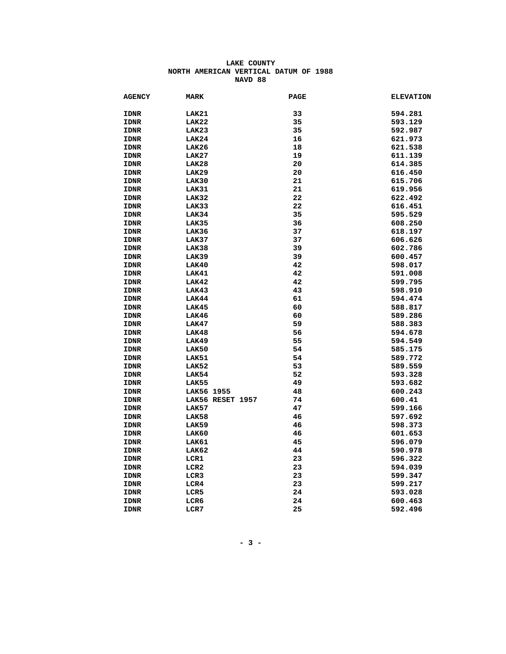| <b>AGENCY</b> | <b>MARK</b>      | <b>PAGE</b> | <b>ELEVATION</b> |
|---------------|------------------|-------------|------------------|
| <b>IDNR</b>   | LAK21            | 33          | 594.281          |
| <b>IDNR</b>   | LAK22            | 35          | 593.129          |
| <b>IDNR</b>   | LAK23            | 35          | 592.987          |
| <b>IDNR</b>   | LAK24            | 16          | 621.973          |
| <b>IDNR</b>   | LAK26            | 18          | 621.538          |
| <b>IDNR</b>   | LAK27            | 19          | 611.139          |
| <b>IDNR</b>   | LAK28            | 20          | 614.385          |
| <b>IDNR</b>   | LAK29            | 20          | 616.450          |
| <b>IDNR</b>   | LAK30            | 21          | 615.706          |
| <b>IDNR</b>   | LAK31            | 21          | 619.956          |
| <b>IDNR</b>   | LAK32            | 22          | 622.492          |
| <b>IDNR</b>   | LAK33            | 22          | 616.451          |
| IDNR          | LAK34            | 35          | 595.529          |
| <b>IDNR</b>   | LAK35            | 36          | 608.250          |
| <b>IDNR</b>   | LAK36            | 37          | 618.197          |
| <b>IDNR</b>   | LAK37            | 37          | 606.626          |
| <b>IDNR</b>   | LAK38            | 39          | 602.786          |
| <b>IDNR</b>   | LAK39            | 39          | 600.457          |
| <b>IDNR</b>   | LAK40            | 42          | 598.017          |
| <b>IDNR</b>   | LAK41            | 42          | 591.008          |
| <b>IDNR</b>   | LAK42            | 42          | 599.795          |
| <b>IDNR</b>   | LAK43            | 43          | 598.910          |
| <b>IDNR</b>   | LAK44            | 61          | 594.474          |
| <b>IDNR</b>   | LAK45            | 60          | 588.817          |
| <b>IDNR</b>   | LAK46            | 60          | 589.286          |
| <b>IDNR</b>   | LAK47            | 59          | 588.383          |
| <b>IDNR</b>   | LAK48            | 56          | 594.678          |
| <b>IDNR</b>   | LAK49            | 55          | 594.549          |
| <b>IDNR</b>   | LAK50            | 54          | 585.175          |
| <b>IDNR</b>   | LAK51            | 54          | 589.772          |
| <b>IDNR</b>   | LAK52            | 53          | 589.559          |
| <b>IDNR</b>   | LAK54            | 52          | 593.328          |
| <b>IDNR</b>   | LAK55            | 49          | 593.682          |
| <b>IDNR</b>   | LAK56 1955       | 48          | 600.243          |
| <b>IDNR</b>   | LAK56 RESET 1957 | 74          | 600.41           |
| <b>IDNR</b>   | LAK57            | 47          | 599.166          |
| <b>IDNR</b>   | LAK58            | 46          | 597.692          |
| <b>IDNR</b>   | LAK59            | 46          | 598.373          |
| <b>IDNR</b>   | LAK60            | 46          | 601.653          |
| <b>IDNR</b>   | LAK61            | 45          | 596.079          |
| <b>IDNR</b>   | LAK62            | 44          | 590.978          |
| <b>IDNR</b>   | LCR1             | 23          | 596.322          |
| <b>IDNR</b>   | LCR <sub>2</sub> | 23          | 594.039          |
| <b>IDNR</b>   | LCR3             | 23          | 599.347          |
| <b>IDNR</b>   | LCR4             | 23          | 599.217          |
| <b>IDNR</b>   | LCR5             | 24          | 593.028          |
| IDNR          | LCR6             | 24          | 600.463          |
| <b>IDNR</b>   | LCR7             | 25          | 592.496          |
|               |                  |             |                  |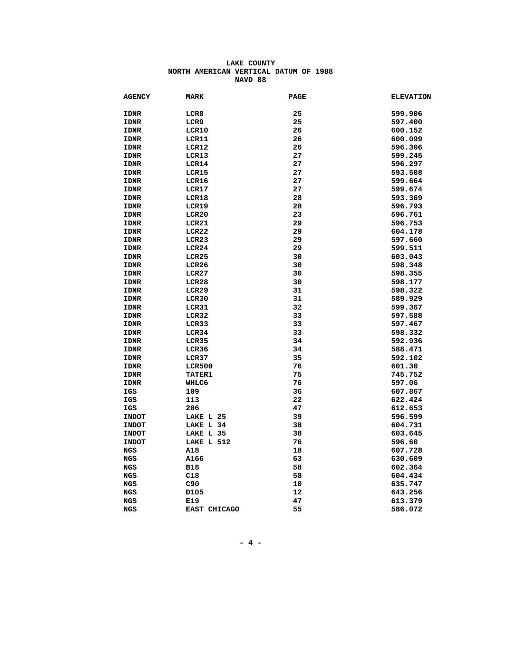| <b>AGENCY</b> | <b>MARK</b>      | <b>PAGE</b> | <b>ELEVATION</b> |
|---------------|------------------|-------------|------------------|
| <b>IDNR</b>   | LCR8             | 25          | 599.906          |
| <b>IDNR</b>   | LCR9             | 25          | 597.400          |
| <b>IDNR</b>   | LCR10            | 26          | 600.152          |
| <b>IDNR</b>   | LCR11            | 26          | 600.099          |
| <b>IDNR</b>   | LCR12            | 26          | 596.306          |
| <b>IDNR</b>   | LCR13            | 27          | 599.245          |
| <b>IDNR</b>   | LCR14            | 27          | 596.297          |
| <b>IDNR</b>   | LCR15            | 27          | 593.508          |
| <b>IDNR</b>   | LCR16            | 27          | 599.664          |
| <b>IDNR</b>   | LCR17            | 27          | 599.674          |
| <b>IDNR</b>   | LCR18            | 28          | 593.369          |
| <b>IDNR</b>   | LCR19            | 28          | 596.793          |
| <b>IDNR</b>   | LCR20            | 23          | 596.761          |
| <b>IDNR</b>   | LCR21            | 29          | 596.753          |
| <b>IDNR</b>   | LCR22            | 29          | 604.178          |
| <b>IDNR</b>   | LCR23            | 29          | 597.660          |
| <b>IDNR</b>   | LCR24            | 29          | 599.511          |
| <b>IDNR</b>   | LCR25            | 30          | 603.043          |
| <b>IDNR</b>   | LCR26            | 30          | 598.348          |
| <b>IDNR</b>   | LCR27            | 30          | 598.355          |
| <b>IDNR</b>   | LCR28            | 30          | 598.177          |
| <b>IDNR</b>   | LCR29            | 31          | 598.322          |
| <b>IDNR</b>   | LCR30            | 31          | 589.929          |
| <b>IDNR</b>   | LCR31            | 32          | 599.367          |
| <b>IDNR</b>   | LCR32            | 33          | 597.588          |
| <b>IDNR</b>   | LCR33            | 33          | 597.467          |
| <b>IDNR</b>   | LCR34            | 33          | 598.332          |
| <b>IDNR</b>   | LCR35            | 34          | 592.936          |
| <b>IDNR</b>   | LCR36            | 34          | 588.471          |
| <b>IDNR</b>   | LCR37            | 35          | 592.102          |
| <b>IDNR</b>   | <b>LCR500</b>    | 76          | 601.30           |
| <b>IDNR</b>   | <b>TATER1</b>    | 75          | 745.752          |
| <b>IDNR</b>   | WHLC6            | 76          | 597.06           |
| IGS           | 109              | 36          | 607.867          |
| IGS           | 113              | 22          | 622.424          |
| IGS           | 206              | 47          | 612.653          |
| <b>INDOT</b>  | LAKE L 25        | 39          | 596.599          |
| <b>INDOT</b>  | LAKE L 34        | 38          | 604.731          |
| <b>INDOT</b>  | LAKE L 35        | 38          | 603.645          |
| <b>INDOT</b>  | LAKE L 512       | 76          | 596.60           |
| NGS           | A18              | 18          | 607.728          |
| <b>NGS</b>    | A166             | 63          | 630.609          |
| <b>NGS</b>    | <b>B18</b>       | 58          | 602.364          |
| <b>NGS</b>    | C18              | 58          | 604.434          |
| NGS           | C90              | 10          | 635.747          |
| NGS           | D <sub>105</sub> | 12          | 643.256          |
| <b>NGS</b>    | E19              | 47          | 613.379          |
| <b>NGS</b>    | EAST CHICAGO     | 55          | 586.072          |
|               |                  |             |                  |